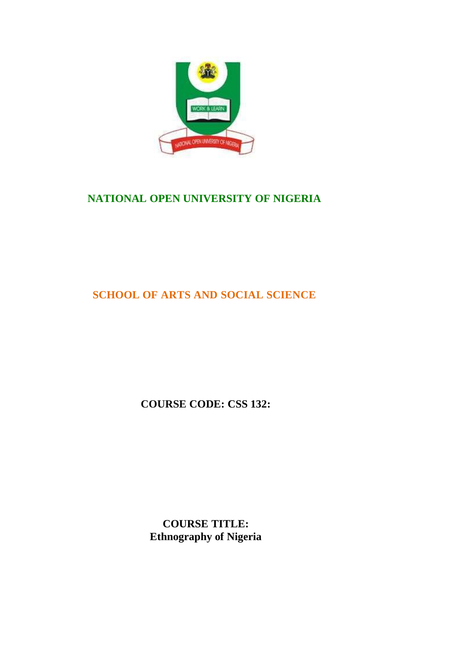

# **NATIONAL OPEN UNIVERSITY OF NIGERIA**

# **SCHOOL OF ARTS AND SOCIAL SCIENCE**

**COURSE CODE: CSS 132:**

**COURSE TITLE: Ethnography of Nigeria**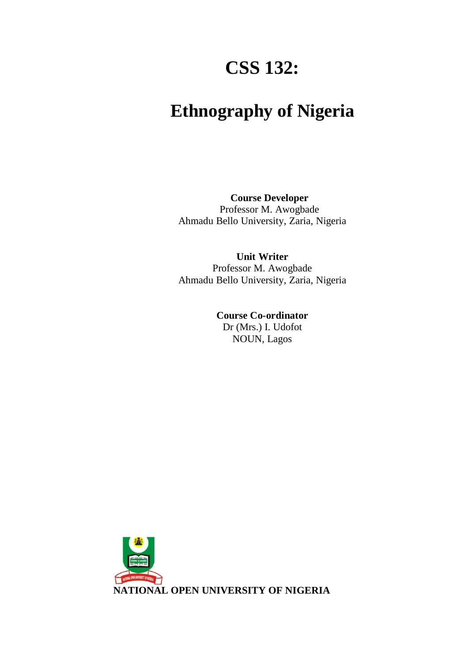# **CSS 132:**

# **Ethnography of Nigeria**

**Course Developer** Professor M. Awogbade Ahmadu Bello University, Zaria, Nigeria

**Unit Writer** Professor M. Awogbade Ahmadu Bello University, Zaria, Nigeria

> **Course Co-ordinator** Dr (Mrs.) I. Udofot NOUN, Lagos

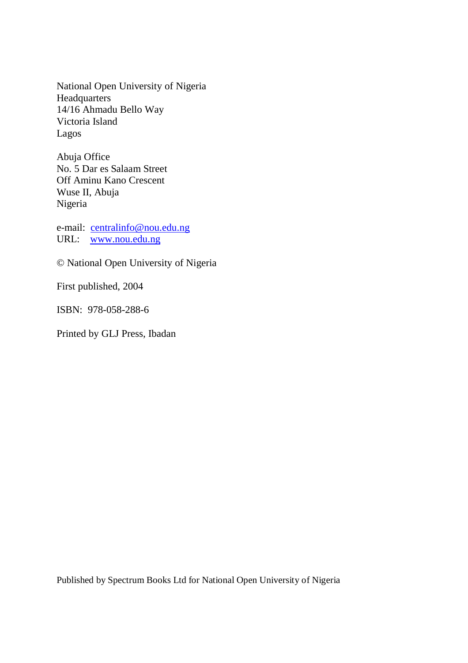National Open University of Nigeria Headquarters 14/16 Ahmadu Bello Way Victoria Island Lagos

Abuja Office No. 5 Dar es Salaam Street Off Aminu Kano Crescent Wuse II, Abuja Nigeria

e-mail: centralinfo@nou.edu.ng URL: www.nou.edu.ng

© National Open University of Nigeria

First published, 2004

ISBN: 978-058-288-6

Printed by GLJ Press, Ibadan

Published by Spectrum Books Ltd for National Open University of Nigeria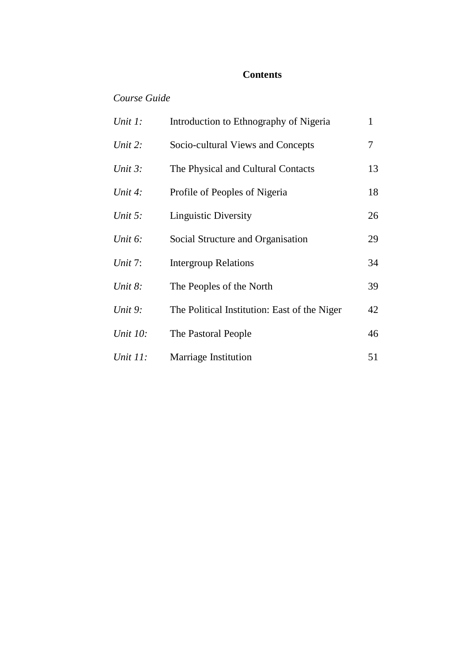#### **Contents**

# *Course Guide*

| Unit 1:    | Introduction to Ethnography of Nigeria       |    |
|------------|----------------------------------------------|----|
| Unit 2:    | Socio-cultural Views and Concepts            | 7  |
| Unit $3$ : | The Physical and Cultural Contacts           | 13 |
| Unit 4:    | Profile of Peoples of Nigeria                | 18 |
| Unit $5$ : | <b>Linguistic Diversity</b>                  | 26 |
| Unit $6$ : | Social Structure and Organisation            | 29 |
| Unit $7:$  | <b>Intergroup Relations</b>                  | 34 |
| Unit $8$ : | The Peoples of the North                     | 39 |
| Unit 9:    | The Political Institution: East of the Niger | 42 |
| Unit 10:   | The Pastoral People                          | 46 |
| Unit 11:   | <b>Marriage Institution</b>                  | 51 |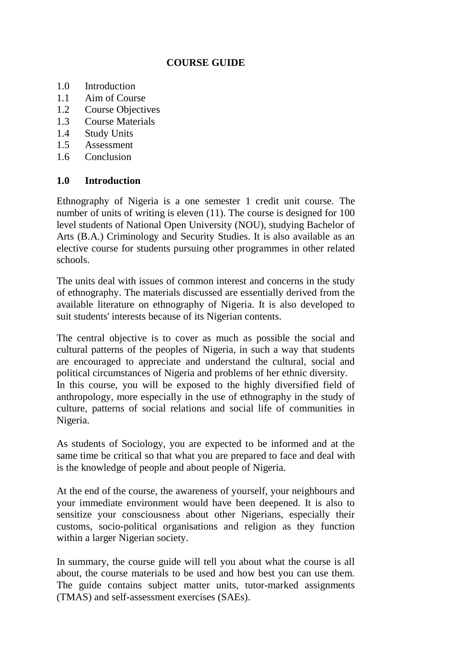#### **COURSE GUIDE**

- 1.0 Introduction
- 1.1 Aim of Course
- 1.2 Course Objectives
- 1.3 Course Materials
- 1.4 Study Units
- 1.5 Assessment
- 1.6 Conclusion

#### **1.0 Introduction**

Ethnography of Nigeria is a one semester 1 credit unit course. The number of units of writing is eleven (11). The course is designed for 100 level students of National Open University (NOU), studying Bachelor of Arts (B.A.) Criminology and Security Studies. It is also available as an elective course for students pursuing other programmes in other related schools.

The units deal with issues of common interest and concerns in the study of ethnography. The materials discussed are essentially derived from the available literature on ethnography of Nigeria. It is also developed to suit students' interests because of its Nigerian contents.

The central objective is to cover as much as possible the social and cultural patterns of the peoples of Nigeria, in such a way that students are encouraged to appreciate and understand the cultural, social and political circumstances of Nigeria and problems of her ethnic diversity. In this course, you will be exposed to the highly diversified field of anthropology, more especially in the use of ethnography in the study of culture, patterns of social relations and social life of communities in Nigeria.

As students of Sociology, you are expected to be informed and at the same time be critical so that what you are prepared to face and deal with is the knowledge of people and about people of Nigeria.

At the end of the course, the awareness of yourself, your neighbours and your immediate environment would have been deepened. It is also to sensitize your consciousness about other Nigerians, especially their customs, socio-political organisations and religion as they function within a larger Nigerian society.

In summary, the course guide will tell you about what the course is all about, the course materials to be used and how best you can use them. The guide contains subject matter units, tutor-marked assignments (TMAS) and self-assessment exercises (SAEs).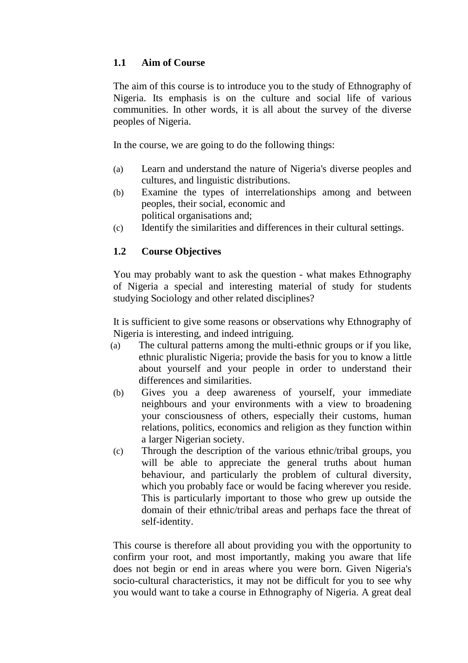# **1.1 Aim of Course**

The aim of this course is to introduce you to the study of Ethnography of Nigeria. Its emphasis is on the culture and social life of various communities. In other words, it is all about the survey of the diverse peoples of Nigeria.

In the course, we are going to do the following things:

- (a) Learn and understand the nature of Nigeria's diverse peoples and cultures, and linguistic distributions.
- (b) Examine the types of interrelationships among and between peoples, their social, economic and political organisations and;
- (c) Identify the similarities and differences in their cultural settings.

# **1.2 Course Objectives**

You may probably want to ask the question - what makes Ethnography of Nigeria a special and interesting material of study for students studying Sociology and other related disciplines?

It is sufficient to give some reasons or observations why Ethnography of Nigeria is interesting, and indeed intriguing.

- (a) The cultural patterns among the multi-ethnic groups or if you like, ethnic pluralistic Nigeria; provide the basis for you to know a little about yourself and your people in order to understand their differences and similarities.
- (b) Gives you a deep awareness of yourself, your immediate neighbours and your environments with a view to broadening your consciousness of others, especially their customs, human relations, politics, economics and religion as they function within a larger Nigerian society.
- (c) Through the description of the various ethnic/tribal groups, you will be able to appreciate the general truths about human behaviour, and particularly the problem of cultural diversity, which you probably face or would be facing wherever you reside. This is particularly important to those who grew up outside the domain of their ethnic/tribal areas and perhaps face the threat of self-identity.

This course is therefore all about providing you with the opportunity to confirm your root, and most importantly, making you aware that life does not begin or end in areas where you were born. Given Nigeria's socio-cultural characteristics, it may not be difficult for you to see why you would want to take a course in Ethnography of Nigeria. A great deal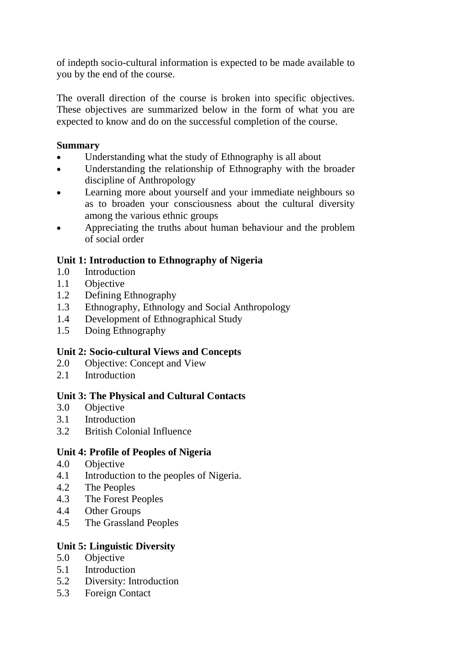of indepth socio-cultural information is expected to be made available to you by the end of the course.

The overall direction of the course is broken into specific objectives. These objectives are summarized below in the form of what you are expected to know and do on the successful completion of the course.

# **Summary**

- Understanding what the study of Ethnography is all about
- Understanding the relationship of Ethnography with the broader discipline of Anthropology
- Learning more about yourself and your immediate neighbours so as to broaden your consciousness about the cultural diversity among the various ethnic groups
- Appreciating the truths about human behaviour and the problem of social order

# **Unit 1: Introduction to Ethnography of Nigeria**

- 1.0 Introduction
- 1.1 Objective
- 1.2 Defining Ethnography
- 1.3 Ethnography, Ethnology and Social Anthropology
- 1.4 Development of Ethnographical Study
- 1.5 Doing Ethnography

# **Unit 2: Socio-cultural Views and Concepts**

- 2.0 Objective: Concept and View
- 2.1 Introduction

# **Unit 3: The Physical and Cultural Contacts**

- 3.0 Objective
- 3.1 Introduction
- 3.2 British Colonial Influence

#### **Unit 4: Profile of Peoples of Nigeria**

- 4.0 Objective
- 4.1 Introduction to the peoples of Nigeria.
- 4.2 The Peoples
- 4.3 The Forest Peoples
- 4.4 Other Groups
- 4.5 The Grassland Peoples

# **Unit 5: Linguistic Diversity**

- 5.0 Objective
- 5.1 Introduction
- 5.2 Diversity: Introduction
- 5.3 Foreign Contact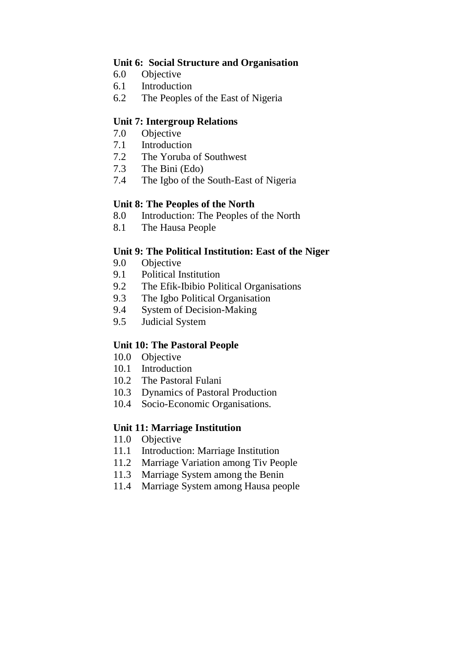#### **Unit 6: Social Structure and Organisation**

- 6.0 Objective
- 6.1 Introduction
- 6.2 The Peoples of the East of Nigeria

#### **Unit 7: Intergroup Relations**

- 7.0 Objective
- 7.1 Introduction
- 7.2 The Yoruba of Southwest
- 7.3 The Bini (Edo)
- 7.4 The Igbo of the South-East of Nigeria

#### **Unit 8: The Peoples of the North**

- 8.0 Introduction: The Peoples of the North
- 8.1 The Hausa People

#### **Unit 9: The Political Institution: East of the Niger**

- 9.0 Objective
- 9.1 Political Institution
- 9.2 The Efik-Ibibio Political Organisations
- 9.3 The Igbo Political Organisation
- 9.4 System of Decision-Making
- 9.5 Judicial System

#### **Unit 10: The Pastoral People**

- 10.0 Objective
- 10.1 Introduction
- 10.2 The Pastoral Fulani
- 10.3 Dynamics of Pastoral Production
- 10.4 Socio-Economic Organisations.

#### **Unit 11: Marriage Institution**

- 11.0 Objective
- 11.1 Introduction: Marriage Institution
- 11.2 Marriage Variation among Tiv People
- 11.3 Marriage System among the Benin
- 11.4 Marriage System among Hausa people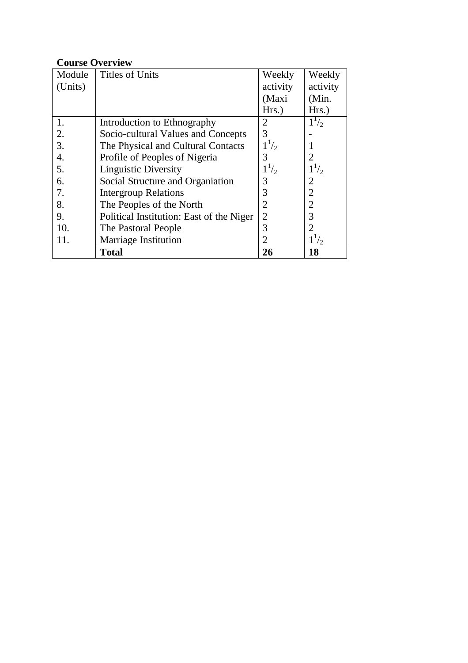#### **Course Overview**

| Module  | <b>Titles of Units</b>                   | Weekly         | Weekly         |
|---------|------------------------------------------|----------------|----------------|
| (Units) |                                          | activity       | activity       |
|         |                                          | (Maxi          | (Min.          |
|         |                                          | Hrs.)          | $Hrs.$ )       |
| 1.      | Introduction to Ethnography              | 2              | $1^{1/2}$      |
| 2.      | Socio-cultural Values and Concepts       | 3              |                |
| 3.      | The Physical and Cultural Contacts       | $1^{1/2}$      |                |
| 4.      | Profile of Peoples of Nigeria            | 3              | 2              |
| 5.      | <b>Linguistic Diversity</b>              | $1^{1/2}$      | $1^{1/2}$      |
| 6.      | Social Structure and Organiation         | 3              | $\overline{2}$ |
| 7.      | <b>Intergroup Relations</b>              | 3              | $\overline{2}$ |
| 8.      | The Peoples of the North                 | $\overline{2}$ | $\overline{2}$ |
| 9.      | Political Institution: East of the Niger | $\overline{2}$ | 3              |
| 10.     | The Pastoral People                      | 3              |                |
| 11.     | <b>Marriage Institution</b>              | $\overline{2}$ | $1^{1/2}$      |
|         | <b>Total</b>                             | 26             | 18             |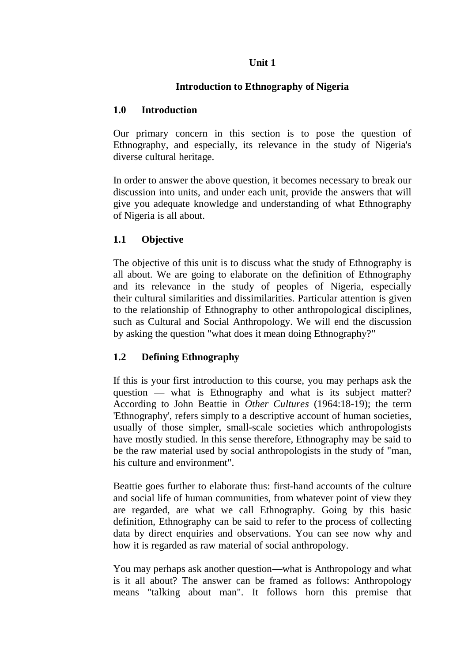#### **Unit 1**

#### **Introduction to Ethnography of Nigeria**

#### **1.0 Introduction**

Our primary concern in this section is to pose the question of Ethnography, and especially, its relevance in the study of Nigeria's diverse cultural heritage.

In order to answer the above question, it becomes necessary to break our discussion into units, and under each unit, provide the answers that will give you adequate knowledge and understanding of what Ethnography of Nigeria is all about.

# **1.1 Objective**

The objective of this unit is to discuss what the study of Ethnography is all about. We are going to elaborate on the definition of Ethnography and its relevance in the study of peoples of Nigeria, especially their cultural similarities and dissimilarities. Particular attention is given to the relationship of Ethnography to other anthropological disciplines, such as Cultural and Social Anthropology. We will end the discussion by asking the question "what does it mean doing Ethnography?"

# **1.2 Defining Ethnography**

If this is your first introduction to this course, you may perhaps ask the question — what is Ethnography and what is its subject matter? According to John Beattie in *Other Cultures* (1964:18-19); the term 'Ethnography', refers simply to a descriptive account of human societies, usually of those simpler, small-scale societies which anthropologists have mostly studied. In this sense therefore, Ethnography may be said to be the raw material used by social anthropologists in the study of "man, his culture and environment".

Beattie goes further to elaborate thus: first-hand accounts of the culture and social life of human communities, from whatever point of view they are regarded, are what we call Ethnography. Going by this basic definition, Ethnography can be said to refer to the process of collecting data by direct enquiries and observations. You can see now why and how it is regarded as raw material of social anthropology.

You may perhaps ask another question—what is Anthropology and what is it all about? The answer can be framed as follows: Anthropology means "talking about man". It follows horn this premise that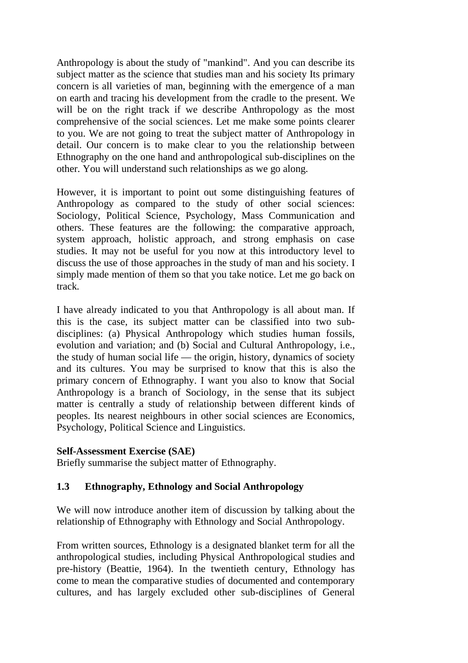Anthropology is about the study of "mankind". And you can describe its subject matter as the science that studies man and his society Its primary concern is all varieties of man, beginning with the emergence of a man on earth and tracing his development from the cradle to the present. We will be on the right track if we describe Anthropology as the most comprehensive of the social sciences. Let me make some points clearer to you. We are not going to treat the subject matter of Anthropology in detail. Our concern is to make clear to you the relationship between Ethnography on the one hand and anthropological sub-disciplines on the other. You will understand such relationships as we go along.

However, it is important to point out some distinguishing features of Anthropology as compared to the study of other social sciences: Sociology, Political Science, Psychology, Mass Communication and others. These features are the following: the comparative approach, system approach, holistic approach, and strong emphasis on case studies. It may not be useful for you now at this introductory level to discuss the use of those approaches in the study of man and his society. I simply made mention of them so that you take notice. Let me go back on track.

I have already indicated to you that Anthropology is all about man. If this is the case, its subject matter can be classified into two subdisciplines: (a) Physical Anthropology which studies human fossils, evolution and variation; and (b) Social and Cultural Anthropology, i.e., the study of human social life — the origin, history, dynamics of society and its cultures. You may be surprised to know that this is also the primary concern of Ethnography. I want you also to know that Social Anthropology is a branch of Sociology, in the sense that its subject matter is centrally a study of relationship between different kinds of peoples. Its nearest neighbours in other social sciences are Economics, Psychology, Political Science and Linguistics.

#### **Self-Assessment Exercise (SAE)**

Briefly summarise the subject matter of Ethnography.

#### **1.3 Ethnography, Ethnology and Social Anthropology**

We will now introduce another item of discussion by talking about the relationship of Ethnography with Ethnology and Social Anthropology.

From written sources, Ethnology is a designated blanket term for all the anthropological studies, including Physical Anthropological studies and pre-history (Beattie, 1964). In the twentieth century, Ethnology has come to mean the comparative studies of documented and contemporary cultures, and has largely excluded other sub-disciplines of General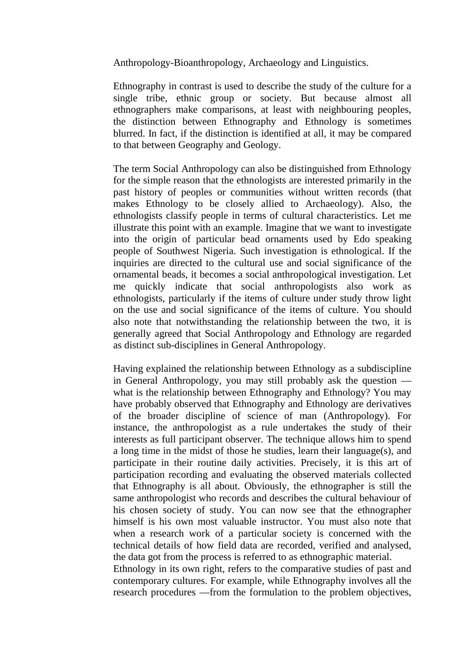Anthropology-Bioanthropology, Archaeology and Linguistics.

Ethnography in contrast is used to describe the study of the culture for a single tribe, ethnic group or society. But because almost all ethnographers make comparisons, at least with neighbouring peoples, the distinction between Ethnography and Ethnology is sometimes blurred. In fact, if the distinction is identified at all, it may be compared to that between Geography and Geology.

The term Social Anthropology can also be distinguished from Ethnology for the simple reason that the ethnologists are interested primarily in the past history of peoples or communities without written records (that makes Ethnology to be closely allied to Archaeology). Also, the ethnologists classify people in terms of cultural characteristics. Let me illustrate this point with an example. Imagine that we want to investigate into the origin of particular bead ornaments used by Edo speaking people of Southwest Nigeria. Such investigation is ethnological. If the inquiries are directed to the cultural use and social significance of the ornamental beads, it becomes a social anthropological investigation. Let me quickly indicate that social anthropologists also work as ethnologists, particularly if the items of culture under study throw light on the use and social significance of the items of culture. You should also note that notwithstanding the relationship between the two, it is generally agreed that Social Anthropology and Ethnology are regarded as distinct sub-disciplines in General Anthropology.

Having explained the relationship between Ethnology as a subdiscipline in General Anthropology, you may still probably ask the question what is the relationship between Ethnography and Ethnology? You may have probably observed that Ethnography and Ethnology are derivatives of the broader discipline of science of man (Anthropology). For instance, the anthropologist as a rule undertakes the study of their interests as full participant observer. The technique allows him to spend a long time in the midst of those he studies, learn their language(s), and participate in their routine daily activities. Precisely, it is this art of participation recording and evaluating the observed materials collected that Ethnography is all about. Obviously, the ethnographer is still the same anthropologist who records and describes the cultural behaviour of his chosen society of study. You can now see that the ethnographer himself is his own most valuable instructor. You must also note that when a research work of a particular society is concerned with the technical details of how field data are recorded, verified and analysed, the data got from the process is referred to as ethnographic material. Ethnology in its own right, refers to the comparative studies of past and contemporary cultures. For example, while Ethnography involves all the research procedures —from the formulation to the problem objectives,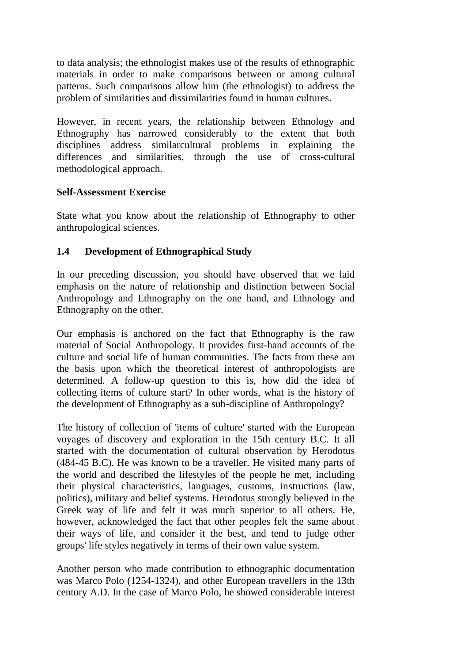to data analysis; the ethnologist makes use of the results of ethnographic materials in order to make comparisons between or among cultural patterns. Such comparisons allow him (the ethnologist) to address the problem of similarities and dissimilarities found in human cultures.

However, in recent years, the relationship between Ethnology and Ethnography has narrowed considerably to the extent that both disciplines address similarcultural problems in explaining the differences and similarities, through the use of cross-cultural methodological approach.

#### **Self-Assessment Exercise**

State what you know about the relationship of Ethnography to other anthropological sciences.

# **1.4 Development of Ethnographical Study**

In our preceding discussion, you should have observed that we laid emphasis on the nature of relationship and distinction between Social Anthropology and Ethnography on the one hand, and Ethnology and Ethnography on the other.

Our emphasis is anchored on the fact that Ethnography is the raw material of Social Anthropology. It provides first-hand accounts of the culture and social life of human communities. The facts from these am the basis upon which the theoretical interest of anthropologists are determined. A follow-up question to this is, how did the idea of collecting items of culture start? In other words, what is the history of the development of Ethnography as a sub-discipline of Anthropology?

The history of collection of 'items of culture' started with the European voyages of discovery and exploration in the 15th century B.C. It all started with the documentation of cultural observation by Herodotus (484-45 B.C). He was known to be a traveller. He visited many parts of the world and described the lifestyles of the people he met, including their physical characteristics, languages, customs, instructions (law, politics), military and belief systems. Herodotus strongly believed in the Greek way of life and felt it was much superior to all others. He, however, acknowledged the fact that other peoples felt the same about their ways of life, and consider it the best, and tend to judge other groups' life styles negatively in terms of their own value system.

Another person who made contribution to ethnographic documentation was Marco Polo (1254-1324), and other European travellers in the 13th century A.D. In the case of Marco Polo, he showed considerable interest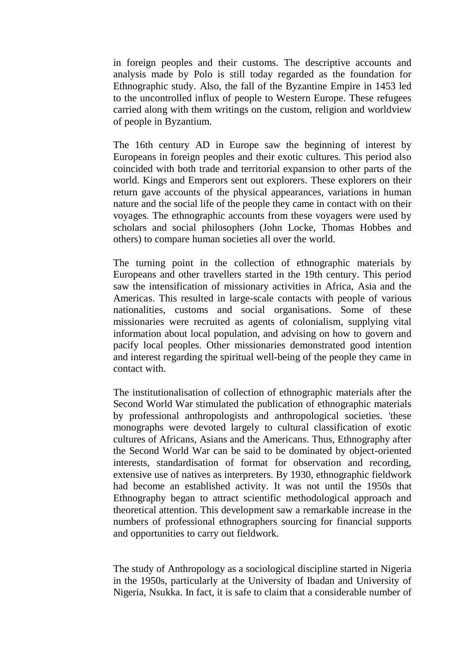in foreign peoples and their customs. The descriptive accounts and analysis made by Polo is still today regarded as the foundation for Ethnographic study. Also, the fall of the Byzantine Empire in 1453 led to the uncontrolled influx of people to Western Europe. These refugees carried along with them writings on the custom, religion and worldview of people in Byzantium.

The 16th century AD in Europe saw the beginning of interest by Europeans in foreign peoples and their exotic cultures. This period also coincided with both trade and territorial expansion to other parts of the world. Kings and Emperors sent out explorers. These explorers on their return gave accounts of the physical appearances, variations in human nature and the social life of the people they came in contact with on their voyages. The ethnographic accounts from these voyagers were used by scholars and social philosophers (John Locke, Thomas Hobbes and others) to compare human societies all over the world.

The turning point in the collection of ethnographic materials by Europeans and other travellers started in the 19th century. This period saw the intensification of missionary activities in Africa, Asia and the Americas. This resulted in large-scale contacts with people of various nationalities, customs and social organisations. Some of these missionaries were recruited as agents of colonialism, supplying vital information about local population, and advising on how to govern and pacify local peoples. Other missionaries demonstrated good intention and interest regarding the spiritual well-being of the people they came in contact with.

The institutionalisation of collection of ethnographic materials after the Second World War stimulated the publication of ethnographic materials by professional anthropologists and anthropological societies. 'these monographs were devoted largely to cultural classification of exotic cultures of Africans, Asians and the Americans. Thus, Ethnography after the Second World War can be said to be dominated by object-oriented interests, standardisation of format for observation and recording, extensive use of natives as interpreters. By 1930, ethnographic fieldwork had become an established activity. It was not until the 1950s that Ethnography began to attract scientific methodological approach and theoretical attention. This development saw a remarkable increase in the numbers of professional ethnographers sourcing for financial supports and opportunities to carry out fieldwork.

The study of Anthropology as a sociological discipline started in Nigeria in the 1950s, particularly at the University of Ibadan and University of Nigeria, Nsukka. In fact, it is safe to claim that a considerable number of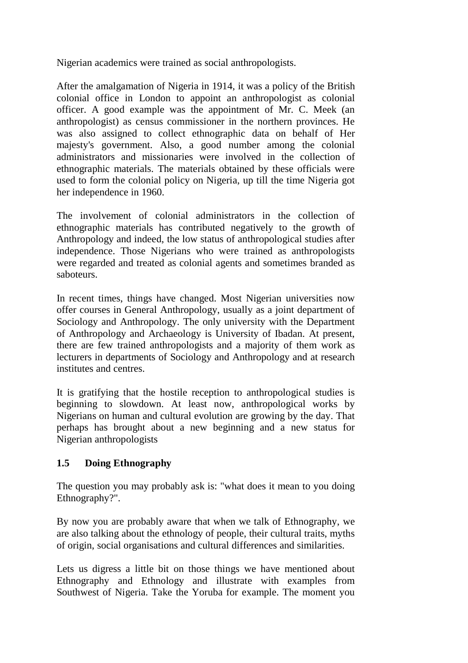Nigerian academics were trained as social anthropologists.

After the amalgamation of Nigeria in 1914, it was a policy of the British colonial office in London to appoint an anthropologist as colonial officer. A good example was the appointment of Mr. C. Meek (an anthropologist) as census commissioner in the northern provinces. He was also assigned to collect ethnographic data on behalf of Her majesty's government. Also, a good number among the colonial administrators and missionaries were involved in the collection of ethnographic materials. The materials obtained by these officials were used to form the colonial policy on Nigeria, up till the time Nigeria got her independence in 1960.

The involvement of colonial administrators in the collection of ethnographic materials has contributed negatively to the growth of Anthropology and indeed, the low status of anthropological studies after independence. Those Nigerians who were trained as anthropologists were regarded and treated as colonial agents and sometimes branded as saboteurs.

In recent times, things have changed. Most Nigerian universities now offer courses in General Anthropology, usually as a joint department of Sociology and Anthropology. The only university with the Department of Anthropology and Archaeology is University of Ibadan. At present, there are few trained anthropologists and a majority of them work as lecturers in departments of Sociology and Anthropology and at research institutes and centres.

It is gratifying that the hostile reception to anthropological studies is beginning to slowdown. At least now, anthropological works by Nigerians on human and cultural evolution are growing by the day. That perhaps has brought about a new beginning and a new status for Nigerian anthropologists

# **1.5 Doing Ethnography**

The question you may probably ask is: "what does it mean to you doing Ethnography?".

By now you are probably aware that when we talk of Ethnography, we are also talking about the ethnology of people, their cultural traits, myths of origin, social organisations and cultural differences and similarities.

Lets us digress a little bit on those things we have mentioned about Ethnography and Ethnology and illustrate with examples from Southwest of Nigeria. Take the Yoruba for example. The moment you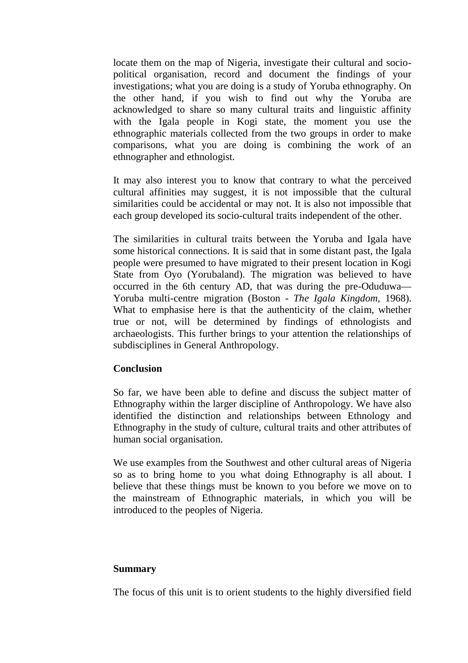locate them on the map of Nigeria, investigate their cultural and sociopolitical organisation, record and document the findings of your investigations; what you are doing is a study of Yoruba ethnography. On the other hand, if you wish to find out why the Yoruba are acknowledged to share so many cultural traits and linguistic affinity with the Igala people in Kogi state, the moment you use the ethnographic materials collected from the two groups in order to make comparisons, what you are doing is combining the work of an ethnographer and ethnologist.

It may also interest you to know that contrary to what the perceived cultural affinities may suggest, it is not impossible that the cultural similarities could be accidental or may not. It is also not impossible that each group developed its socio-cultural traits independent of the other.

The similarities in cultural traits between the Yoruba and Igala have some historical connections. It is said that in some distant past, the Igala people were presumed to have migrated to their present location in Kogi State from Oyo (Yorubaland). The migration was believed to have occurred in the 6th century AD, that was during the pre-Oduduwa— Yoruba multi-centre migration (Boston - *The Igala Kingdom,* 1968). What to emphasise here is that the authenticity of the claim, whether true or not, will be determined by findings of ethnologists and archaeologists. This further brings to your attention the relationships of subdisciplines in General Anthropology.

#### **Conclusion**

So far, we have been able to define and discuss the subject matter of Ethnography within the larger discipline of Anthropology. We have also identified the distinction and relationships between Ethnology and Ethnography in the study of culture, cultural traits and other attributes of human social organisation.

We use examples from the Southwest and other cultural areas of Nigeria so as to bring home to you what doing Ethnography is all about. I believe that these things must be known to you before we move on to the mainstream of Ethnographic materials, in which you will be introduced to the peoples of Nigeria.

#### **Summary**

The focus of this unit is to orient students to the highly diversified field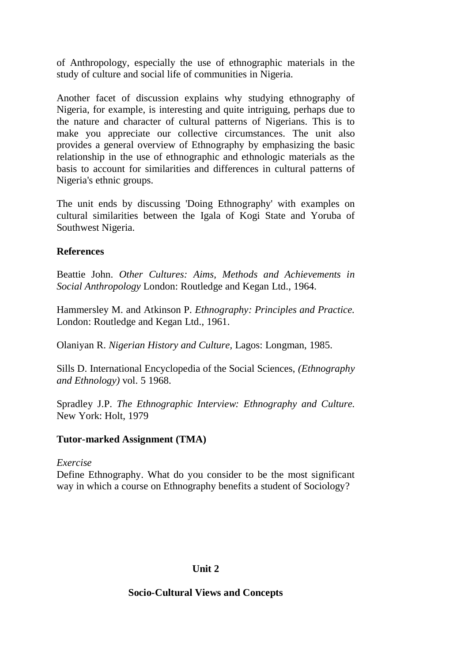of Anthropology, especially the use of ethnographic materials in the study of culture and social life of communities in Nigeria.

Another facet of discussion explains why studying ethnography of Nigeria, for example, is interesting and quite intriguing, perhaps due to the nature and character of cultural patterns of Nigerians. This is to make you appreciate our collective circumstances. The unit also provides a general overview of Ethnography by emphasizing the basic relationship in the use of ethnographic and ethnologic materials as the basis to account for similarities and differences in cultural patterns of Nigeria's ethnic groups.

The unit ends by discussing 'Doing Ethnography' with examples on cultural similarities between the Igala of Kogi State and Yoruba of Southwest Nigeria.

#### **References**

Beattie John. *Other Cultures: Aims, Methods and Achievements in Social Anthropology* London: Routledge and Kegan Ltd., 1964.

Hammersley M. and Atkinson P. *Ethnography: Principles and Practice.*  London: Routledge and Kegan Ltd., 1961.

Olaniyan R. *Nigerian History and Culture,* Lagos: Longman, 1985.

Sills D. International Encyclopedia of the Social Sciences, *(Ethnography and Ethnology)* vol. 5 1968.

Spradley J.P. *The Ethnographic Interview: Ethnography and Culture.*  New York: Holt, 1979

#### **Tutor-marked Assignment (TMA)**

#### *Exercise*

Define Ethnography. What do you consider to be the most significant way in which a course on Ethnography benefits a student of Sociology?

#### **Unit 2**

#### **Socio-Cultural Views and Concepts**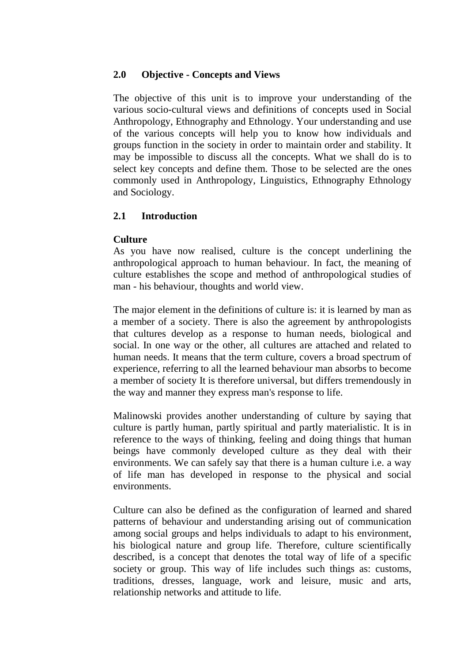#### **2.0 Objective - Concepts and Views**

The objective of this unit is to improve your understanding of the various socio-cultural views and definitions of concepts used in Social Anthropology, Ethnography and Ethnology. Your understanding and use of the various concepts will help you to know how individuals and groups function in the society in order to maintain order and stability. It may be impossible to discuss all the concepts. What we shall do is to select key concepts and define them. Those to be selected are the ones commonly used in Anthropology, Linguistics, Ethnography Ethnology and Sociology.

#### **2.1 Introduction**

#### **Culture**

As you have now realised, culture is the concept underlining the anthropological approach to human behaviour. In fact, the meaning of culture establishes the scope and method of anthropological studies of man - his behaviour, thoughts and world view.

The major element in the definitions of culture is: it is learned by man as a member of a society. There is also the agreement by anthropologists that cultures develop as a response to human needs, biological and social. In one way or the other, all cultures are attached and related to human needs. It means that the term culture, covers a broad spectrum of experience, referring to all the learned behaviour man absorbs to become a member of society It is therefore universal, but differs tremendously in the way and manner they express man's response to life.

Malinowski provides another understanding of culture by saying that culture is partly human, partly spiritual and partly materialistic. It is in reference to the ways of thinking, feeling and doing things that human beings have commonly developed culture as they deal with their environments. We can safely say that there is a human culture i.e. a way of life man has developed in response to the physical and social environments.

Culture can also be defined as the configuration of learned and shared patterns of behaviour and understanding arising out of communication among social groups and helps individuals to adapt to his environment, his biological nature and group life. Therefore, culture scientifically described, is a concept that denotes the total way of life of a specific society or group. This way of life includes such things as: customs, traditions, dresses, language, work and leisure, music and arts, relationship networks and attitude to life.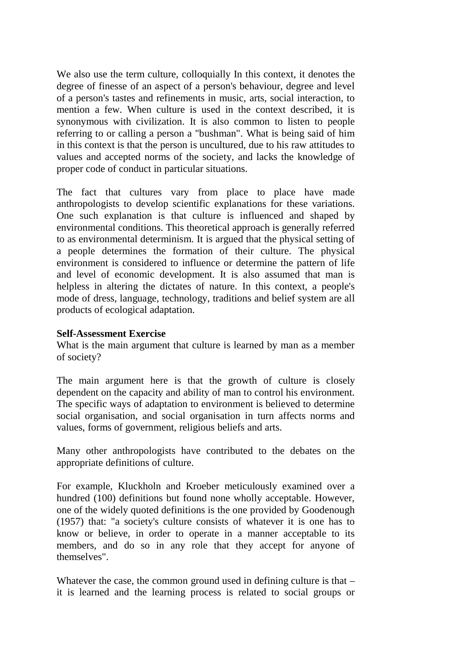We also use the term culture, colloquially In this context, it denotes the degree of finesse of an aspect of a person's behaviour, degree and level of a person's tastes and refinements in music, arts, social interaction, to mention a few. When culture is used in the context described, it is synonymous with civilization. It is also common to listen to people referring to or calling a person a "bushman". What is being said of him in this context is that the person is uncultured, due to his raw attitudes to values and accepted norms of the society, and lacks the knowledge of proper code of conduct in particular situations.

The fact that cultures vary from place to place have made anthropologists to develop scientific explanations for these variations. One such explanation is that culture is influenced and shaped by environmental conditions. This theoretical approach is generally referred to as environmental determinism. It is argued that the physical setting of a people determines the formation of their culture. The physical environment is considered to influence or determine the pattern of life and level of economic development. It is also assumed that man is helpless in altering the dictates of nature. In this context, a people's mode of dress, language, technology, traditions and belief system are all products of ecological adaptation.

#### **Self-Assessment Exercise**

What is the main argument that culture is learned by man as a member of society?

The main argument here is that the growth of culture is closely dependent on the capacity and ability of man to control his environment. The specific ways of adaptation to environment is believed to determine social organisation, and social organisation in turn affects norms and values, forms of government, religious beliefs and arts.

Many other anthropologists have contributed to the debates on the appropriate definitions of culture.

For example, Kluckholn and Kroeber meticulously examined over a hundred (100) definitions but found none wholly acceptable. However, one of the widely quoted definitions is the one provided by Goodenough (1957) that: "a society's culture consists of whatever it is one has to know or believe, in order to operate in a manner acceptable to its members, and do so in any role that they accept for anyone of themselves".

Whatever the case, the common ground used in defining culture is that – it is learned and the learning process is related to social groups or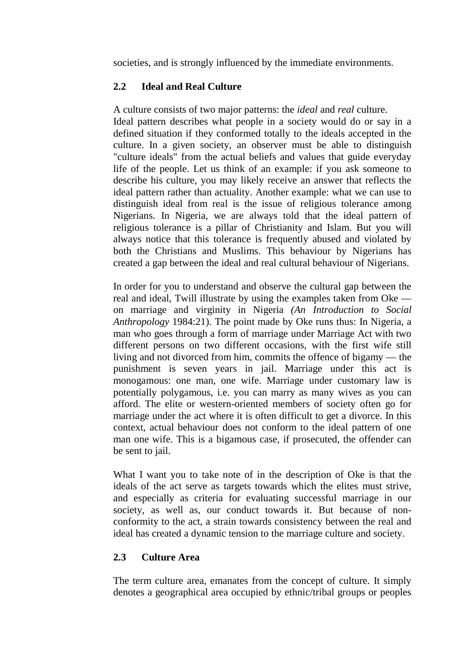societies, and is strongly influenced by the immediate environments.

#### **2.2 Ideal and Real Culture**

A culture consists of two major patterns: the *ideal* and *real* culture. Ideal pattern describes what people in a society would do or say in a defined situation if they conformed totally to the ideals accepted in the culture. In a given society, an observer must be able to distinguish "culture ideals" from the actual beliefs and values that guide everyday life of the people. Let us think of an example: if you ask someone to describe his culture, you may likely receive an answer that reflects the ideal pattern rather than actuality. Another example: what we can use to distinguish ideal from real is the issue of religious tolerance among Nigerians. In Nigeria, we are always told that the ideal pattern of religious tolerance is a pillar of Christianity and Islam. But you will always notice that this tolerance is frequently abused and violated by both the Christians and Muslims. This behaviour by Nigerians has created a gap between the ideal and real cultural behaviour of Nigerians.

In order for you to understand and observe the cultural gap between the real and ideal, Twill illustrate by using the examples taken from Oke on marriage and virginity in Nigeria *(An Introduction to Social Anthropology* 1984:21). The point made by Oke runs thus: In Nigeria, a man who goes through a form of marriage under Marriage Act with two different persons on two different occasions, with the first wife still living and not divorced from him, commits the offence of bigamy — the punishment is seven years in jail. Marriage under this act is monogamous: one man, one wife. Marriage under customary law is potentially polygamous, i.e. you can marry as many wives as you can afford. The elite or western-oriented members of society often go for marriage under the act where it is often difficult to get a divorce. In this context, actual behaviour does not conform to the ideal pattern of one man one wife. This is a bigamous case, if prosecuted, the offender can be sent to jail.

What I want you to take note of in the description of Oke is that the ideals of the act serve as targets towards which the elites must strive, and especially as criteria for evaluating successful marriage in our society, as well as, our conduct towards it. But because of nonconformity to the act, a strain towards consistency between the real and ideal has created a dynamic tension to the marriage culture and society.

#### **2.3 Culture Area**

The term culture area, emanates from the concept of culture. It simply denotes a geographical area occupied by ethnic/tribal groups or peoples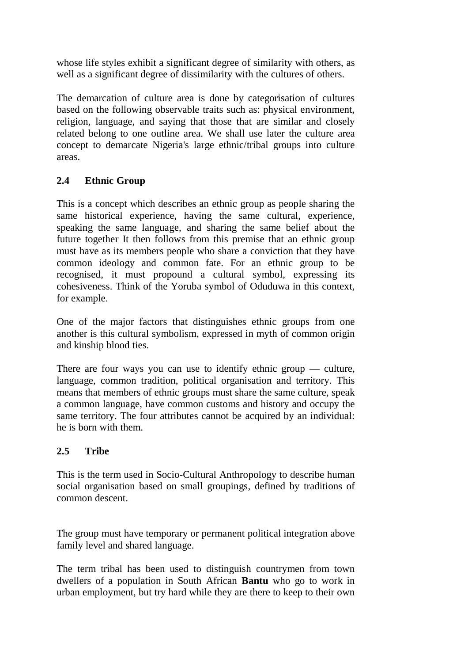whose life styles exhibit a significant degree of similarity with others, as well as a significant degree of dissimilarity with the cultures of others.

The demarcation of culture area is done by categorisation of cultures based on the following observable traits such as: physical environment, religion, language, and saying that those that are similar and closely related belong to one outline area. We shall use later the culture area concept to demarcate Nigeria's large ethnic/tribal groups into culture areas.

# **2.4 Ethnic Group**

This is a concept which describes an ethnic group as people sharing the same historical experience, having the same cultural, experience, speaking the same language, and sharing the same belief about the future together It then follows from this premise that an ethnic group must have as its members people who share a conviction that they have common ideology and common fate. For an ethnic group to be recognised, it must propound a cultural symbol, expressing its cohesiveness. Think of the Yoruba symbol of Oduduwa in this context, for example.

One of the major factors that distinguishes ethnic groups from one another is this cultural symbolism, expressed in myth of common origin and kinship blood ties.

There are four ways you can use to identify ethnic group — culture, language, common tradition, political organisation and territory. This means that members of ethnic groups must share the same culture, speak a common language, have common customs and history and occupy the same territory. The four attributes cannot be acquired by an individual: he is born with them.

# **2.5 Tribe**

This is the term used in Socio-Cultural Anthropology to describe human social organisation based on small groupings, defined by traditions of common descent.

The group must have temporary or permanent political integration above family level and shared language.

The term tribal has been used to distinguish countrymen from town dwellers of a population in South African **Bantu** who go to work in urban employment, but try hard while they are there to keep to their own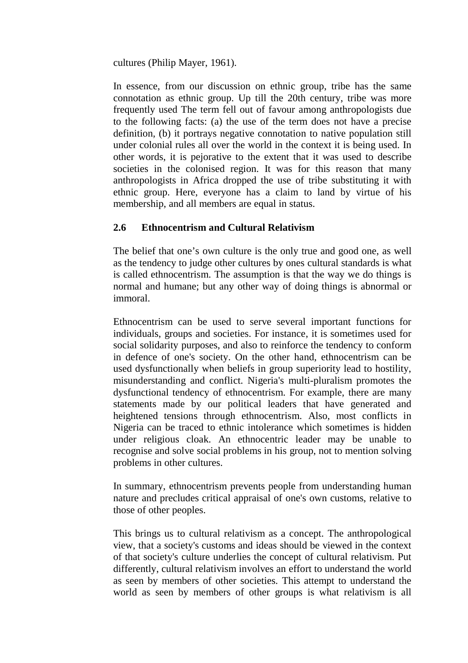cultures (Philip Mayer, 1961).

In essence, from our discussion on ethnic group, tribe has the same connotation as ethnic group. Up till the 20th century, tribe was more frequently used The term fell out of favour among anthropologists due to the following facts: (a) the use of the term does not have a precise definition, (b) it portrays negative connotation to native population still under colonial rules all over the world in the context it is being used. In other words, it is pejorative to the extent that it was used to describe societies in the colonised region. It was for this reason that many anthropologists in Africa dropped the use of tribe substituting it with ethnic group. Here, everyone has a claim to land by virtue of his membership, and all members are equal in status.

# **2.6 Ethnocentrism and Cultural Relativism**

The belief that one's own culture is the only true and good one, as well as the tendency to judge other cultures by ones cultural standards is what is called ethnocentrism. The assumption is that the way we do things is normal and humane; but any other way of doing things is abnormal or immoral.

Ethnocentrism can be used to serve several important functions for individuals, groups and societies. For instance, it is sometimes used for social solidarity purposes, and also to reinforce the tendency to conform in defence of one's society. On the other hand, ethnocentrism can be used dysfunctionally when beliefs in group superiority lead to hostility, misunderstanding and conflict. Nigeria's multi-pluralism promotes the dysfunctional tendency of ethnocentrism. For example, there are many statements made by our political leaders that have generated and heightened tensions through ethnocentrism. Also, most conflicts in Nigeria can be traced to ethnic intolerance which sometimes is hidden under religious cloak. An ethnocentric leader may be unable to recognise and solve social problems in his group, not to mention solving problems in other cultures.

In summary, ethnocentrism prevents people from understanding human nature and precludes critical appraisal of one's own customs, relative to those of other peoples.

This brings us to cultural relativism as a concept. The anthropological view, that a society's customs and ideas should be viewed in the context of that society's culture underlies the concept of cultural relativism. Put differently, cultural relativism involves an effort to understand the world as seen by members of other societies. This attempt to understand the world as seen by members of other groups is what relativism is all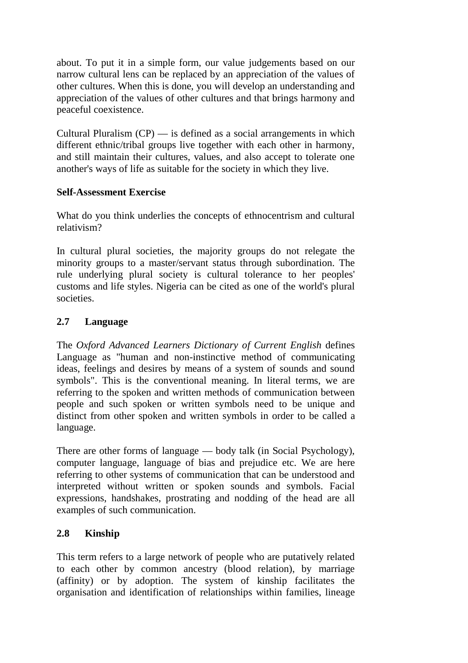about. To put it in a simple form, our value judgements based on our narrow cultural lens can be replaced by an appreciation of the values of other cultures. When this is done, you will develop an understanding and appreciation of the values of other cultures and that brings harmony and peaceful coexistence.

Cultural Pluralism  $(CP)$  — is defined as a social arrangements in which different ethnic/tribal groups live together with each other in harmony, and still maintain their cultures, values, and also accept to tolerate one another's ways of life as suitable for the society in which they live.

# **Self-Assessment Exercise**

What do you think underlies the concepts of ethnocentrism and cultural relativism?

In cultural plural societies, the majority groups do not relegate the minority groups to a master/servant status through subordination. The rule underlying plural society is cultural tolerance to her peoples' customs and life styles. Nigeria can be cited as one of the world's plural societies.

# **2.7 Language**

The *Oxford Advanced Learners Dictionary of Current English* defines Language as "human and non-instinctive method of communicating ideas, feelings and desires by means of a system of sounds and sound symbols". This is the conventional meaning. In literal terms, we are referring to the spoken and written methods of communication between people and such spoken or written symbols need to be unique and distinct from other spoken and written symbols in order to be called a language.

There are other forms of language — body talk (in Social Psychology), computer language, language of bias and prejudice etc. We are here referring to other systems of communication that can be understood and interpreted without written or spoken sounds and symbols. Facial expressions, handshakes, prostrating and nodding of the head are all examples of such communication.

# **2.8 Kinship**

This term refers to a large network of people who are putatively related to each other by common ancestry (blood relation), by marriage (affinity) or by adoption. The system of kinship facilitates the organisation and identification of relationships within families, lineage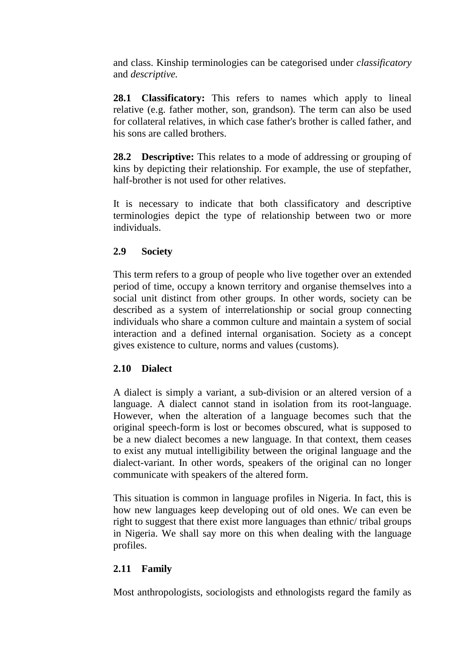and class. Kinship terminologies can be categorised under *classificatory*  and *descriptive.*

**28.1 Classificatory:** This refers to names which apply to lineal relative (e.g. father mother, son, grandson). The term can also be used for collateral relatives, in which case father's brother is called father, and his sons are called brothers.

28.2 **Descriptive:** This relates to a mode of addressing or grouping of kins by depicting their relationship. For example, the use of stepfather, half-brother is not used for other relatives.

It is necessary to indicate that both classificatory and descriptive terminologies depict the type of relationship between two or more individuals.

# **2.9 Society**

This term refers to a group of people who live together over an extended period of time, occupy a known territory and organise themselves into a social unit distinct from other groups. In other words, society can be described as a system of interrelationship or social group connecting individuals who share a common culture and maintain a system of social interaction and a defined internal organisation. Society as a concept gives existence to culture, norms and values (customs).

#### **2.10 Dialect**

A dialect is simply a variant, a sub-division or an altered version of a language. A dialect cannot stand in isolation from its root-language. However, when the alteration of a language becomes such that the original speech-form is lost or becomes obscured, what is supposed to be a new dialect becomes a new language. In that context, them ceases to exist any mutual intelligibility between the original language and the dialect-variant. In other words, speakers of the original can no longer communicate with speakers of the altered form.

This situation is common in language profiles in Nigeria. In fact, this is how new languages keep developing out of old ones. We can even be right to suggest that there exist more languages than ethnic/ tribal groups in Nigeria. We shall say more on this when dealing with the language profiles.

# **2.11 Family**

Most anthropologists, sociologists and ethnologists regard the family as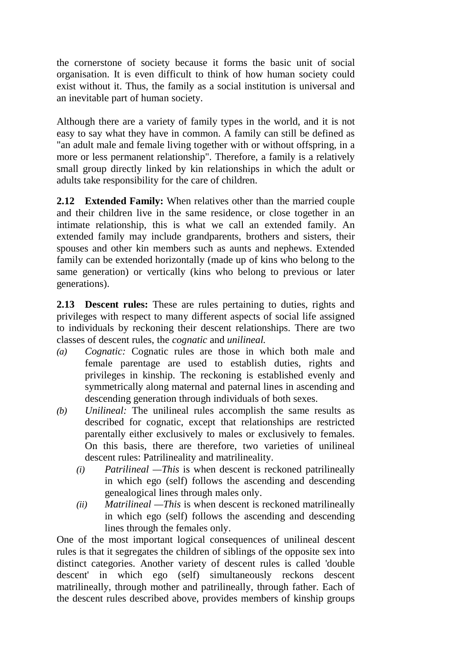the cornerstone of society because it forms the basic unit of social organisation. It is even difficult to think of how human society could exist without it. Thus, the family as a social institution is universal and an inevitable part of human society.

Although there are a variety of family types in the world, and it is not easy to say what they have in common. A family can still be defined as "an adult male and female living together with or without offspring, in a more or less permanent relationship". Therefore, a family is a relatively small group directly linked by kin relationships in which the adult or adults take responsibility for the care of children.

**2.12 Extended Family:** When relatives other than the married couple and their children live in the same residence, or close together in an intimate relationship, this is what we call an extended family. An extended family may include grandparents, brothers and sisters, their spouses and other kin members such as aunts and nephews. Extended family can be extended horizontally (made up of kins who belong to the same generation) or vertically (kins who belong to previous or later generations).

**2.13 Descent rules:** These are rules pertaining to duties, rights and privileges with respect to many different aspects of social life assigned to individuals by reckoning their descent relationships. There are two classes of descent rules, the *cognatic* and *unilineal.*

- *(a) Cognatic:* Cognatic rules are those in which both male and female parentage are used to establish duties, rights and privileges in kinship. The reckoning is established evenly and symmetrically along maternal and paternal lines in ascending and descending generation through individuals of both sexes.
- *(b) Unilineal:* The unilineal rules accomplish the same results as described for cognatic, except that relationships are restricted parentally either exclusively to males or exclusively to females. On this basis, there are therefore, two varieties of unilineal descent rules: Patrilineality and matrilineality.
	- *(i) Patrilineal —This* is when descent is reckoned patrilineally in which ego (self) follows the ascending and descending genealogical lines through males only.
	- *(ii) Matrilineal —This* is when descent is reckoned matrilineally in which ego (self) follows the ascending and descending lines through the females only.

One of the most important logical consequences of unilineal descent rules is that it segregates the children of siblings of the opposite sex into distinct categories. Another variety of descent rules is called 'double descent' in which ego (self) simultaneously reckons descent matrilineally, through mother and patrilineally, through father. Each of the descent rules described above, provides members of kinship groups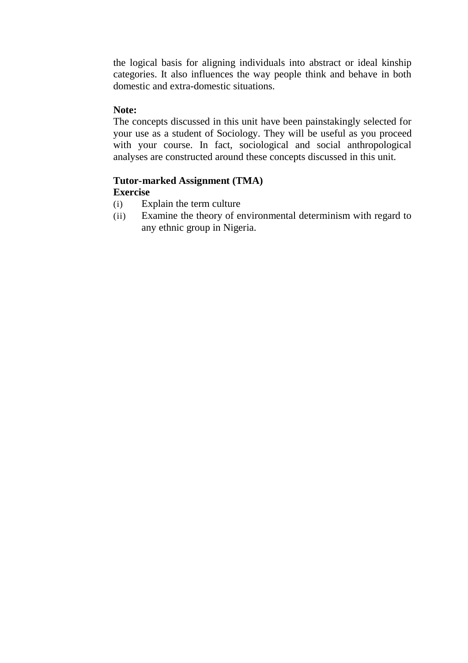the logical basis for aligning individuals into abstract or ideal kinship categories. It also influences the way people think and behave in both domestic and extra-domestic situations.

#### **Note:**

The concepts discussed in this unit have been painstakingly selected for your use as a student of Sociology. They will be useful as you proceed with your course. In fact, sociological and social anthropological analyses are constructed around these concepts discussed in this unit.

#### **Tutor-marked Assignment (TMA) Exercise**

- (i) Explain the term culture
- (ii) Examine the theory of environmental determinism with regard to any ethnic group in Nigeria.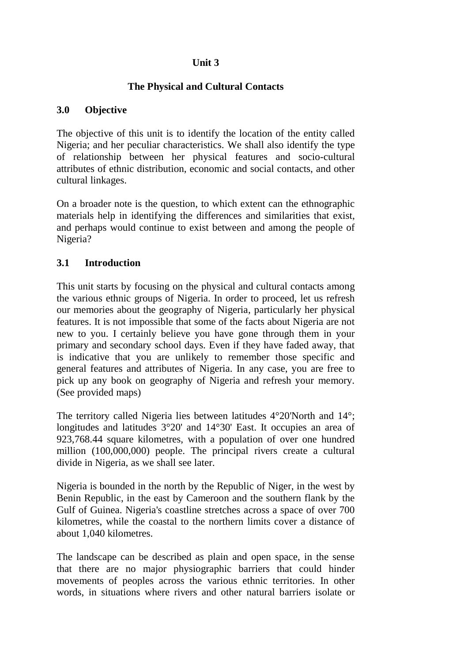# **Unit 3**

#### **The Physical and Cultural Contacts**

#### **3.0 Objective**

The objective of this unit is to identify the location of the entity called Nigeria; and her peculiar characteristics. We shall also identify the type of relationship between her physical features and socio-cultural attributes of ethnic distribution, economic and social contacts, and other cultural linkages.

On a broader note is the question, to which extent can the ethnographic materials help in identifying the differences and similarities that exist, and perhaps would continue to exist between and among the people of Nigeria?

# **3.1 Introduction**

This unit starts by focusing on the physical and cultural contacts among the various ethnic groups of Nigeria. In order to proceed, let us refresh our memories about the geography of Nigeria, particularly her physical features. It is not impossible that some of the facts about Nigeria are not new to you. I certainly believe you have gone through them in your primary and secondary school days. Even if they have faded away, that is indicative that you are unlikely to remember those specific and general features and attributes of Nigeria. In any case, you are free to pick up any book on geography of Nigeria and refresh your memory. (See provided maps)

The territory called Nigeria lies between latitudes 4°20'North and 14°; longitudes and latitudes 3°20' and 14°30' East. It occupies an area of 923,768.44 square kilometres, with a population of over one hundred million (100,000,000) people. The principal rivers create a cultural divide in Nigeria, as we shall see later.

Nigeria is bounded in the north by the Republic of Niger, in the west by Benin Republic, in the east by Cameroon and the southern flank by the Gulf of Guinea. Nigeria's coastline stretches across a space of over 700 kilometres, while the coastal to the northern limits cover a distance of about 1,040 kilometres.

The landscape can be described as plain and open space, in the sense that there are no major physiographic barriers that could hinder movements of peoples across the various ethnic territories. In other words, in situations where rivers and other natural barriers isolate or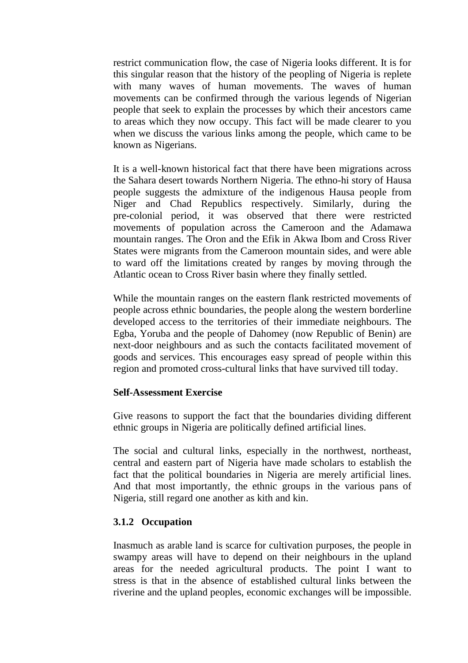restrict communication flow, the case of Nigeria looks different. It is for this singular reason that the history of the peopling of Nigeria is replete with many waves of human movements. The waves of human movements can be confirmed through the various legends of Nigerian people that seek to explain the processes by which their ancestors came to areas which they now occupy. This fact will be made clearer to you when we discuss the various links among the people, which came to be known as Nigerians.

It is a well-known historical fact that there have been migrations across the Sahara desert towards Northern Nigeria. The ethno-hi story of Hausa people suggests the admixture of the indigenous Hausa people from Niger and Chad Republics respectively. Similarly, during the pre-colonial period, it was observed that there were restricted movements of population across the Cameroon and the Adamawa mountain ranges. The Oron and the Efik in Akwa Ibom and Cross River States were migrants from the Cameroon mountain sides, and were able to ward off the limitations created by ranges by moving through the Atlantic ocean to Cross River basin where they finally settled.

While the mountain ranges on the eastern flank restricted movements of people across ethnic boundaries, the people along the western borderline developed access to the territories of their immediate neighbours. The Egba, Yoruba and the people of Dahomey (now Republic of Benin) are next-door neighbours and as such the contacts facilitated movement of goods and services. This encourages easy spread of people within this region and promoted cross-cultural links that have survived till today.

#### **Self-Assessment Exercise**

Give reasons to support the fact that the boundaries dividing different ethnic groups in Nigeria are politically defined artificial lines.

The social and cultural links, especially in the northwest, northeast, central and eastern part of Nigeria have made scholars to establish the fact that the political boundaries in Nigeria are merely artificial lines. And that most importantly, the ethnic groups in the various pans of Nigeria, still regard one another as kith and kin.

#### **3.1.2 Occupation**

Inasmuch as arable land is scarce for cultivation purposes, the people in swampy areas will have to depend on their neighbours in the upland areas for the needed agricultural products. The point I want to stress is that in the absence of established cultural links between the riverine and the upland peoples, economic exchanges will be impossible.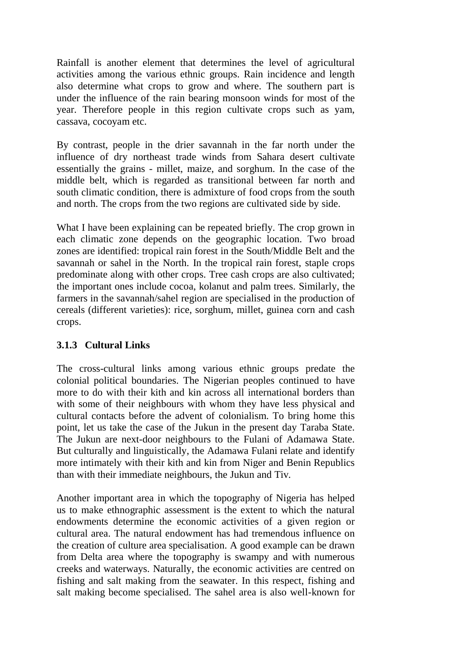Rainfall is another element that determines the level of agricultural activities among the various ethnic groups. Rain incidence and length also determine what crops to grow and where. The southern part is under the influence of the rain bearing monsoon winds for most of the year. Therefore people in this region cultivate crops such as yam, cassava, cocoyam etc.

By contrast, people in the drier savannah in the far north under the influence of dry northeast trade winds from Sahara desert cultivate essentially the grains - millet, maize, and sorghum. In the case of the middle belt, which is regarded as transitional between far north and south climatic condition, there is admixture of food crops from the south and north. The crops from the two regions are cultivated side by side.

What I have been explaining can be repeated briefly. The crop grown in each climatic zone depends on the geographic location. Two broad zones are identified: tropical rain forest in the South/Middle Belt and the savannah or sahel in the North. In the tropical rain forest, staple crops predominate along with other crops. Tree cash crops are also cultivated; the important ones include cocoa, kolanut and palm trees. Similarly, the farmers in the savannah/sahel region are specialised in the production of cereals (different varieties): rice, sorghum, millet, guinea corn and cash crops.

#### **3.1.3 Cultural Links**

The cross-cultural links among various ethnic groups predate the colonial political boundaries. The Nigerian peoples continued to have more to do with their kith and kin across all international borders than with some of their neighbours with whom they have less physical and cultural contacts before the advent of colonialism. To bring home this point, let us take the case of the Jukun in the present day Taraba State. The Jukun are next-door neighbours to the Fulani of Adamawa State. But culturally and linguistically, the Adamawa Fulani relate and identify more intimately with their kith and kin from Niger and Benin Republics than with their immediate neighbours, the Jukun and Tiv.

Another important area in which the topography of Nigeria has helped us to make ethnographic assessment is the extent to which the natural endowments determine the economic activities of a given region or cultural area. The natural endowment has had tremendous influence on the creation of culture area specialisation. A good example can be drawn from Delta area where the topography is swampy and with numerous creeks and waterways. Naturally, the economic activities are centred on fishing and salt making from the seawater. In this respect, fishing and salt making become specialised. The sahel area is also well-known for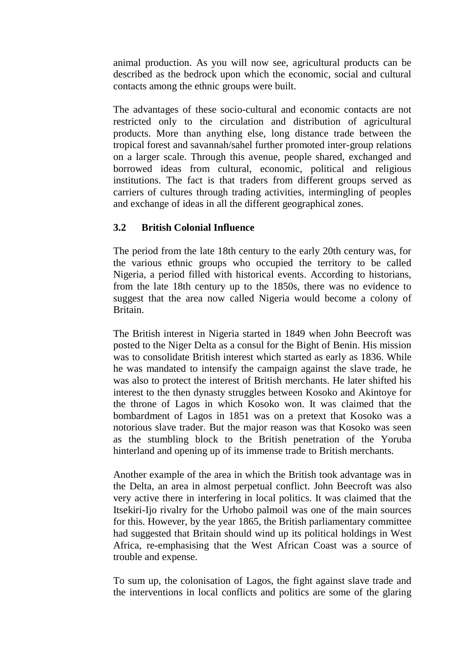animal production. As you will now see, agricultural products can be described as the bedrock upon which the economic, social and cultural contacts among the ethnic groups were built.

The advantages of these socio-cultural and economic contacts are not restricted only to the circulation and distribution of agricultural products. More than anything else, long distance trade between the tropical forest and savannah/sahel further promoted inter-group relations on a larger scale. Through this avenue, people shared, exchanged and borrowed ideas from cultural, economic, political and religious institutions. The fact is that traders from different groups served as carriers of cultures through trading activities, intermingling of peoples and exchange of ideas in all the different geographical zones.

#### **3.2 British Colonial Influence**

The period from the late 18th century to the early 20th century was, for the various ethnic groups who occupied the territory to be called Nigeria, a period filled with historical events. According to historians, from the late 18th century up to the 1850s, there was no evidence to suggest that the area now called Nigeria would become a colony of Britain.

The British interest in Nigeria started in 1849 when John Beecroft was posted to the Niger Delta as a consul for the Bight of Benin. His mission was to consolidate British interest which started as early as 1836. While he was mandated to intensify the campaign against the slave trade, he was also to protect the interest of British merchants. He later shifted his interest to the then dynasty struggles between Kosoko and Akintoye for the throne of Lagos in which Kosoko won. It was claimed that the bombardment of Lagos in 1851 was on a pretext that Kosoko was a notorious slave trader. But the major reason was that Kosoko was seen as the stumbling block to the British penetration of the Yoruba hinterland and opening up of its immense trade to British merchants.

Another example of the area in which the British took advantage was in the Delta, an area in almost perpetual conflict. John Beecroft was also very active there in interfering in local politics. It was claimed that the Itsekiri-Ijo rivalry for the Urhobo palmoil was one of the main sources for this. However, by the year 1865, the British parliamentary committee had suggested that Britain should wind up its political holdings in West Africa, re-emphasising that the West African Coast was a source of trouble and expense.

To sum up, the colonisation of Lagos, the fight against slave trade and the interventions in local conflicts and politics are some of the glaring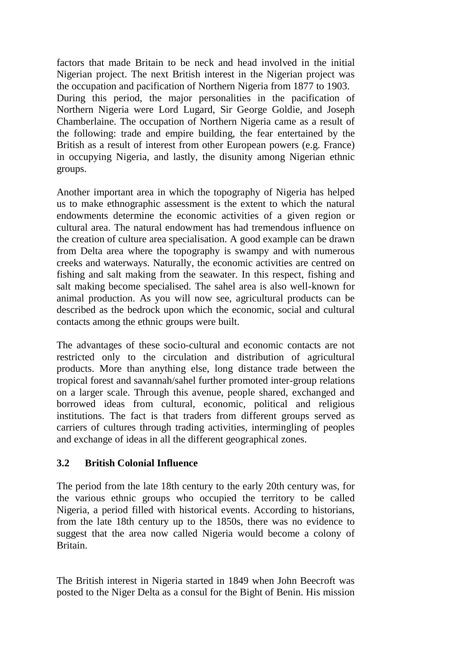factors that made Britain to be neck and head involved in the initial Nigerian project. The next British interest in the Nigerian project was the occupation and pacification of Northern Nigeria from 1877 to 1903. During this period, the major personalities in the pacification of Northern Nigeria were Lord Lugard, Sir George Goldie, and Joseph Chamberlaine. The occupation of Northern Nigeria came as a result of the following: trade and empire building, the fear entertained by the British as a result of interest from other European powers (e.g. France) in occupying Nigeria, and lastly, the disunity among Nigerian ethnic groups.

Another important area in which the topography of Nigeria has helped us to make ethnographic assessment is the extent to which the natural endowments determine the economic activities of a given region or cultural area. The natural endowment has had tremendous influence on the creation of culture area specialisation. A good example can be drawn from Delta area where the topography is swampy and with numerous creeks and waterways. Naturally, the economic activities are centred on fishing and salt making from the seawater. In this respect, fishing and salt making become specialised. The sahel area is also well-known for animal production. As you will now see, agricultural products can be described as the bedrock upon which the economic, social and cultural contacts among the ethnic groups were built.

The advantages of these socio-cultural and economic contacts are not restricted only to the circulation and distribution of agricultural products. More than anything else, long distance trade between the tropical forest and savannah/sahel further promoted inter-group relations on a larger scale. Through this avenue, people shared, exchanged and borrowed ideas from cultural, economic, political and religious institutions. The fact is that traders from different groups served as carriers of cultures through trading activities, intermingling of peoples and exchange of ideas in all the different geographical zones.

#### **3.2 British Colonial Influence**

The period from the late 18th century to the early 20th century was, for the various ethnic groups who occupied the territory to be called Nigeria, a period filled with historical events. According to historians, from the late 18th century up to the 1850s, there was no evidence to suggest that the area now called Nigeria would become a colony of Britain.

The British interest in Nigeria started in 1849 when John Beecroft was posted to the Niger Delta as a consul for the Bight of Benin. His mission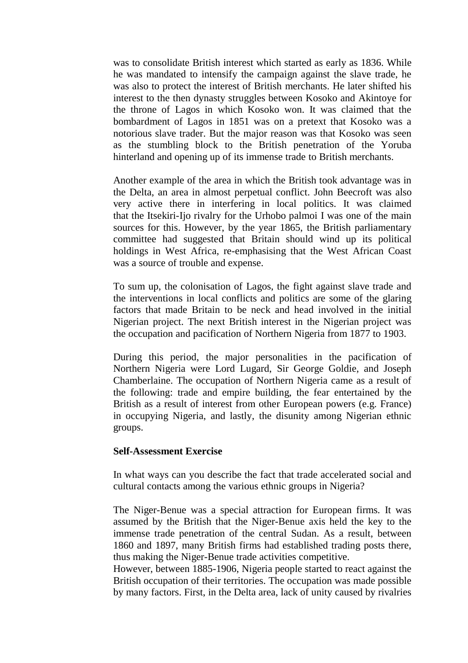was to consolidate British interest which started as early as 1836. While he was mandated to intensify the campaign against the slave trade, he was also to protect the interest of British merchants. He later shifted his interest to the then dynasty struggles between Kosoko and Akintoye for the throne of Lagos in which Kosoko won. It was claimed that the bombardment of Lagos in 1851 was on a pretext that Kosoko was a notorious slave trader. But the major reason was that Kosoko was seen as the stumbling block to the British penetration of the Yoruba hinterland and opening up of its immense trade to British merchants.

Another example of the area in which the British took advantage was in the Delta, an area in almost perpetual conflict. John Beecroft was also very active there in interfering in local politics. It was claimed that the Itsekiri-Ijo rivalry for the Urhobo palmoi I was one of the main sources for this. However, by the year 1865, the British parliamentary committee had suggested that Britain should wind up its political holdings in West Africa, re-emphasising that the West African Coast was a source of trouble and expense.

To sum up, the colonisation of Lagos, the fight against slave trade and the interventions in local conflicts and politics are some of the glaring factors that made Britain to be neck and head involved in the initial Nigerian project. The next British interest in the Nigerian project was the occupation and pacification of Northern Nigeria from 1877 to 1903.

During this period, the major personalities in the pacification of Northern Nigeria were Lord Lugard, Sir George Goldie, and Joseph Chamberlaine. The occupation of Northern Nigeria came as a result of the following: trade and empire building, the fear entertained by the British as a result of interest from other European powers (e.g. France) in occupying Nigeria, and lastly, the disunity among Nigerian ethnic groups.

#### **Self-Assessment Exercise**

In what ways can you describe the fact that trade accelerated social and cultural contacts among the various ethnic groups in Nigeria?

The Niger-Benue was a special attraction for European firms. It was assumed by the British that the Niger-Benue axis held the key to the immense trade penetration of the central Sudan. As a result, between 1860 and 1897, many British firms had established trading posts there, thus making the Niger-Benue trade activities competitive.

However, between 1885-1906, Nigeria people started to react against the British occupation of their territories. The occupation was made possible by many factors. First, in the Delta area, lack of unity caused by rivalries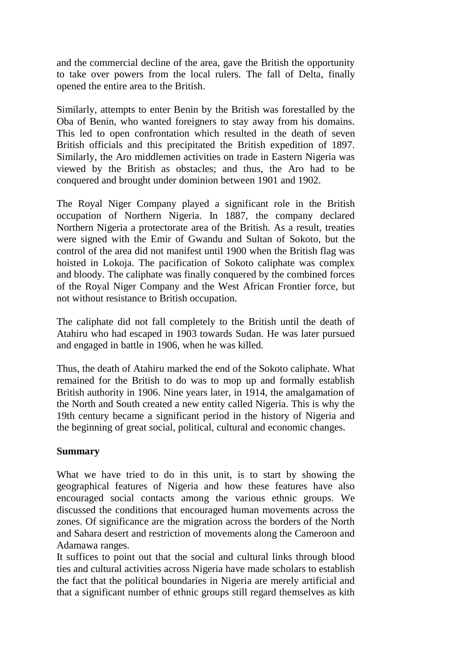and the commercial decline of the area, gave the British the opportunity to take over powers from the local rulers. The fall of Delta, finally opened the entire area to the British.

Similarly, attempts to enter Benin by the British was forestalled by the Oba of Benin, who wanted foreigners to stay away from his domains. This led to open confrontation which resulted in the death of seven British officials and this precipitated the British expedition of 1897. Similarly, the Aro middlemen activities on trade in Eastern Nigeria was viewed by the British as obstacles; and thus, the Aro had to be conquered and brought under dominion between 1901 and 1902.

The Royal Niger Company played a significant role in the British occupation of Northern Nigeria. In 1887, the company declared Northern Nigeria a protectorate area of the British. As a result, treaties were signed with the Emir of Gwandu and Sultan of Sokoto, but the control of the area did not manifest until 1900 when the British flag was hoisted in Lokoja. The pacification of Sokoto caliphate was complex and bloody. The caliphate was finally conquered by the combined forces of the Royal Niger Company and the West African Frontier force, but not without resistance to British occupation.

The caliphate did not fall completely to the British until the death of Atahiru who had escaped in 1903 towards Sudan. He was later pursued and engaged in battle in 1906, when he was killed.

Thus, the death of Atahiru marked the end of the Sokoto caliphate. What remained for the British to do was to mop up and formally establish British authority in 1906. Nine years later, in 1914, the amalgamation of the North and South created a new entity called Nigeria. This is why the 19th century became a significant period in the history of Nigeria and the beginning of great social, political, cultural and economic changes.

#### **Summary**

What we have tried to do in this unit, is to start by showing the geographical features of Nigeria and how these features have also encouraged social contacts among the various ethnic groups. We discussed the conditions that encouraged human movements across the zones. Of significance are the migration across the borders of the North and Sahara desert and restriction of movements along the Cameroon and Adamawa ranges.

It suffices to point out that the social and cultural links through blood ties and cultural activities across Nigeria have made scholars to establish the fact that the political boundaries in Nigeria are merely artificial and that a significant number of ethnic groups still regard themselves as kith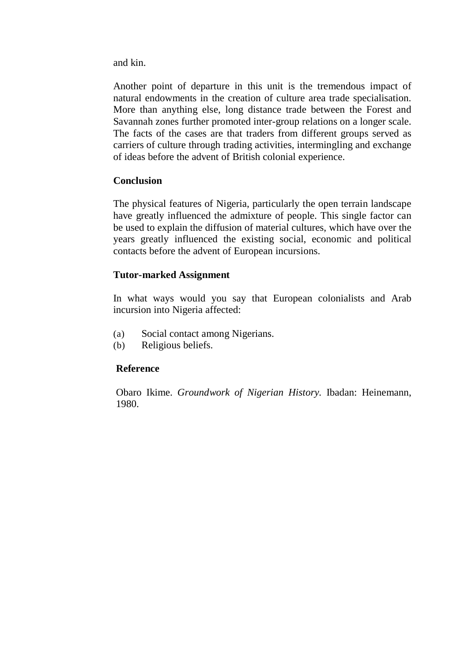and kin.

Another point of departure in this unit is the tremendous impact of natural endowments in the creation of culture area trade specialisation. More than anything else, long distance trade between the Forest and Savannah zones further promoted inter-group relations on a longer scale. The facts of the cases are that traders from different groups served as carriers of culture through trading activities, intermingling and exchange of ideas before the advent of British colonial experience.

#### **Conclusion**

The physical features of Nigeria, particularly the open terrain landscape have greatly influenced the admixture of people. This single factor can be used to explain the diffusion of material cultures, which have over the years greatly influenced the existing social, economic and political contacts before the advent of European incursions.

#### **Tutor-marked Assignment**

In what ways would you say that European colonialists and Arab incursion into Nigeria affected:

- (a) Social contact among Nigerians.
- (b) Religious beliefs.

#### **Reference**

Obaro Ikime. *Groundwork of Nigerian History.* Ibadan: Heinemann, 1980.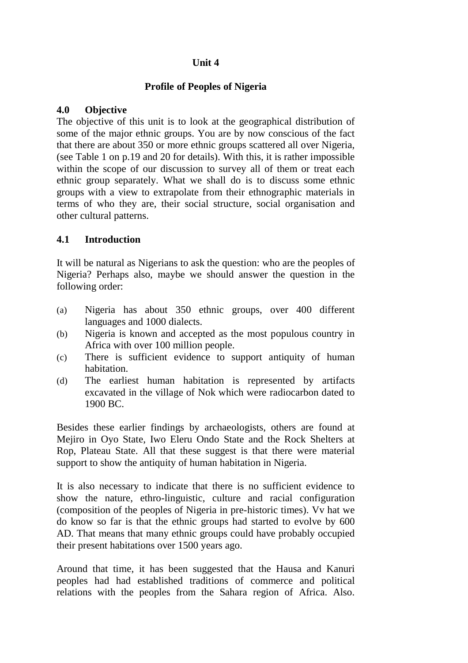#### **Unit 4**

#### **Profile of Peoples of Nigeria**

#### **4.0 Objective**

The objective of this unit is to look at the geographical distribution of some of the major ethnic groups. You are by now conscious of the fact that there are about 350 or more ethnic groups scattered all over Nigeria, (see Table 1 on p.19 and 20 for details). With this, it is rather impossible within the scope of our discussion to survey all of them or treat each ethnic group separately. What we shall do is to discuss some ethnic groups with a view to extrapolate from their ethnographic materials in terms of who they are, their social structure, social organisation and other cultural patterns.

#### **4.1 Introduction**

It will be natural as Nigerians to ask the question: who are the peoples of Nigeria? Perhaps also, maybe we should answer the question in the following order:

- (a) Nigeria has about 350 ethnic groups, over 400 different languages and 1000 dialects.
- (b) Nigeria is known and accepted as the most populous country in Africa with over 100 million people.
- (c) There is sufficient evidence to support antiquity of human habitation.
- (d) The earliest human habitation is represented by artifacts excavated in the village of Nok which were radiocarbon dated to 1900 BC.

Besides these earlier findings by archaeologists, others are found at Mejiro in Oyo State, Iwo Eleru Ondo State and the Rock Shelters at Rop, Plateau State. All that these suggest is that there were material support to show the antiquity of human habitation in Nigeria.

It is also necessary to indicate that there is no sufficient evidence to show the nature, ethro-linguistic, culture and racial configuration (composition of the peoples of Nigeria in pre-historic times). Vv hat we do know so far is that the ethnic groups had started to evolve by 600 AD. That means that many ethnic groups could have probably occupied their present habitations over 1500 years ago.

Around that time, it has been suggested that the Hausa and Kanuri peoples had had established traditions of commerce and political relations with the peoples from the Sahara region of Africa. Also.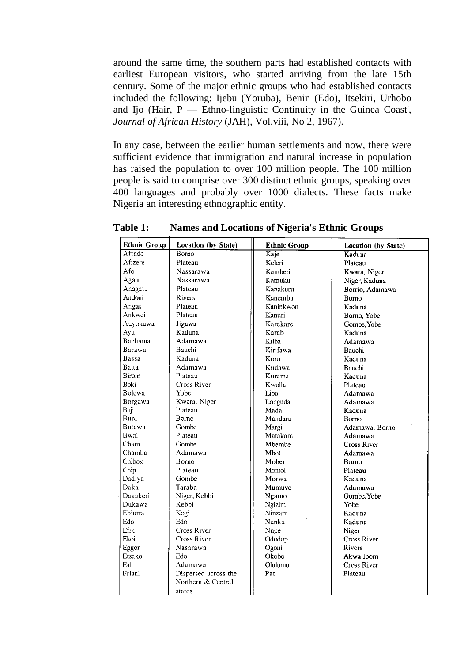around the same time, the southern parts had established contacts with earliest European visitors, who started arriving from the late 15th century. Some of the major ethnic groups who had established contacts included the following: Ijebu (Yoruba), Benin (Edo), Itsekiri, Urhobo and Ijo (Hair, P — Ethno-linguistic Continuity in the Guinea Coast', *Journal of African History* (JAH), Vol.viii, No 2, 1967).

In any case, between the earlier human settlements and now, there were sufficient evidence that immigration and natural increase in population has raised the population to over 100 million people. The 100 million people is said to comprise over 300 distinct ethnic groups, speaking over 400 languages and probably over 1000 dialects. These facts make Nigeria an interesting ethnographic entity.

| <b>Ethnic Group</b> | <b>Location (by State)</b> | <b>Ethnic Group</b> | Location (by State) |
|---------------------|----------------------------|---------------------|---------------------|
| Affade              | Borno                      | Kaje                | Kaduna              |
| Afizere             | Plateau                    | Keleri              | Plateau             |
| Afo                 | Nassarawa                  | Kamberi             | Kwara, Niger        |
| Agatu               | Nassarawa                  | Kamuku              | Niger, Kaduna       |
| Anagatu             | Plateau                    | Kanakuru            | Borrio, Adamawa     |
| Andoni              | <b>Rivers</b>              | Kanembu             | <b>Bomo</b>         |
| Angas               | Plateau                    | Kaninkwon           | Kaduna              |
| Ankwei              | Plateau                    | Kanuri              | Borno, Yobe         |
| Auyokawa            | Jigawa                     | Karekare            | Gombe, Yobe         |
| Ayu                 | Kaduna                     | Karab               | Kaduna              |
| Bachama             | Adamawa                    | Kilba               | Adamawa             |
| Barawa              | Bauchi                     | Kirifawa            | Bauchi              |
| Bassa               | Kaduna                     | Koro                | Kaduna              |
| Batta               | Adamawa                    | Kudawa              | Bauchi              |
| <b>Birom</b>        | Plateau                    | Kurama              | Kaduna              |
| Boki                | Cross River                | Kwolla              | Plateau             |
| <b>Bolewa</b>       | Yobe                       | Libo                | Adamawa             |
| Borgawa             | Kwara, Niger               | Longuda             | Adamawa             |
| Buji                | Plateau                    | Mada                | Kaduna              |
| <b>Bura</b>         | <b>Borno</b>               | Mandara             | Bomo                |
| <b>Butawa</b>       | Gombe                      | Margi               | Adamawa, Borno      |
| Bwol                | Plateau                    | Matakam             | Adamawa             |
| Cham                | Gombe                      | Mbembe              | <b>Cross River</b>  |
| Chamba              | Adamawa                    | Mbot                | Adamawa             |
| Chibok.             | Borno                      | Mober               | Borno               |
| Chip                | Plateau                    | Montol              | Plateau             |
| Dadiya              | Gombe                      | Morwa               | Kaduna              |
| Daka                | Taraba                     | Mumuve              | Adamawa             |
| Dakakeri            | Niger, Kebbi               | Ngamo               | Gombe, Yobe         |
| Dukawa              | Kebbi                      | Ngizim              | Yobe                |
| Ebiurra             | Kogi                       | Ninzam              | Kaduna              |
| Edo                 | Edo                        | Nunku               | Kaduna              |
| Efik                | Cross River                | Nupe                | Niger               |
| Ekoi                | <b>Cross River</b>         | Ododop              | <b>Cross River</b>  |
| Eggon               | Nasarawa                   | Ogoni               | <b>Rivers</b>       |
| Etsako              | Edo                        | Okobo               | Akwa Ibom           |
| Fali                | Adamawa                    | Olulumo             | <b>Cross River</b>  |
| Fulani              | Dispersed across the       | Pat                 | Plateau             |
|                     | Northern & Central         |                     |                     |
|                     | states                     |                     |                     |

**Table 1: Names and Locations of Nigeria's Ethnic Groups**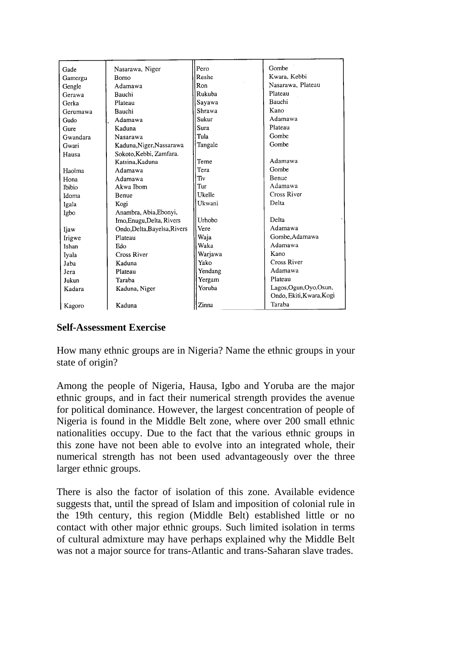| Gade          | Nasarawa, Niger              | Pero    | Gombe                    |
|---------------|------------------------------|---------|--------------------------|
| Gamergu       | Borno                        | Reshe   | Kwara, Kebbi             |
| Gengle        | Adamawa                      | Ron     | Nasarawa, Plateau        |
| Gerawa        | Bauchi                       | Rukuba  | Plateau                  |
| Gerka         | Plateau                      | Sayawa  | Bauchi                   |
| Gerumawa      | Bauchi                       | Shrawa  | Kano                     |
| Gudo          | Adamawa                      | Sukur   | Adamawa                  |
| Gure          | Kaduna                       | Sura    | Plateau                  |
| Gwandara      | Nasarawa                     | Tula    | Gombe                    |
| Gwari         | Kaduna, Niger, Nassarawa     | Tangale | Gombe                    |
| Hausa         | Sokoto, Kebbi, Zamfara.      |         |                          |
|               | Katsina, Kaduna              | Teme    | Adamawa                  |
| Haolma        | Adamawa                      | Tera    | Gombe                    |
| Hona          | Adamawa                      | Tiv     | Benue                    |
| <b>Thibio</b> | Akwa Ibom                    | Tur     | Adamawa                  |
| Idoma         | Benue                        | Ukelle  | Cross River              |
| Igala         | Kogi                         | Ukwani  | Delta                    |
| Igbo          | Anambra, Abia, Ebonyi,       |         |                          |
|               | Imo, Enugu, Delta, Rivers    | Urhobo  | Delta                    |
| Ijaw          | Ondo, Delta, Bayelsa, Rivers | Vere    | Adamawa                  |
| Irigwe        | Plateau                      | Waja    | Gombe, Adamawa           |
| Ishan         | Edo                          | Waka    | Adamawa                  |
| Iyala         | <b>Cross River</b>           | Warjawa | Kano                     |
| Jaba          | Kaduna                       | Yako    | Cross River              |
| Jera          | Plateau                      | Yendang | Adamawa                  |
| Jukun         | Taraba                       | Yergam  | Plateau                  |
| Kadara        | Kaduna, Niger                | Yoruba  | Lagos, Ogun, Oyo, Osun,  |
|               |                              |         | Ondo, Ekiti, Kwara, Kogi |
| Kagoro        | Kaduna                       | Zinna   | Taraba                   |

#### **Self-Assessment Exercise**

How many ethnic groups are in Nigeria? Name the ethnic groups in your state of origin?

Among the people of Nigeria, Hausa, Igbo and Yoruba are the major ethnic groups, and in fact their numerical strength provides the avenue for political dominance. However, the largest concentration of people of Nigeria is found in the Middle Belt zone, where over 200 small ethnic nationalities occupy. Due to the fact that the various ethnic groups in this zone have not been able to evolve into an integrated whole, their numerical strength has not been used advantageously over the three larger ethnic groups.

There is also the factor of isolation of this zone. Available evidence suggests that, until the spread of Islam and imposition of colonial rule in the 19th century, this region (Middle Belt) established little or no contact with other major ethnic groups. Such limited isolation in terms of cultural admixture may have perhaps explained why the Middle Belt was not a major source for trans-Atlantic and trans-Saharan slave trades.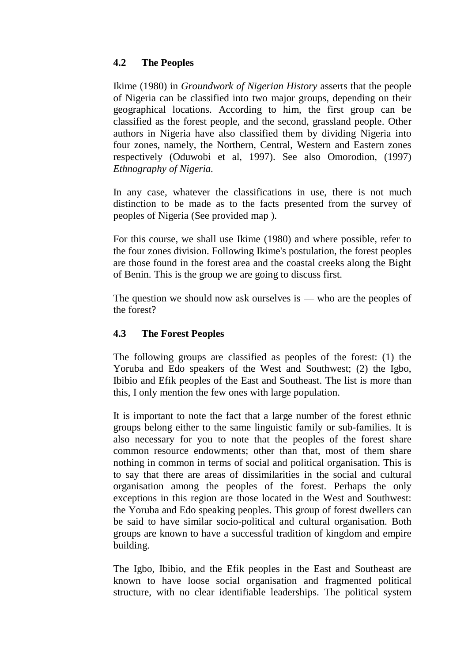# **4.2 The Peoples**

Ikime (1980) in *Groundwork of Nigerian History* asserts that the people of Nigeria can be classified into two major groups, depending on their geographical locations. According to him, the first group can be classified as the forest people, and the second, grassland people. Other authors in Nigeria have also classified them by dividing Nigeria into four zones, namely, the Northern, Central, Western and Eastern zones respectively (Oduwobi et al, 1997). See also Omorodion, (1997) *Ethnography of Nigeria.*

In any case, whatever the classifications in use, there is not much distinction to be made as to the facts presented from the survey of peoples of Nigeria (See provided map ).

For this course, we shall use Ikime (1980) and where possible, refer to the four zones division. Following Ikime's postulation, the forest peoples are those found in the forest area and the coastal creeks along the Bight of Benin. This is the group we are going to discuss first.

The question we should now ask ourselves is — who are the peoples of the forest?

# **4.3 The Forest Peoples**

The following groups are classified as peoples of the forest: (1) the Yoruba and Edo speakers of the West and Southwest; (2) the Igbo, Ibibio and Efik peoples of the East and Southeast. The list is more than this, I only mention the few ones with large population.

It is important to note the fact that a large number of the forest ethnic groups belong either to the same linguistic family or sub-families. It is also necessary for you to note that the peoples of the forest share common resource endowments; other than that, most of them share nothing in common in terms of social and political organisation. This is to say that there are areas of dissimilarities in the social and cultural organisation among the peoples of the forest. Perhaps the only exceptions in this region are those located in the West and Southwest: the Yoruba and Edo speaking peoples. This group of forest dwellers can be said to have similar socio-political and cultural organisation. Both groups are known to have a successful tradition of kingdom and empire building.

The Igbo, Ibibio, and the Efik peoples in the East and Southeast are known to have loose social organisation and fragmented political structure, with no clear identifiable leaderships. The political system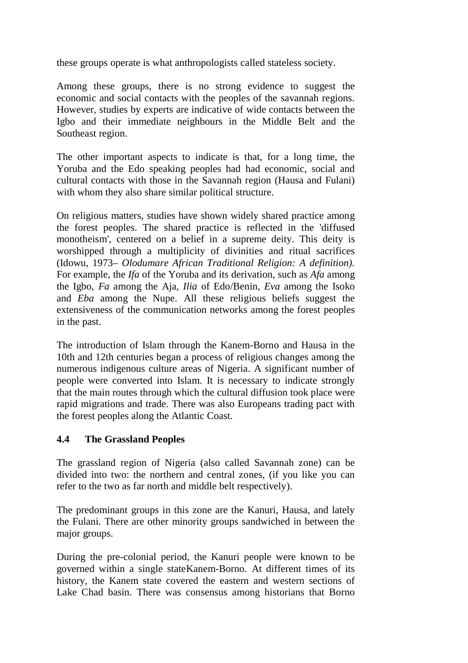these groups operate is what anthropologists called stateless society.

Among these groups, there is no strong evidence to suggest the economic and social contacts with the peoples of the savannah regions. However, studies by experts are indicative of wide contacts between the Igbo and their immediate neighbours in the Middle Belt and the Southeast region.

The other important aspects to indicate is that, for a long time, the Yoruba and the Edo speaking peoples had had economic, social and cultural contacts with those in the Savannah region (Hausa and Fulani) with whom they also share similar political structure.

On religious matters, studies have shown widely shared practice among the forest peoples. The shared practice is reflected in the 'diffused monotheism', centered on a belief in a supreme deity. This deity is worshipped through a multiplicity of divinities and ritual sacrifices (Idowu, 1973– *Olodumare African Traditional Religion: A definition).*  For example, the *Ifa* of the Yoruba and its derivation, such as *Afa* among the Igbo, *Fa* among the Aja, *Ilia* of Edo/Benin, *Eva* among the Isoko and *Eba* among the Nupe. All these religious beliefs suggest the extensiveness of the communication networks among the forest peoples in the past.

The introduction of Islam through the Kanem-Borno and Hausa in the 10th and 12th centuries began a process of religious changes among the numerous indigenous culture areas of Nigeria. A significant number of people were converted into Islam. It is necessary to indicate strongly that the main routes through which the cultural diffusion took place were rapid migrations and trade. There was also Europeans trading pact with the forest peoples along the Atlantic Coast.

# **4.4 The Grassland Peoples**

The grassland region of Nigeria (also called Savannah zone) can be divided into two: the northern and central zones, (if you like you can refer to the two as far north and middle belt respectively).

The predominant groups in this zone are the Kanuri, Hausa, and lately the Fulani. There are other minority groups sandwiched in between the major groups.

During the pre-colonial period, the Kanuri people were known to be governed within a single stateKanem-Borno. At different times of its history, the Kanem state covered the eastern and western sections of Lake Chad basin. There was consensus among historians that Borno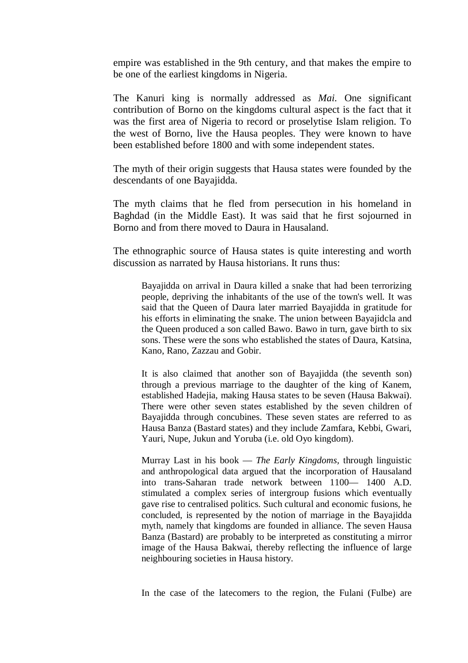empire was established in the 9th century, and that makes the empire to be one of the earliest kingdoms in Nigeria.

The Kanuri king is normally addressed as *Mai.* One significant contribution of Borno on the kingdoms cultural aspect is the fact that it was the first area of Nigeria to record or proselytise Islam religion. To the west of Borno, live the Hausa peoples. They were known to have been established before 1800 and with some independent states.

The myth of their origin suggests that Hausa states were founded by the descendants of one Bayajidda.

The myth claims that he fled from persecution in his homeland in Baghdad (in the Middle East). It was said that he first sojourned in Borno and from there moved to Daura in Hausaland.

The ethnographic source of Hausa states is quite interesting and worth discussion as narrated by Hausa historians. It runs thus:

Bayajidda on arrival in Daura killed a snake that had been terrorizing people, depriving the inhabitants of the use of the town's well. It was said that the Queen of Daura later married Bayajidda in gratitude for his efforts in eliminating the snake. The union between Bayajidcla and the Queen produced a son called Bawo. Bawo in turn, gave birth to six sons. These were the sons who established the states of Daura, Katsina, Kano, Rano, Zazzau and Gobir.

It is also claimed that another son of Bayajidda (the seventh son) through a previous marriage to the daughter of the king of Kanem, established Hadejia, making Hausa states to be seven (Hausa Bakwai). There were other seven states established by the seven children of Bayajidda through concubines. These seven states are referred to as Hausa Banza (Bastard states) and they include Zamfara, Kebbi, Gwari, Yauri, Nupe, Jukun and Yoruba (i.e. old Oyo kingdom).

Murray Last in his book — *The Early Kingdoms,* through linguistic and anthropological data argued that the incorporation of Hausaland into trans-Saharan trade network between 1100— 1400 A.D. stimulated a complex series of intergroup fusions which eventually gave rise to centralised politics. Such cultural and economic fusions, he concluded, is represented by the notion of marriage in the Bayajidda myth, namely that kingdoms are founded in alliance. The seven Hausa Banza (Bastard) are probably to be interpreted as constituting a mirror image of the Hausa Bakwai, thereby reflecting the influence of large neighbouring societies in Hausa history.

In the case of the latecomers to the region, the Fulani (Fulbe) are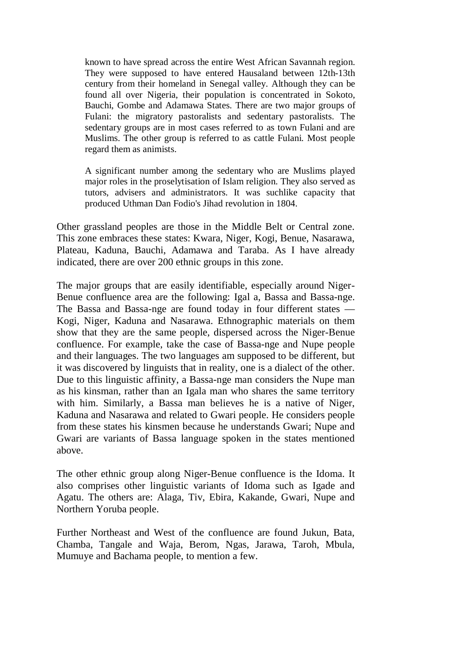known to have spread across the entire West African Savannah region. They were supposed to have entered Hausaland between 12th-13th century from their homeland in Senegal valley. Although they can be found all over Nigeria, their population is concentrated in Sokoto, Bauchi, Gombe and Adamawa States. There are two major groups of Fulani: the migratory pastoralists and sedentary pastoralists. The sedentary groups are in most cases referred to as town Fulani and are Muslims. The other group is referred to as cattle Fulani. Most people regard them as animists.

A significant number among the sedentary who are Muslims played major roles in the proselytisation of Islam religion. They also served as tutors, advisers and administrators. It was suchlike capacity that produced Uthman Dan Fodio's Jihad revolution in 1804.

Other grassland peoples are those in the Middle Belt or Central zone. This zone embraces these states: Kwara, Niger, Kogi, Benue, Nasarawa, Plateau, Kaduna, Bauchi, Adamawa and Taraba. As I have already indicated, there are over 200 ethnic groups in this zone.

The major groups that are easily identifiable, especially around Niger-Benue confluence area are the following: Igal a, Bassa and Bassa-nge. The Bassa and Bassa-nge are found today in four different states — Kogi, Niger, Kaduna and Nasarawa. Ethnographic materials on them show that they are the same people, dispersed across the Niger-Benue confluence. For example, take the case of Bassa-nge and Nupe people and their languages. The two languages am supposed to be different, but it was discovered by linguists that in reality, one is a dialect of the other. Due to this linguistic affinity, a Bassa-nge man considers the Nupe man as his kinsman, rather than an Igala man who shares the same territory with him. Similarly, a Bassa man believes he is a native of Niger, Kaduna and Nasarawa and related to Gwari people. He considers people from these states his kinsmen because he understands Gwari; Nupe and Gwari are variants of Bassa language spoken in the states mentioned above.

The other ethnic group along Niger-Benue confluence is the Idoma. It also comprises other linguistic variants of Idoma such as Igade and Agatu. The others are: Alaga, Tiv, Ebira, Kakande, Gwari, Nupe and Northern Yoruba people.

Further Northeast and West of the confluence are found Jukun, Bata, Chamba, Tangale and Waja, Berom, Ngas, Jarawa, Taroh, Mbula, Mumuye and Bachama people, to mention a few.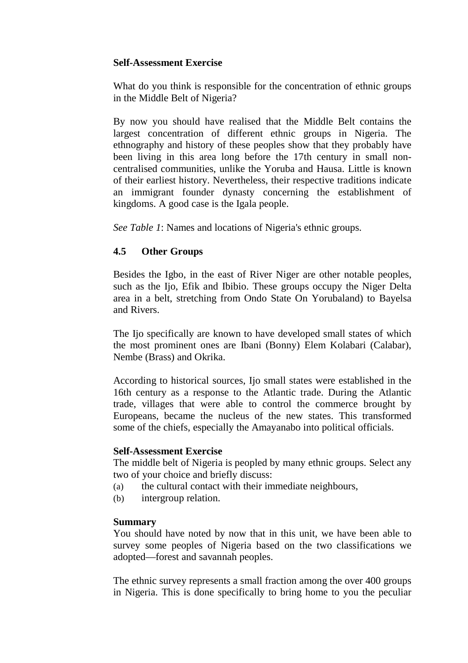## **Self-Assessment Exercise**

What do you think is responsible for the concentration of ethnic groups in the Middle Belt of Nigeria?

By now you should have realised that the Middle Belt contains the largest concentration of different ethnic groups in Nigeria. The ethnography and history of these peoples show that they probably have been living in this area long before the 17th century in small noncentralised communities, unlike the Yoruba and Hausa. Little is known of their earliest history. Nevertheless, their respective traditions indicate an immigrant founder dynasty concerning the establishment of kingdoms. A good case is the Igala people.

*See Table 1*: Names and locations of Nigeria's ethnic groups.

# **4.5 Other Groups**

Besides the Igbo, in the east of River Niger are other notable peoples, such as the Ijo, Efik and Ibibio. These groups occupy the Niger Delta area in a belt, stretching from Ondo State On Yorubaland) to Bayelsa and Rivers.

The Ijo specifically are known to have developed small states of which the most prominent ones are Ibani (Bonny) Elem Kolabari (Calabar), Nembe (Brass) and Okrika.

According to historical sources, Ijo small states were established in the 16th century as a response to the Atlantic trade. During the Atlantic trade, villages that were able to control the commerce brought by Europeans, became the nucleus of the new states. This transformed some of the chiefs, especially the Amayanabo into political officials.

#### **Self-Assessment Exercise**

The middle belt of Nigeria is peopled by many ethnic groups. Select any two of your choice and briefly discuss:

- (a) the cultural contact with their immediate neighbours,
- (b) intergroup relation.

# **Summary**

You should have noted by now that in this unit, we have been able to survey some peoples of Nigeria based on the two classifications we adopted—forest and savannah peoples.

The ethnic survey represents a small fraction among the over 400 groups in Nigeria. This is done specifically to bring home to you the peculiar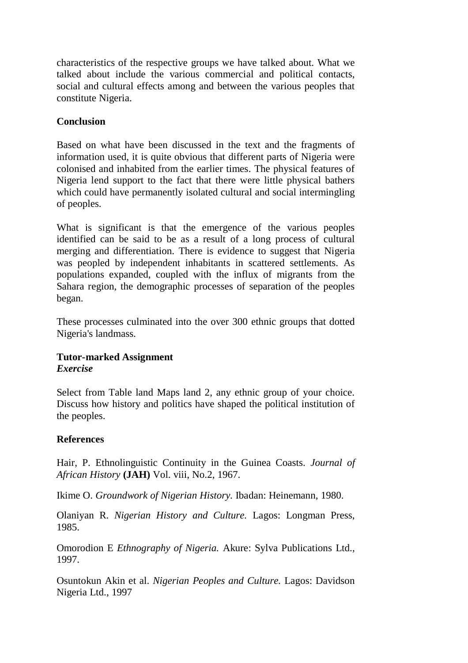characteristics of the respective groups we have talked about. What we talked about include the various commercial and political contacts, social and cultural effects among and between the various peoples that constitute Nigeria.

## **Conclusion**

Based on what have been discussed in the text and the fragments of information used, it is quite obvious that different parts of Nigeria were colonised and inhabited from the earlier times. The physical features of Nigeria lend support to the fact that there were little physical bathers which could have permanently isolated cultural and social intermingling of peoples.

What is significant is that the emergence of the various peoples identified can be said to be as a result of a long process of cultural merging and differentiation. There is evidence to suggest that Nigeria was peopled by independent inhabitants in scattered settlements. As populations expanded, coupled with the influx of migrants from the Sahara region, the demographic processes of separation of the peoples began.

These processes culminated into the over 300 ethnic groups that dotted Nigeria's landmass.

## **Tutor-marked Assignment**  *Exercise*

Select from Table land Maps land 2, any ethnic group of your choice. Discuss how history and politics have shaped the political institution of the peoples.

# **References**

Hair, P. Ethnolinguistic Continuity in the Guinea Coasts. *Journal of African History* **(JAH)** Vol. viii, No.2, 1967.

Ikime O. *Groundwork of Nigerian History.* Ibadan: Heinemann, 1980.

Olaniyan R. *Nigerian History and Culture.* Lagos: Longman Press, 1985.

Omorodion E *Ethnography of Nigeria.* Akure: Sylva Publications Ltd., 1997.

Osuntokun Akin et al. *Nigerian Peoples and Culture.* Lagos: Davidson Nigeria Ltd., 1997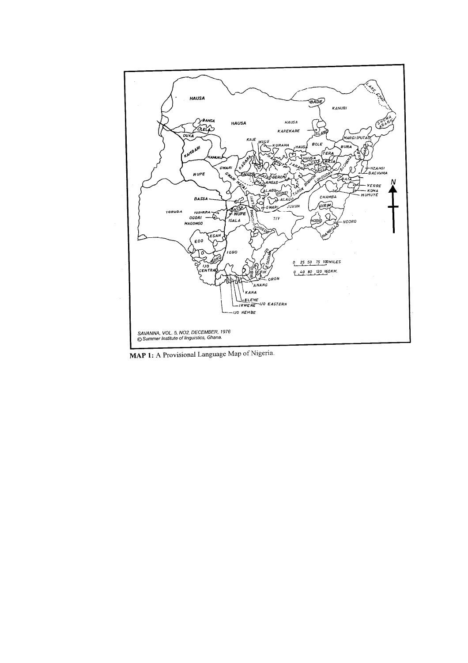

MAP 1: A Provisional Language Map of Nigeria.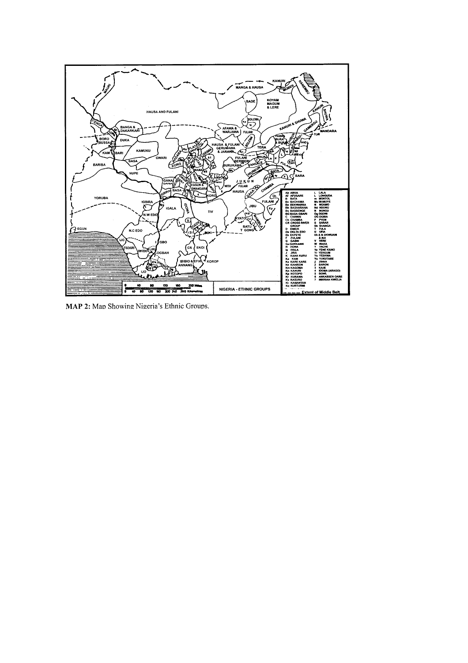

MAP 2: Map Showing Nigeria's Ethnic Groups.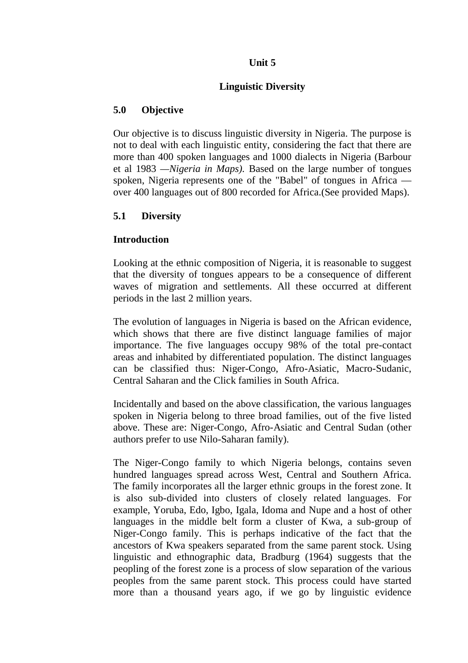## **Unit 5**

## **Linguistic Diversity**

## **5.0 Objective**

Our objective is to discuss linguistic diversity in Nigeria. The purpose is not to deal with each linguistic entity, considering the fact that there are more than 400 spoken languages and 1000 dialects in Nigeria (Barbour et al 1983 *—Nigeria in Maps).* Based on the large number of tongues spoken, Nigeria represents one of the "Babel" of tongues in Africa over 400 languages out of 800 recorded for Africa.(See provided Maps).

# **5.1 Diversity**

## **Introduction**

Looking at the ethnic composition of Nigeria, it is reasonable to suggest that the diversity of tongues appears to be a consequence of different waves of migration and settlements. All these occurred at different periods in the last 2 million years.

The evolution of languages in Nigeria is based on the African evidence, which shows that there are five distinct language families of major importance. The five languages occupy 98% of the total pre-contact areas and inhabited by differentiated population. The distinct languages can be classified thus: Niger-Congo, Afro-Asiatic, Macro-Sudanic, Central Saharan and the Click families in South Africa.

Incidentally and based on the above classification, the various languages spoken in Nigeria belong to three broad families, out of the five listed above. These are: Niger-Congo, Afro-Asiatic and Central Sudan (other authors prefer to use Nilo-Saharan family).

The Niger-Congo family to which Nigeria belongs, contains seven hundred languages spread across West, Central and Southern Africa. The family incorporates all the larger ethnic groups in the forest zone. It is also sub-divided into clusters of closely related languages. For example, Yoruba, Edo, Igbo, Igala, Idoma and Nupe and a host of other languages in the middle belt form a cluster of Kwa, a sub-group of Niger-Congo family. This is perhaps indicative of the fact that the ancestors of Kwa speakers separated from the same parent stock. Using linguistic and ethnographic data, Bradburg (1964) suggests that the peopling of the forest zone is a process of slow separation of the various peoples from the same parent stock. This process could have started more than a thousand years ago, if we go by linguistic evidence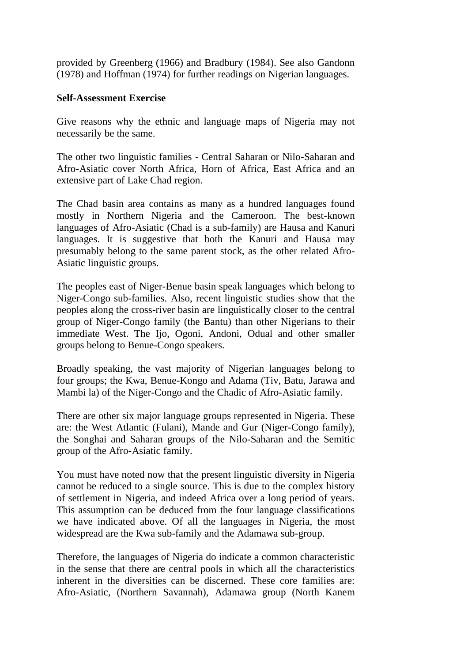provided by Greenberg (1966) and Bradbury (1984). See also Gandonn (1978) and Hoffman (1974) for further readings on Nigerian languages.

## **Self-Assessment Exercise**

Give reasons why the ethnic and language maps of Nigeria may not necessarily be the same.

The other two linguistic families - Central Saharan or Nilo-Saharan and Afro-Asiatic cover North Africa, Horn of Africa, East Africa and an extensive part of Lake Chad region.

The Chad basin area contains as many as a hundred languages found mostly in Northern Nigeria and the Cameroon. The best-known languages of Afro-Asiatic (Chad is a sub-family) are Hausa and Kanuri languages. It is suggestive that both the Kanuri and Hausa may presumably belong to the same parent stock, as the other related Afro-Asiatic linguistic groups.

The peoples east of Niger-Benue basin speak languages which belong to Niger-Congo sub-families. Also, recent linguistic studies show that the peoples along the cross-river basin are linguistically closer to the central group of Niger-Congo family (the Bantu) than other Nigerians to their immediate West. The Ijo, Ogoni, Andoni, Odual and other smaller groups belong to Benue-Congo speakers.

Broadly speaking, the vast majority of Nigerian languages belong to four groups; the Kwa, Benue-Kongo and Adama (Tiv, Batu, Jarawa and Mambi la) of the Niger-Congo and the Chadic of Afro-Asiatic family.

There are other six major language groups represented in Nigeria. These are: the West Atlantic (Fulani), Mande and Gur (Niger-Congo family), the Songhai and Saharan groups of the Nilo-Saharan and the Semitic group of the Afro-Asiatic family.

You must have noted now that the present linguistic diversity in Nigeria cannot be reduced to a single source. This is due to the complex history of settlement in Nigeria, and indeed Africa over a long period of years. This assumption can be deduced from the four language classifications we have indicated above. Of all the languages in Nigeria, the most widespread are the Kwa sub-family and the Adamawa sub-group.

Therefore, the languages of Nigeria do indicate a common characteristic in the sense that there are central pools in which all the characteristics inherent in the diversities can be discerned. These core families are: Afro-Asiatic, (Northern Savannah), Adamawa group (North Kanem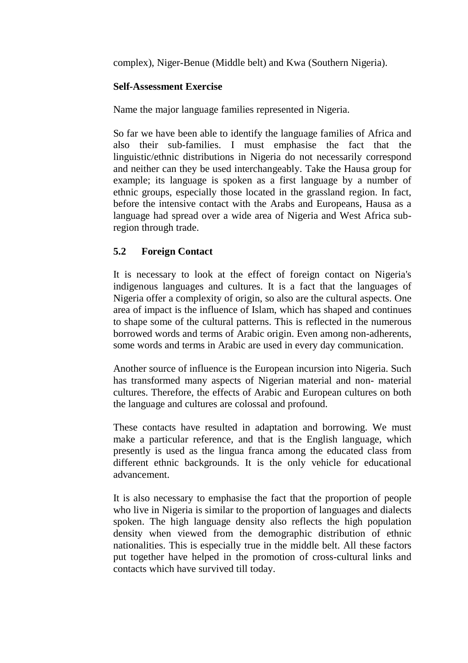complex), Niger-Benue (Middle belt) and Kwa (Southern Nigeria).

## **Self-Assessment Exercise**

Name the major language families represented in Nigeria.

So far we have been able to identify the language families of Africa and also their sub-families. I must emphasise the fact that the linguistic/ethnic distributions in Nigeria do not necessarily correspond and neither can they be used interchangeably. Take the Hausa group for example; its language is spoken as a first language by a number of ethnic groups, especially those located in the grassland region. In fact, before the intensive contact with the Arabs and Europeans, Hausa as a language had spread over a wide area of Nigeria and West Africa subregion through trade.

# **5.2 Foreign Contact**

It is necessary to look at the effect of foreign contact on Nigeria's indigenous languages and cultures. It is a fact that the languages of Nigeria offer a complexity of origin, so also are the cultural aspects. One area of impact is the influence of Islam, which has shaped and continues to shape some of the cultural patterns. This is reflected in the numerous borrowed words and terms of Arabic origin. Even among non-adherents, some words and terms in Arabic are used in every day communication.

Another source of influence is the European incursion into Nigeria. Such has transformed many aspects of Nigerian material and non- material cultures. Therefore, the effects of Arabic and European cultures on both the language and cultures are colossal and profound.

These contacts have resulted in adaptation and borrowing. We must make a particular reference, and that is the English language, which presently is used as the lingua franca among the educated class from different ethnic backgrounds. It is the only vehicle for educational advancement.

It is also necessary to emphasise the fact that the proportion of people who live in Nigeria is similar to the proportion of languages and dialects spoken. The high language density also reflects the high population density when viewed from the demographic distribution of ethnic nationalities. This is especially true in the middle belt. All these factors put together have helped in the promotion of cross-cultural links and contacts which have survived till today.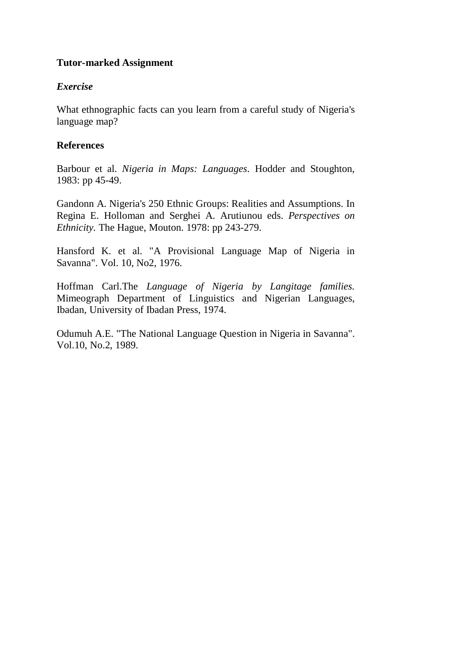## **Tutor-marked Assignment**

### *Exercise*

What ethnographic facts can you learn from a careful study of Nigeria's language map?

## **References**

Barbour et al. *Nigeria in Maps: Languages.* Hodder and Stoughton, 1983: pp 45-49.

Gandonn A. Nigeria's 250 Ethnic Groups: Realities and Assumptions. In Regina E. Holloman and Serghei A. Arutiunou eds. *Perspectives on Ethnicity.* The Hague, Mouton. 1978: pp 243-279.

Hansford K. et al. "A Provisional Language Map of Nigeria in Savanna". Vol. 10, No2, 1976.

Hoffman Carl.The *Language of Nigeria by Langitage families.*  Mimeograph Department of Linguistics and Nigerian Languages, Ibadan, University of Ibadan Press, 1974.

Odumuh A.E. "The National Language Question in Nigeria in Savanna". Vol.10, No.2, 1989.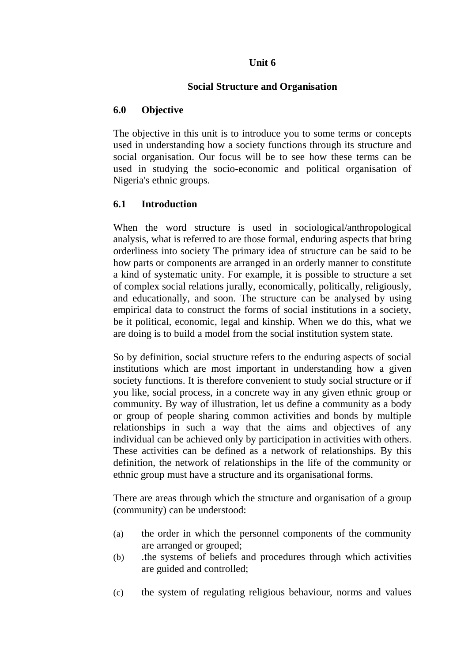## **Unit 6**

## **Social Structure and Organisation**

## **6.0 Objective**

The objective in this unit is to introduce you to some terms or concepts used in understanding how a society functions through its structure and social organisation. Our focus will be to see how these terms can be used in studying the socio-economic and political organisation of Nigeria's ethnic groups.

## **6.1 Introduction**

When the word structure is used in sociological/anthropological analysis, what is referred to are those formal, enduring aspects that bring orderliness into society The primary idea of structure can be said to be how parts or components are arranged in an orderly manner to constitute a kind of systematic unity. For example, it is possible to structure a set of complex social relations jurally, economically, politically, religiously, and educationally, and soon. The structure can be analysed by using empirical data to construct the forms of social institutions in a society, be it political, economic, legal and kinship. When we do this, what we are doing is to build a model from the social institution system state.

So by definition, social structure refers to the enduring aspects of social institutions which are most important in understanding how a given society functions. It is therefore convenient to study social structure or if you like, social process, in a concrete way in any given ethnic group or community. By way of illustration, let us define a community as a body or group of people sharing common activities and bonds by multiple relationships in such a way that the aims and objectives of any individual can be achieved only by participation in activities with others. These activities can be defined as a network of relationships. By this definition, the network of relationships in the life of the community or ethnic group must have a structure and its organisational forms.

There are areas through which the structure and organisation of a group (community) can be understood:

- (a) the order in which the personnel components of the community are arranged or grouped;
- (b) .the systems of beliefs and procedures through which activities are guided and controlled;
- (c) the system of regulating religious behaviour, norms and values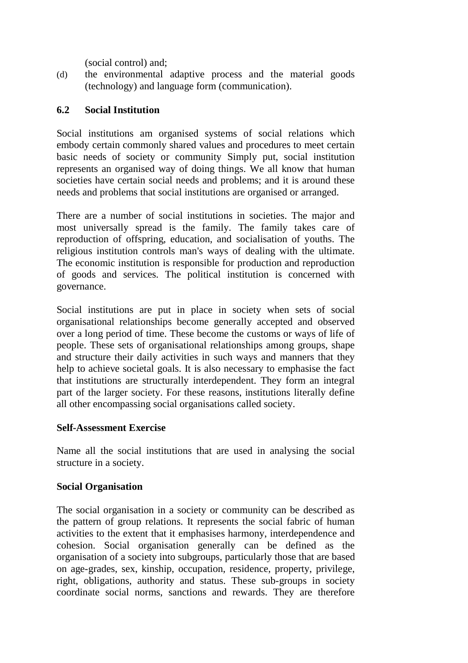(social control) and;

(d) the environmental adaptive process and the material goods (technology) and language form (communication).

# **6.2 Social Institution**

Social institutions am organised systems of social relations which embody certain commonly shared values and procedures to meet certain basic needs of society or community Simply put, social institution represents an organised way of doing things. We all know that human societies have certain social needs and problems; and it is around these needs and problems that social institutions are organised or arranged.

There are a number of social institutions in societies. The major and most universally spread is the family. The family takes care of reproduction of offspring, education, and socialisation of youths. The religious institution controls man's ways of dealing with the ultimate. The economic institution is responsible for production and reproduction of goods and services. The political institution is concerned with governance.

Social institutions are put in place in society when sets of social organisational relationships become generally accepted and observed over a long period of time. These become the customs or ways of life of people. These sets of organisational relationships among groups, shape and structure their daily activities in such ways and manners that they help to achieve societal goals. It is also necessary to emphasise the fact that institutions are structurally interdependent. They form an integral part of the larger society. For these reasons, institutions literally define all other encompassing social organisations called society.

# **Self-Assessment Exercise**

Name all the social institutions that are used in analysing the social structure in a society.

# **Social Organisation**

The social organisation in a society or community can be described as the pattern of group relations. It represents the social fabric of human activities to the extent that it emphasises harmony, interdependence and cohesion. Social organisation generally can be defined as the organisation of a society into subgroups, particularly those that are based on age-grades, sex, kinship, occupation, residence, property, privilege, right, obligations, authority and status. These sub-groups in society coordinate social norms, sanctions and rewards. They are therefore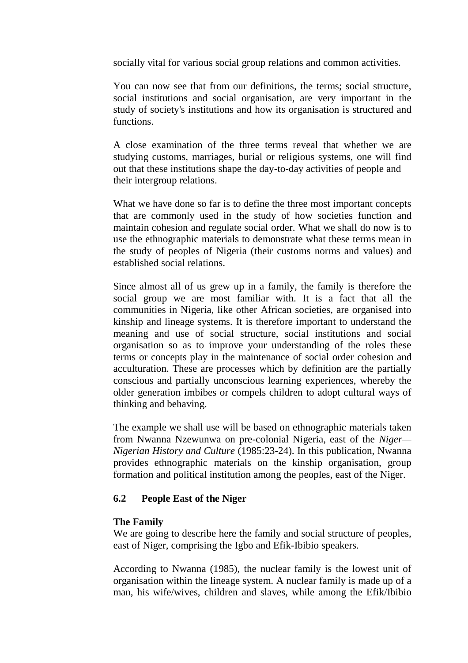socially vital for various social group relations and common activities.

You can now see that from our definitions, the terms; social structure, social institutions and social organisation, are very important in the study of society's institutions and how its organisation is structured and functions.

A close examination of the three terms reveal that whether we are studying customs, marriages, burial or religious systems, one will find out that these institutions shape the day-to-day activities of people and their intergroup relations.

What we have done so far is to define the three most important concepts that are commonly used in the study of how societies function and maintain cohesion and regulate social order. What we shall do now is to use the ethnographic materials to demonstrate what these terms mean in the study of peoples of Nigeria (their customs norms and values) and established social relations.

Since almost all of us grew up in a family, the family is therefore the social group we are most familiar with. It is a fact that all the communities in Nigeria, like other African societies, are organised into kinship and lineage systems. It is therefore important to understand the meaning and use of social structure, social institutions and social organisation so as to improve your understanding of the roles these terms or concepts play in the maintenance of social order cohesion and acculturation. These are processes which by definition are the partially conscious and partially unconscious learning experiences, whereby the older generation imbibes or compels children to adopt cultural ways of thinking and behaving.

The example we shall use will be based on ethnographic materials taken from Nwanna Nzewunwa on pre-colonial Nigeria, east of the *Niger— Nigerian History and Culture* (1985:23-24). In this publication, Nwanna provides ethnographic materials on the kinship organisation, group formation and political institution among the peoples, east of the Niger.

# **6.2 People East of the Niger**

#### **The Family**

We are going to describe here the family and social structure of peoples, east of Niger, comprising the Igbo and Efik-Ibibio speakers.

According to Nwanna (1985), the nuclear family is the lowest unit of organisation within the lineage system. A nuclear family is made up of a man, his wife/wives, children and slaves, while among the Efik/Ibibio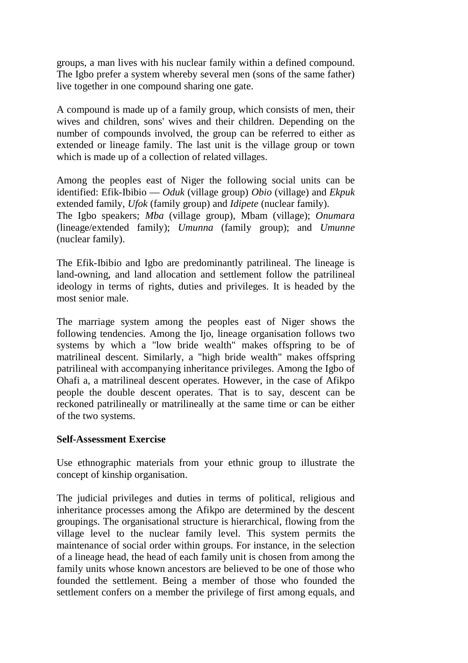groups, a man lives with his nuclear family within a defined compound. The Igbo prefer a system whereby several men (sons of the same father) live together in one compound sharing one gate.

A compound is made up of a family group, which consists of men, their wives and children, sons' wives and their children. Depending on the number of compounds involved, the group can be referred to either as extended or lineage family. The last unit is the village group or town which is made up of a collection of related villages.

Among the peoples east of Niger the following social units can be identified: Efik-Ibibio — *Oduk* (village group) *Obio* (village) and *Ekpuk*  extended family, *Ufok* (family group) and *Idipete* (nuclear family). The Igbo speakers; *Mba* (village group), Mbam (village); *Onumara*  (lineage/extended family); *Umunna* (family group); and *Umunne* (nuclear family).

The Efik-Ibibio and Igbo are predominantly patrilineal. The lineage is land-owning, and land allocation and settlement follow the patrilineal ideology in terms of rights, duties and privileges. It is headed by the most senior male.

The marriage system among the peoples east of Niger shows the following tendencies. Among the Ijo, lineage organisation follows two systems by which a "low bride wealth" makes offspring to be of matrilineal descent. Similarly, a "high bride wealth" makes offspring patrilineal with accompanying inheritance privileges. Among the Igbo of Ohafi a, a matrilineal descent operates. However, in the case of Afikpo people the double descent operates. That is to say, descent can be reckoned patrilineally or matrilineally at the same time or can be either of the two systems.

### **Self-Assessment Exercise**

Use ethnographic materials from your ethnic group to illustrate the concept of kinship organisation.

The judicial privileges and duties in terms of political, religious and inheritance processes among the Afikpo are determined by the descent groupings. The organisational structure is hierarchical, flowing from the village level to the nuclear family level. This system permits the maintenance of social order within groups. For instance, in the selection of a lineage head, the head of each family unit is chosen from among the family units whose known ancestors are believed to be one of those who founded the settlement. Being a member of those who founded the settlement confers on a member the privilege of first among equals, and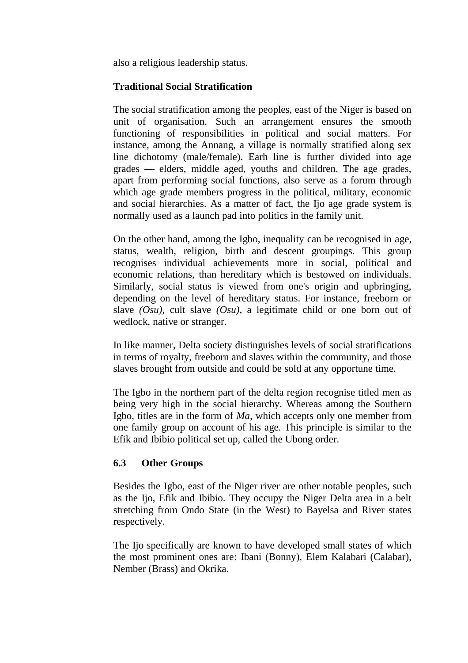also a religious leadership status.

# **Traditional Social Stratification**

The social stratification among the peoples, east of the Niger is based on unit of organisation. Such an arrangement ensures the smooth functioning of responsibilities in political and social matters. For instance, among the Annang, a village is normally stratified along sex line dichotomy (male/female). Earh line is further divided into age grades — elders, middle aged, youths and children. The age grades, apart from performing social functions, also serve as a forum through which age grade members progress in the political, military, economic and social hierarchies. As a matter of fact, the Ijo age grade system is normally used as a launch pad into politics in the family unit.

On the other hand, among the Igbo, inequality can be recognised in age, status, wealth, religion, birth and descent groupings. This group recognises individual achievements more in social, political and economic relations, than hereditary which is bestowed on individuals. Similarly, social status is viewed from one's origin and upbringing, depending on the level of hereditary status. For instance, freeborn or slave *(Osu),* cult slave *(Osu),* a legitimate child or one born out of wedlock, native or stranger.

In like manner, Delta society distinguishes levels of social stratifications in terms of royalty, freeborn and slaves within the community, and those slaves brought from outside and could be sold at any opportune time.

The Igbo in the northern part of the delta region recognise titled men as being very high in the social hierarchy. Whereas among the Southern Igbo, titles are in the form of *Ma,* which accepts only one member from one family group on account of his age. This principle is similar to the Efik and Ibibio political set up, called the Ubong order.

# **6.3 Other Groups**

Besides the Igbo, east of the Niger river are other notable peoples, such as the Ijo, Efik and Ibibio. They occupy the Niger Delta area in a belt stretching from Ondo State (in the West) to Bayelsa and River states respectively.

The Ijo specifically are known to have developed small states of which the most prominent ones are: Ibani (Bonny), Elem Kalabari (Calabar), Nember (Brass) and Okrika.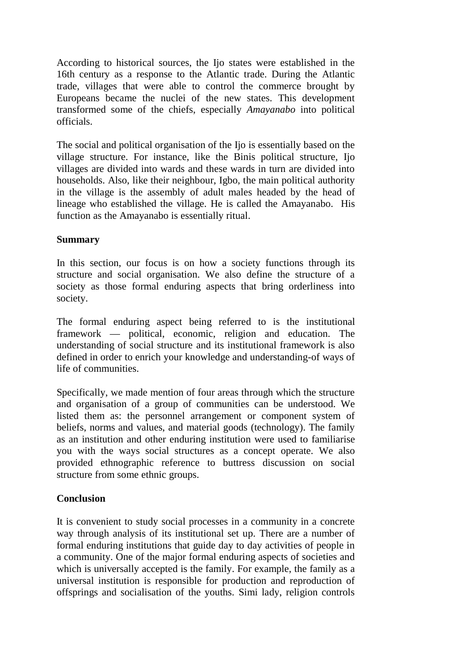According to historical sources, the Ijo states were established in the 16th century as a response to the Atlantic trade. During the Atlantic trade, villages that were able to control the commerce brought by Europeans became the nuclei of the new states. This development transformed some of the chiefs, especially *Amayanabo* into political officials.

The social and political organisation of the Ijo is essentially based on the village structure. For instance, like the Binis political structure, Ijo villages are divided into wards and these wards in turn are divided into households. Also, like their neighbour, Igbo, the main political authority in the village is the assembly of adult males headed by the head of lineage who established the village. He is called the Amayanabo. His function as the Amayanabo is essentially ritual.

## **Summary**

In this section, our focus is on how a society functions through its structure and social organisation. We also define the structure of a society as those formal enduring aspects that bring orderliness into society.

The formal enduring aspect being referred to is the institutional framework — political, economic, religion and education. The understanding of social structure and its institutional framework is also defined in order to enrich your knowledge and understanding-of ways of life of communities.

Specifically, we made mention of four areas through which the structure and organisation of a group of communities can be understood. We listed them as: the personnel arrangement or component system of beliefs, norms and values, and material goods (technology). The family as an institution and other enduring institution were used to familiarise you with the ways social structures as a concept operate. We also provided ethnographic reference to buttress discussion on social structure from some ethnic groups.

# **Conclusion**

It is convenient to study social processes in a community in a concrete way through analysis of its institutional set up. There are a number of formal enduring institutions that guide day to day activities of people in a community. One of the major formal enduring aspects of societies and which is universally accepted is the family. For example, the family as a universal institution is responsible for production and reproduction of offsprings and socialisation of the youths. Simi lady, religion controls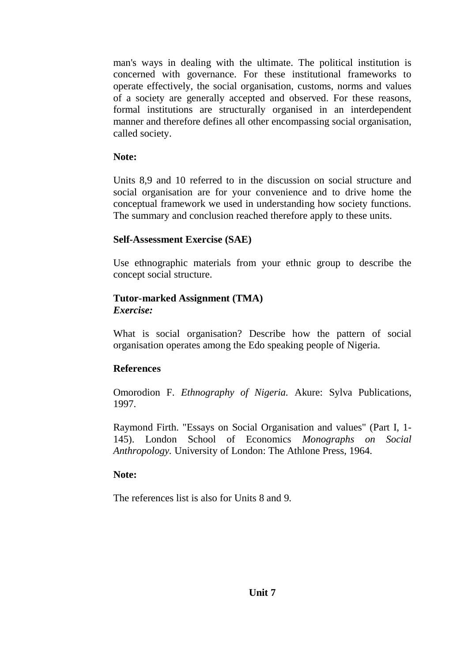man's ways in dealing with the ultimate. The political institution is concerned with governance. For these institutional frameworks to operate effectively, the social organisation, customs, norms and values of a society are generally accepted and observed. For these reasons, formal institutions are structurally organised in an interdependent manner and therefore defines all other encompassing social organisation, called society.

## **Note:**

Units 8,9 and 10 referred to in the discussion on social structure and social organisation are for your convenience and to drive home the conceptual framework we used in understanding how society functions. The summary and conclusion reached therefore apply to these units.

# **Self-Assessment Exercise (SAE)**

Use ethnographic materials from your ethnic group to describe the concept social structure.

## **Tutor-marked Assignment (TMA)** *Exercise:*

What is social organisation? Describe how the pattern of social organisation operates among the Edo speaking people of Nigeria.

# **References**

Omorodion F. *Ethnography of Nigeria.* Akure: Sylva Publications, 1997.

Raymond Firth. "Essays on Social Organisation and values" (Part I, 1- 145). London School of Economics *Monographs on Social Anthropology.* University of London: The Athlone Press, 1964.

# **Note:**

The references list is also for Units 8 and 9.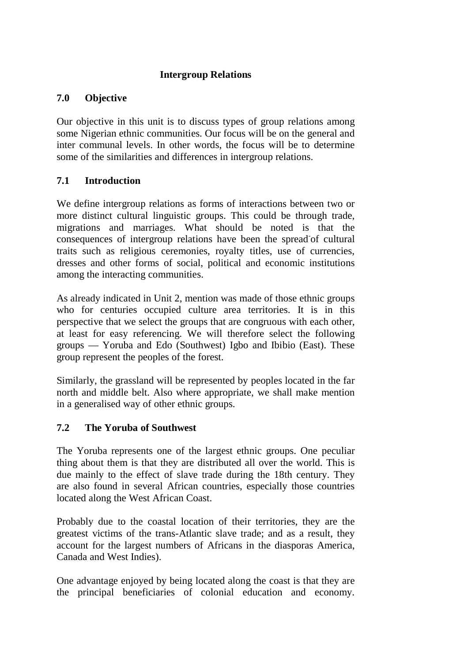# **Intergroup Relations**

# **7.0 Objective**

Our objective in this unit is to discuss types of group relations among some Nigerian ethnic communities. Our focus will be on the general and inter communal levels. In other words, the focus will be to determine some of the similarities and differences in intergroup relations.

# **7.1 Introduction**

We define intergroup relations as forms of interactions between two or more distinct cultural linguistic groups. This could be through trade, migrations and marriages. What should be noted is that the consequences of intergroup relations have been the spread of cultural traits such as religious ceremonies, royalty titles, use of currencies, dresses and other forms of social, political and economic institutions among the interacting communities.

As already indicated in Unit 2, mention was made of those ethnic groups who for centuries occupied culture area territories. It is in this perspective that we select the groups that are congruous with each other, at least for easy referencing. We will therefore select the following groups — Yoruba and Edo (Southwest) Igbo and Ibibio (East). These group represent the peoples of the forest.

Similarly, the grassland will be represented by peoples located in the far north and middle belt. Also where appropriate, we shall make mention in a generalised way of other ethnic groups.

# **7.2 The Yoruba of Southwest**

The Yoruba represents one of the largest ethnic groups. One peculiar thing about them is that they are distributed all over the world. This is due mainly to the effect of slave trade during the 18th century. They are also found in several African countries, especially those countries located along the West African Coast.

Probably due to the coastal location of their territories, they are the greatest victims of the trans-Atlantic slave trade; and as a result, they account for the largest numbers of Africans in the diasporas America, Canada and West Indies).

One advantage enjoyed by being located along the coast is that they are the principal beneficiaries of colonial education and economy.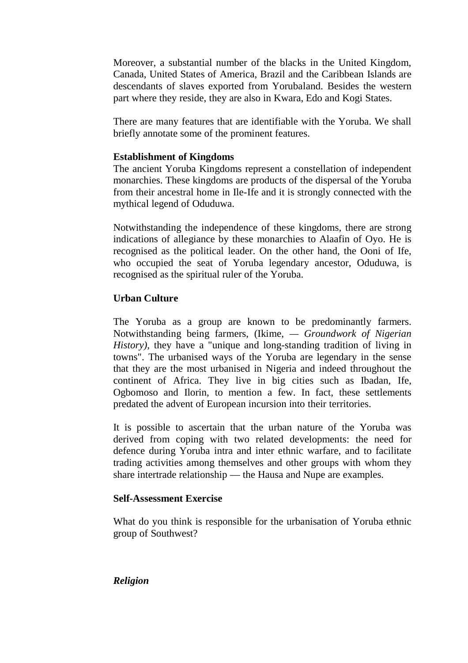Moreover, a substantial number of the blacks in the United Kingdom, Canada, United States of America, Brazil and the Caribbean Islands are descendants of slaves exported from Yorubaland. Besides the western part where they reside, they are also in Kwara, Edo and Kogi States.

There are many features that are identifiable with the Yoruba. We shall briefly annotate some of the prominent features.

## **Establishment of Kingdoms**

The ancient Yoruba Kingdoms represent a constellation of independent monarchies. These kingdoms are products of the dispersal of the Yoruba from their ancestral home in Ile-Ife and it is strongly connected with the mythical legend of Oduduwa.

Notwithstanding the independence of these kingdoms, there are strong indications of allegiance by these monarchies to Alaafin of Oyo. He is recognised as the political leader. On the other hand, the Ooni of Ife, who occupied the seat of Yoruba legendary ancestor, Oduduwa, is recognised as the spiritual ruler of the Yoruba.

# **Urban Culture**

The Yoruba as a group are known to be predominantly farmers. Notwithstanding being farmers, (Ikime, *— Groundwork of Nigerian History),* they have a "unique and long-standing tradition of living in towns". The urbanised ways of the Yoruba are legendary in the sense that they are the most urbanised in Nigeria and indeed throughout the continent of Africa. They live in big cities such as Ibadan, Ife, Ogbomoso and Ilorin, to mention a few. In fact, these settlements predated the advent of European incursion into their territories.

It is possible to ascertain that the urban nature of the Yoruba was derived from coping with two related developments: the need for defence during Yoruba intra and inter ethnic warfare, and to facilitate trading activities among themselves and other groups with whom they share intertrade relationship — the Hausa and Nupe are examples.

#### **Self-Assessment Exercise**

What do you think is responsible for the urbanisation of Yoruba ethnic group of Southwest?

#### *Religion*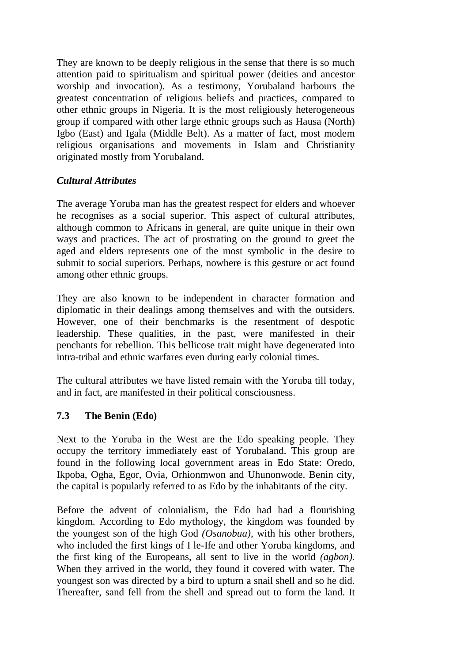They are known to be deeply religious in the sense that there is so much attention paid to spiritualism and spiritual power (deities and ancestor worship and invocation). As a testimony, Yorubaland harbours the greatest concentration of religious beliefs and practices, compared to other ethnic groups in Nigeria. It is the most religiously heterogeneous group if compared with other large ethnic groups such as Hausa (North) Igbo (East) and Igala (Middle Belt). As a matter of fact, most modem religious organisations and movements in Islam and Christianity originated mostly from Yorubaland.

# *Cultural Attributes*

The average Yoruba man has the greatest respect for elders and whoever he recognises as a social superior. This aspect of cultural attributes, although common to Africans in general, are quite unique in their own ways and practices. The act of prostrating on the ground to greet the aged and elders represents one of the most symbolic in the desire to submit to social superiors. Perhaps, nowhere is this gesture or act found among other ethnic groups.

They are also known to be independent in character formation and diplomatic in their dealings among themselves and with the outsiders. However, one of their benchmarks is the resentment of despotic leadership. These qualities, in the past, were manifested in their penchants for rebellion. This bellicose trait might have degenerated into intra-tribal and ethnic warfares even during early colonial times.

The cultural attributes we have listed remain with the Yoruba till today, and in fact, are manifested in their political consciousness.

# **7.3 The Benin (Edo)**

Next to the Yoruba in the West are the Edo speaking people. They occupy the territory immediately east of Yorubaland. This group are found in the following local government areas in Edo State: Oredo, Ikpoba, Ogha, Egor, Ovia, Orhionmwon and Uhunonwode. Benin city, the capital is popularly referred to as Edo by the inhabitants of the city.

Before the advent of colonialism, the Edo had had a flourishing kingdom. According to Edo mythology, the kingdom was founded by the youngest son of the high God *(Osanobua),* with his other brothers, who included the first kings of I le-Ife and other Yoruba kingdoms, and the first king of the Europeans, all sent to live in the world *(agbon).*  When they arrived in the world, they found it covered with water. The youngest son was directed by a bird to upturn a snail shell and so he did. Thereafter, sand fell from the shell and spread out to form the land. It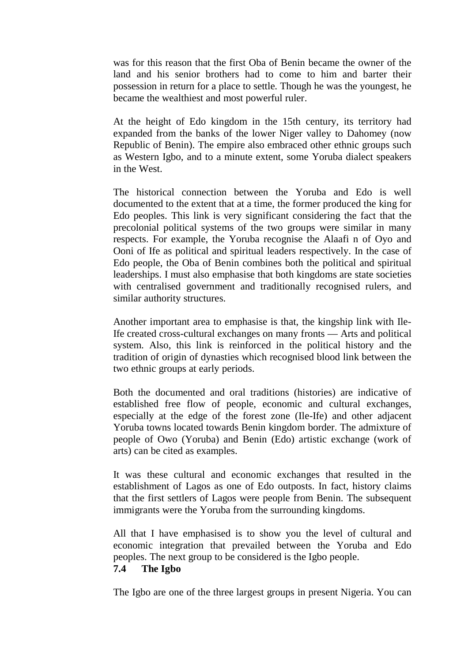was for this reason that the first Oba of Benin became the owner of the land and his senior brothers had to come to him and barter their possession in return for a place to settle. Though he was the youngest, he became the wealthiest and most powerful ruler.

At the height of Edo kingdom in the 15th century, its territory had expanded from the banks of the lower Niger valley to Dahomey (now Republic of Benin). The empire also embraced other ethnic groups such as Western Igbo, and to a minute extent, some Yoruba dialect speakers in the West.

The historical connection between the Yoruba and Edo is well documented to the extent that at a time, the former produced the king for Edo peoples. This link is very significant considering the fact that the precolonial political systems of the two groups were similar in many respects. For example, the Yoruba recognise the Alaafi n of Oyo and Ooni of Ife as political and spiritual leaders respectively. In the case of Edo people, the Oba of Benin combines both the political and spiritual leaderships. I must also emphasise that both kingdoms are state societies with centralised government and traditionally recognised rulers, and similar authority structures.

Another important area to emphasise is that, the kingship link with Ile-Ife created cross-cultural exchanges on many fronts — Arts and political system. Also, this link is reinforced in the political history and the tradition of origin of dynasties which recognised blood link between the two ethnic groups at early periods.

Both the documented and oral traditions (histories) are indicative of established free flow of people, economic and cultural exchanges, especially at the edge of the forest zone (Ile-Ife) and other adjacent Yoruba towns located towards Benin kingdom border. The admixture of people of Owo (Yoruba) and Benin (Edo) artistic exchange (work of arts) can be cited as examples.

It was these cultural and economic exchanges that resulted in the establishment of Lagos as one of Edo outposts. In fact, history claims that the first settlers of Lagos were people from Benin. The subsequent immigrants were the Yoruba from the surrounding kingdoms.

All that I have emphasised is to show you the level of cultural and economic integration that prevailed between the Yoruba and Edo peoples. The next group to be considered is the Igbo people.

#### **7.4 The Igbo**

The Igbo are one of the three largest groups in present Nigeria. You can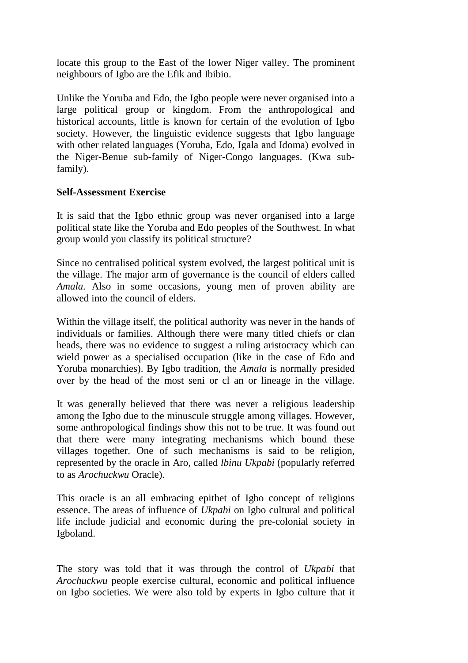locate this group to the East of the lower Niger valley. The prominent neighbours of Igbo are the Efik and Ibibio.

Unlike the Yoruba and Edo, the Igbo people were never organised into a large political group or kingdom. From the anthropological and historical accounts, little is known for certain of the evolution of Igbo society. However, the linguistic evidence suggests that Igbo language with other related languages (Yoruba, Edo, Igala and Idoma) evolved in the Niger-Benue sub-family of Niger-Congo languages. (Kwa subfamily).

# **Self-Assessment Exercise**

It is said that the Igbo ethnic group was never organised into a large political state like the Yoruba and Edo peoples of the Southwest. In what group would you classify its political structure?

Since no centralised political system evolved, the largest political unit is the village. The major arm of governance is the council of elders called *Amala.* Also in some occasions, young men of proven ability are allowed into the council of elders.

Within the village itself, the political authority was never in the hands of individuals or families. Although there were many titled chiefs or clan heads, there was no evidence to suggest a ruling aristocracy which can wield power as a specialised occupation (like in the case of Edo and Yoruba monarchies). By Igbo tradition, the *Amala* is normally presided over by the head of the most seni or cl an or lineage in the village.

It was generally believed that there was never a religious leadership among the Igbo due to the minuscule struggle among villages. However, some anthropological findings show this not to be true. It was found out that there were many integrating mechanisms which bound these villages together. One of such mechanisms is said to be religion, represented by the oracle in Aro, called *lbinu Ukpabi* (popularly referred to as *Arochuckwu* Oracle).

This oracle is an all embracing epithet of Igbo concept of religions essence. The areas of influence of *Ukpabi* on Igbo cultural and political life include judicial and economic during the pre-colonial society in Igboland.

The story was told that it was through the control of *Ukpabi* that *Arochuckwu* people exercise cultural, economic and political influence on Igbo societies. We were also told by experts in Igbo culture that it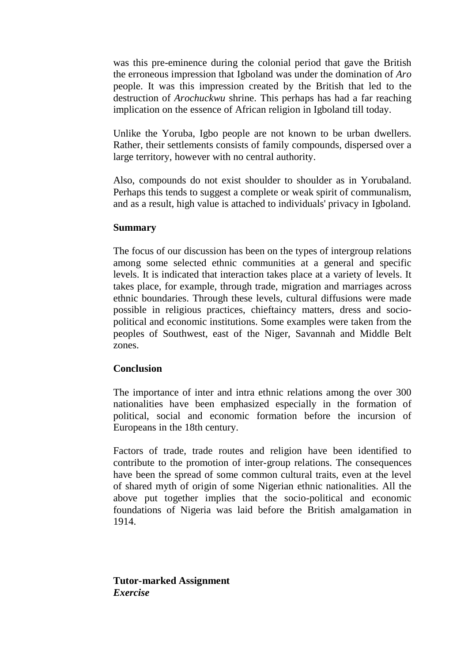was this pre-eminence during the colonial period that gave the British the erroneous impression that Igboland was under the domination of *Aro* people. It was this impression created by the British that led to the destruction of *Arochuckwu* shrine. This perhaps has had a far reaching implication on the essence of African religion in Igboland till today.

Unlike the Yoruba, Igbo people are not known to be urban dwellers. Rather, their settlements consists of family compounds, dispersed over a large territory, however with no central authority.

Also, compounds do not exist shoulder to shoulder as in Yorubaland. Perhaps this tends to suggest a complete or weak spirit of communalism, and as a result, high value is attached to individuals' privacy in Igboland.

#### **Summary**

The focus of our discussion has been on the types of intergroup relations among some selected ethnic communities at a general and specific levels. It is indicated that interaction takes place at a variety of levels. It takes place, for example, through trade, migration and marriages across ethnic boundaries. Through these levels, cultural diffusions were made possible in religious practices, chieftaincy matters, dress and sociopolitical and economic institutions. Some examples were taken from the peoples of Southwest, east of the Niger, Savannah and Middle Belt zones.

#### **Conclusion**

The importance of inter and intra ethnic relations among the over 300 nationalities have been emphasized especially in the formation of political, social and economic formation before the incursion of Europeans in the 18th century.

Factors of trade, trade routes and religion have been identified to contribute to the promotion of inter-group relations. The consequences have been the spread of some common cultural traits, even at the level of shared myth of origin of some Nigerian ethnic nationalities. All the above put together implies that the socio-political and economic foundations of Nigeria was laid before the British amalgamation in 1914.

**Tutor-marked Assignment** *Exercise*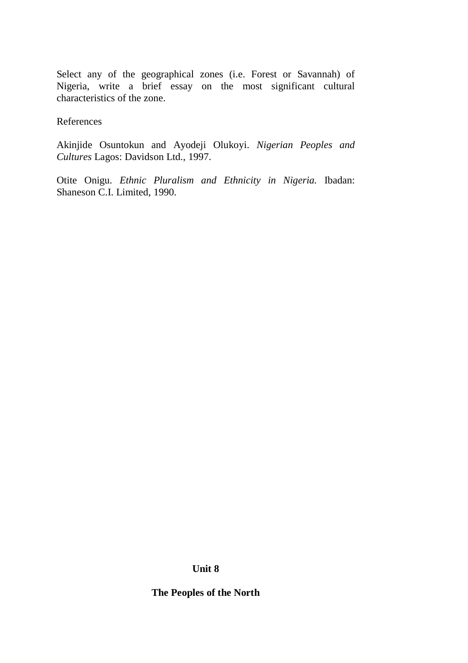Select any of the geographical zones (i.e. Forest or Savannah) of Nigeria, write a brief essay on the most significant cultural characteristics of the zone.

References

Akinjide Osuntokun and Ayodeji Olukoyi. *Nigerian Peoples and Cultures* Lagos: Davidson Ltd., 1997.

Otite Onigu. *Ethnic Pluralism and Ethnicity in Nigeria.* Ibadan: Shaneson C.I. Limited, 1990.

**Unit 8**

**The Peoples of the North**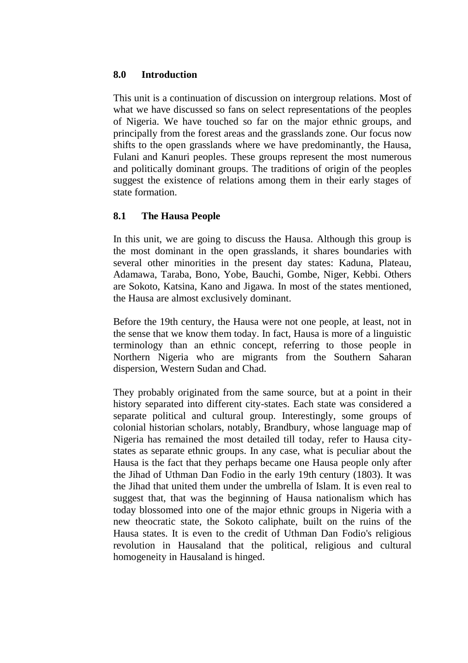### **8.0 Introduction**

This unit is a continuation of discussion on intergroup relations. Most of what we have discussed so fans on select representations of the peoples of Nigeria. We have touched so far on the major ethnic groups, and principally from the forest areas and the grasslands zone. Our focus now shifts to the open grasslands where we have predominantly, the Hausa, Fulani and Kanuri peoples. These groups represent the most numerous and politically dominant groups. The traditions of origin of the peoples suggest the existence of relations among them in their early stages of state formation.

# **8.1 The Hausa People**

In this unit, we are going to discuss the Hausa. Although this group is the most dominant in the open grasslands, it shares boundaries with several other minorities in the present day states: Kaduna, Plateau, Adamawa, Taraba, Bono, Yobe, Bauchi, Gombe, Niger, Kebbi. Others are Sokoto, Katsina, Kano and Jigawa. In most of the states mentioned, the Hausa are almost exclusively dominant.

Before the 19th century, the Hausa were not one people, at least, not in the sense that we know them today. In fact, Hausa is more of a linguistic terminology than an ethnic concept, referring to those people in Northern Nigeria who are migrants from the Southern Saharan dispersion, Western Sudan and Chad.

They probably originated from the same source, but at a point in their history separated into different city-states. Each state was considered a separate political and cultural group. Interestingly, some groups of colonial historian scholars, notably, Brandbury, whose language map of Nigeria has remained the most detailed till today, refer to Hausa citystates as separate ethnic groups. In any case, what is peculiar about the Hausa is the fact that they perhaps became one Hausa people only after the Jihad of Uthman Dan Fodio in the early 19th century (1803). It was the Jihad that united them under the umbrella of Islam. It is even real to suggest that, that was the beginning of Hausa nationalism which has today blossomed into one of the major ethnic groups in Nigeria with a new theocratic state, the Sokoto caliphate, built on the ruins of the Hausa states. It is even to the credit of Uthman Dan Fodio's religious revolution in Hausaland that the political, religious and cultural homogeneity in Hausaland is hinged.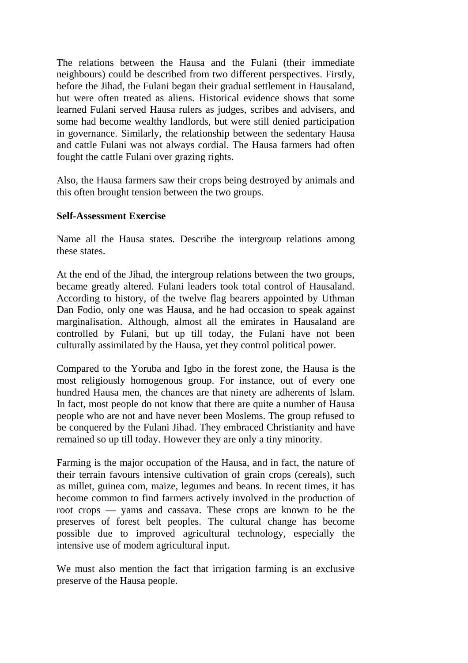The relations between the Hausa and the Fulani (their immediate neighbours) could be described from two different perspectives. Firstly, before the Jihad, the Fulani began their gradual settlement in Hausaland, but were often treated as aliens. Historical evidence shows that some learned Fulani served Hausa rulers as judges, scribes and advisers, and some had become wealthy landlords, but were still denied participation in governance. Similarly, the relationship between the sedentary Hausa and cattle Fulani was not always cordial. The Hausa farmers had often fought the cattle Fulani over grazing rights.

Also, the Hausa farmers saw their crops being destroyed by animals and this often brought tension between the two groups.

## **Self-Assessment Exercise**

Name all the Hausa states. Describe the intergroup relations among these states.

At the end of the Jihad, the intergroup relations between the two groups, became greatly altered. Fulani leaders took total control of Hausaland. According to history, of the twelve flag bearers appointed by Uthman Dan Fodio, only one was Hausa, and he had occasion to speak against marginalisation. Although, almost all the emirates in Hausaland are controlled by Fulani, but up till today, the Fulani have not been culturally assimilated by the Hausa, yet they control political power.

Compared to the Yoruba and Igbo in the forest zone, the Hausa is the most religiously homogenous group. For instance, out of every one hundred Hausa men, the chances are that ninety are adherents of Islam. In fact, most people do not know that there are quite a number of Hausa people who are not and have never been Moslems. The group refused to be conquered by the Fulani Jihad. They embraced Christianity and have remained so up till today. However they are only a tiny minority.

Farming is the major occupation of the Hausa, and in fact, the nature of their terrain favours intensive cultivation of grain crops (cereals), such as millet, guinea com, maize, legumes and beans. In recent times, it has become common to find farmers actively involved in the production of root crops — yams and cassava. These crops are known to be the preserves of forest belt peoples. The cultural change has become possible due to improved agricultural technology, especially the intensive use of modem agricultural input.

We must also mention the fact that irrigation farming is an exclusive preserve of the Hausa people.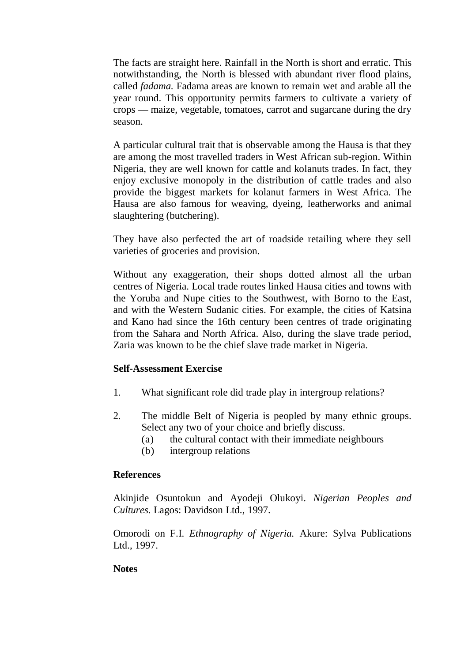The facts are straight here. Rainfall in the North is short and erratic. This notwithstanding, the North is blessed with abundant river flood plains, called *fadama.* Fadama areas are known to remain wet and arable all the year round. This opportunity permits farmers to cultivate a variety of crops — maize, vegetable, tomatoes, carrot and sugarcane during the dry season.

A particular cultural trait that is observable among the Hausa is that they are among the most travelled traders in West African sub-region. Within Nigeria, they are well known for cattle and kolanuts trades. In fact, they enjoy exclusive monopoly in the distribution of cattle trades and also provide the biggest markets for kolanut farmers in West Africa. The Hausa are also famous for weaving, dyeing, leatherworks and animal slaughtering (butchering).

They have also perfected the art of roadside retailing where they sell varieties of groceries and provision.

Without any exaggeration, their shops dotted almost all the urban centres of Nigeria. Local trade routes linked Hausa cities and towns with the Yoruba and Nupe cities to the Southwest, with Borno to the East, and with the Western Sudanic cities. For example, the cities of Katsina and Kano had since the 16th century been centres of trade originating from the Sahara and North Africa. Also, during the slave trade period, Zaria was known to be the chief slave trade market in Nigeria.

#### **Self-Assessment Exercise**

- 1. What significant role did trade play in intergroup relations?
- 2. The middle Belt of Nigeria is peopled by many ethnic groups. Select any two of your choice and briefly discuss.
	- (a) the cultural contact with their immediate neighbours
	- (b) intergroup relations

#### **References**

Akinjide Osuntokun and Ayodeji Olukoyi. *Nigerian Peoples and Cultures.* Lagos: Davidson Ltd., 1997.

Omorodi on F.I. *Ethnography of Nigeria.* Akure: Sylva Publications Ltd., 1997.

#### **Notes**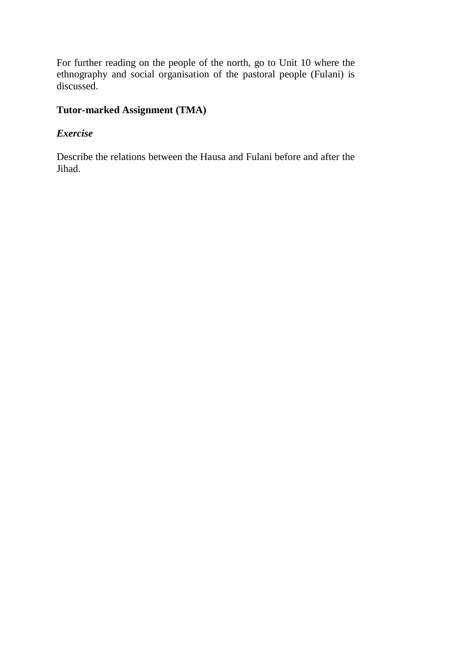For further reading on the people of the north, go to Unit 10 where the ethnography and social organisation of the pastoral people (Fulani) is discussed.

# **Tutor-marked Assignment (TMA)**

# *Exercise*

Describe the relations between the Hausa and Fulani before and after the Jihad.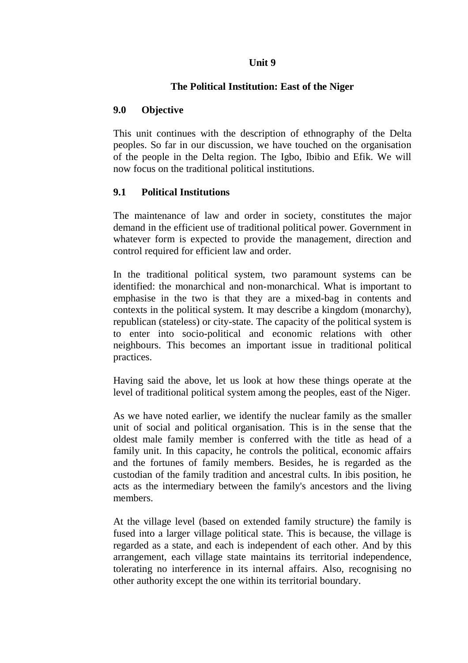#### **Unit 9**

# **The Political Institution: East of the Niger**

# **9.0 Objective**

This unit continues with the description of ethnography of the Delta peoples. So far in our discussion, we have touched on the organisation of the people in the Delta region. The Igbo, Ibibio and Efik. We will now focus on the traditional political institutions.

# **9.1 Political Institutions**

The maintenance of law and order in society, constitutes the major demand in the efficient use of traditional political power. Government in whatever form is expected to provide the management, direction and control required for efficient law and order.

In the traditional political system, two paramount systems can be identified: the monarchical and non-monarchical. What is important to emphasise in the two is that they are a mixed-bag in contents and contexts in the political system. It may describe a kingdom (monarchy), republican (stateless) or city-state. The capacity of the political system is to enter into socio-political and economic relations with other neighbours. This becomes an important issue in traditional political practices.

Having said the above, let us look at how these things operate at the level of traditional political system among the peoples, east of the Niger.

As we have noted earlier, we identify the nuclear family as the smaller unit of social and political organisation. This is in the sense that the oldest male family member is conferred with the title as head of a family unit. In this capacity, he controls the political, economic affairs and the fortunes of family members. Besides, he is regarded as the custodian of the family tradition and ancestral cults. In ibis position, he acts as the intermediary between the family's ancestors and the living members.

At the village level (based on extended family structure) the family is fused into a larger village political state. This is because, the village is regarded as a state, and each is independent of each other. And by this arrangement, each village state maintains its territorial independence, tolerating no interference in its internal affairs. Also, recognising no other authority except the one within its territorial boundary.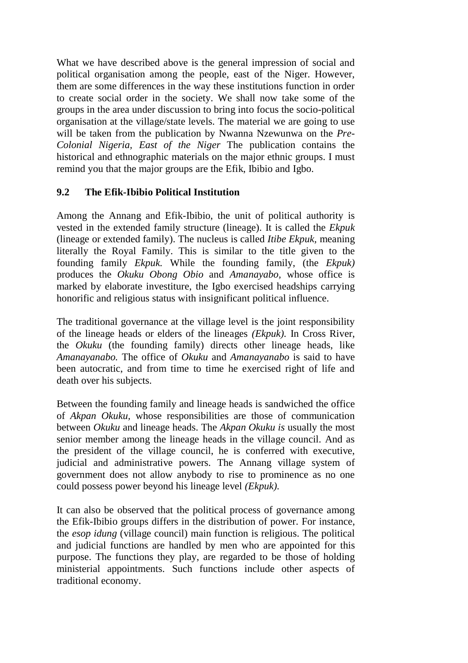What we have described above is the general impression of social and political organisation among the people, east of the Niger. However, them are some differences in the way these institutions function in order to create social order in the society. We shall now take some of the groups in the area under discussion to bring into focus the socio-political organisation at the village/state levels. The material we are going to use will be taken from the publication by Nwanna Nzewunwa on the *Pre-Colonial Nigeria, East of the Niger* The publication contains the historical and ethnographic materials on the major ethnic groups. I must remind you that the major groups are the Efik, Ibibio and Igbo.

# **9.2 The Efik-Ibibio Political Institution**

Among the Annang and Efik-Ibibio, the unit of political authority is vested in the extended family structure (lineage). It is called the *Ekpuk*  (lineage or extended family). The nucleus is called *Itibe Ekpuk,* meaning literally the Royal Family. This is similar to the title given to the founding family *Ekpuk.* While the founding family, (the *Ekpuk)*  produces the *Okuku Obong Obio* and *Amanayabo,* whose office is marked by elaborate investiture, the Igbo exercised headships carrying honorific and religious status with insignificant political influence.

The traditional governance at the village level is the joint responsibility of the lineage heads or elders of the lineages *(Ekpuk).* In Cross River, the *Okuku* (the founding family) directs other lineage heads, like *Amanayanabo.* The office of *Okuku* and *Amanayanabo* is said to have been autocratic, and from time to time he exercised right of life and death over his subjects.

Between the founding family and lineage heads is sandwiched the office of *Akpan Okuku,* whose responsibilities are those of communication between *Okuku* and lineage heads. The *Akpan Okuku is* usually the most senior member among the lineage heads in the village council. And as the president of the village council, he is conferred with executive, judicial and administrative powers. The Annang village system of government does not allow anybody to rise to prominence as no one could possess power beyond his lineage level *(Ekpuk).*

It can also be observed that the political process of governance among the Efik-Ibibio groups differs in the distribution of power. For instance, the *esop idung* (village council) main function is religious. The political and judicial functions are handled by men who are appointed for this purpose. The functions they play, are regarded to be those of holding ministerial appointments. Such functions include other aspects of traditional economy.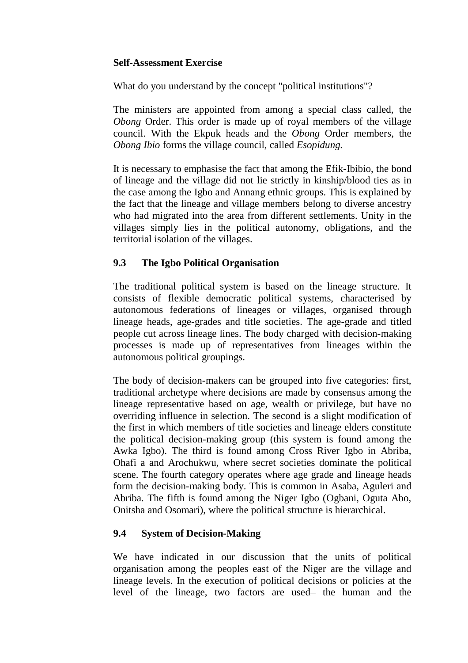## **Self-Assessment Exercise**

What do you understand by the concept "political institutions"?

The ministers are appointed from among a special class called, the *Obong* Order. This order is made up of royal members of the village council. With the Ekpuk heads and the *Obong* Order members, the *Obong Ibio* forms the village council, called *Esopidung.*

It is necessary to emphasise the fact that among the Efik-Ibibio, the bond of lineage and the village did not lie strictly in kinship/blood ties as in the case among the Igbo and Annang ethnic groups. This is explained by the fact that the lineage and village members belong to diverse ancestry who had migrated into the area from different settlements. Unity in the villages simply lies in the political autonomy, obligations, and the territorial isolation of the villages.

# **9.3 The Igbo Political Organisation**

The traditional political system is based on the lineage structure. It consists of flexible democratic political systems, characterised by autonomous federations of lineages or villages, organised through lineage heads, age-grades and title societies. The age-grade and titled people cut across lineage lines. The body charged with decision-making processes is made up of representatives from lineages within the autonomous political groupings.

The body of decision-makers can be grouped into five categories: first, traditional archetype where decisions are made by consensus among the lineage representative based on age, wealth or privilege, but have no overriding influence in selection. The second is a slight modification of the first in which members of title societies and lineage elders constitute the political decision-making group (this system is found among the Awka Igbo). The third is found among Cross River Igbo in Abriba, Ohafi a and Arochukwu, where secret societies dominate the political scene. The fourth category operates where age grade and lineage heads form the decision-making body. This is common in Asaba, Aguleri and Abriba. The fifth is found among the Niger Igbo (Ogbani, Oguta Abo, Onitsha and Osomari), where the political structure is hierarchical.

# **9.4 System of Decision-Making**

We have indicated in our discussion that the units of political organisation among the peoples east of the Niger are the village and lineage levels. In the execution of political decisions or policies at the level of the lineage, two factors are used– the human and the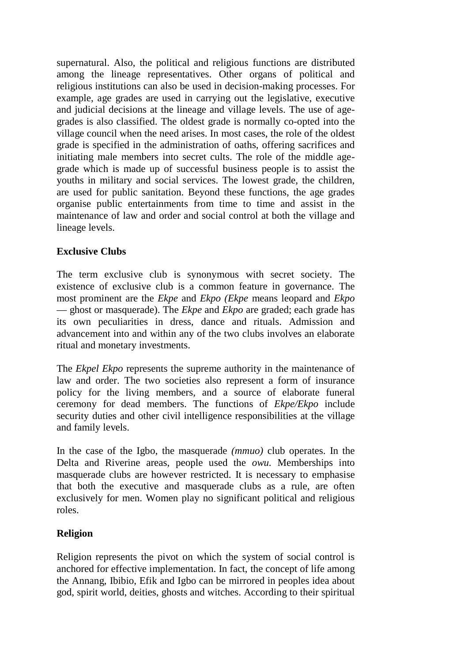supernatural. Also, the political and religious functions are distributed among the lineage representatives. Other organs of political and religious institutions can also be used in decision-making processes. For example, age grades are used in carrying out the legislative, executive and judicial decisions at the lineage and village levels. The use of agegrades is also classified. The oldest grade is normally co-opted into the village council when the need arises. In most cases, the role of the oldest grade is specified in the administration of oaths, offering sacrifices and initiating male members into secret cults. The role of the middle agegrade which is made up of successful business people is to assist the youths in military and social services. The lowest grade, the children, are used for public sanitation. Beyond these functions, the age grades organise public entertainments from time to time and assist in the maintenance of law and order and social control at both the village and lineage levels.

# **Exclusive Clubs**

The term exclusive club is synonymous with secret society. The existence of exclusive club is a common feature in governance. The most prominent are the *Ekpe* and *Ekpo (Ekpe* means leopard and *Ekpo*  — ghost or masquerade). The *Ekpe* and *Ekpo* are graded; each grade has its own peculiarities in dress, dance and rituals. Admission and advancement into and within any of the two clubs involves an elaborate ritual and monetary investments.

The *Ekpel Ekpo* represents the supreme authority in the maintenance of law and order. The two societies also represent a form of insurance policy for the living members, and a source of elaborate funeral ceremony for dead members. The functions of *Ekpe/Ekpo* include security duties and other civil intelligence responsibilities at the village and family levels.

In the case of the Igbo, the masquerade *(mmuo)* club operates. In the Delta and Riverine areas, people used the *owu.* Memberships into masquerade clubs are however restricted. It is necessary to emphasise that both the executive and masquerade clubs as a rule, are often exclusively for men. Women play no significant political and religious roles.

# **Religion**

Religion represents the pivot on which the system of social control is anchored for effective implementation. In fact, the concept of life among the Annang, Ibibio, Efik and Igbo can be mirrored in peoples idea about god, spirit world, deities, ghosts and witches. According to their spiritual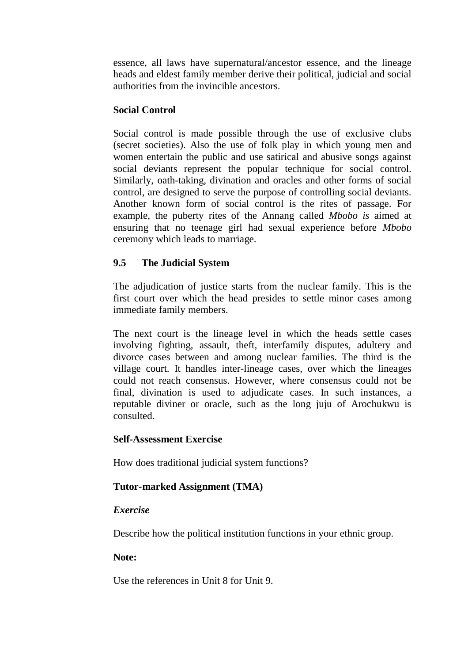essence, all laws have supernatural/ancestor essence, and the lineage heads and eldest family member derive their political, judicial and social authorities from the invincible ancestors.

# **Social Control**

Social control is made possible through the use of exclusive clubs (secret societies). Also the use of folk play in which young men and women entertain the public and use satirical and abusive songs against social deviants represent the popular technique for social control. Similarly, oath-taking, divination and oracles and other forms of social control, are designed to serve the purpose of controlling social deviants. Another known form of social control is the rites of passage. For example, the puberty rites of the Annang called *Mbobo is* aimed at ensuring that no teenage girl had sexual experience before *Mbobo*  ceremony which leads to marriage.

# **9.5 The Judicial System**

The adjudication of justice starts from the nuclear family. This is the first court over which the head presides to settle minor cases among immediate family members.

The next court is the lineage level in which the heads settle cases involving fighting, assault, theft, interfamily disputes, adultery and divorce cases between and among nuclear families. The third is the village court. It handles inter-lineage cases, over which the lineages could not reach consensus. However, where consensus could not be final, divination is used to adjudicate cases. In such instances, a reputable diviner or oracle, such as the long juju of Arochukwu is consulted.

# **Self-Assessment Exercise**

How does traditional judicial system functions?

# **Tutor-marked Assignment (TMA)**

# *Exercise*

Describe how the political institution functions in your ethnic group.

# **Note:**

Use the references in Unit 8 for Unit 9.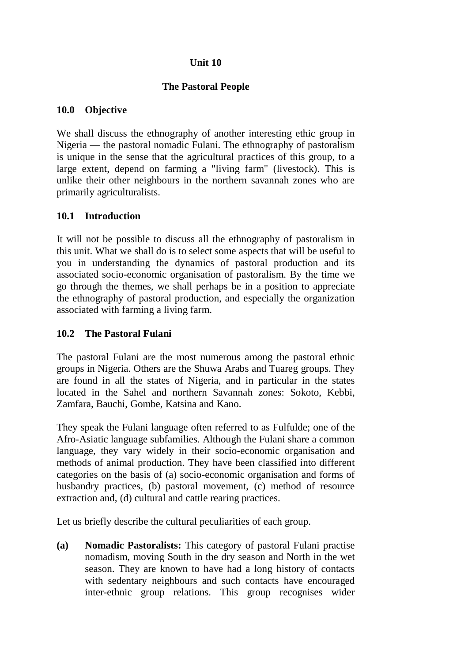# **Unit 10**

# **The Pastoral People**

## **10.0 Objective**

We shall discuss the ethnography of another interesting ethic group in Nigeria — the pastoral nomadic Fulani. The ethnography of pastoralism is unique in the sense that the agricultural practices of this group, to a large extent, depend on farming a "living farm" (livestock). This is unlike their other neighbours in the northern savannah zones who are primarily agriculturalists.

#### **10.1 Introduction**

It will not be possible to discuss all the ethnography of pastoralism in this unit. What we shall do is to select some aspects that will be useful to you in understanding the dynamics of pastoral production and its associated socio-economic organisation of pastoralism. By the time we go through the themes, we shall perhaps be in a position to appreciate the ethnography of pastoral production, and especially the organization associated with farming a living farm.

## **10.2 The Pastoral Fulani**

The pastoral Fulani are the most numerous among the pastoral ethnic groups in Nigeria. Others are the Shuwa Arabs and Tuareg groups. They are found in all the states of Nigeria, and in particular in the states located in the Sahel and northern Savannah zones: Sokoto, Kebbi, Zamfara, Bauchi, Gombe, Katsina and Kano.

They speak the Fulani language often referred to as Fulfulde; one of the Afro-Asiatic language subfamilies. Although the Fulani share a common language, they vary widely in their socio-economic organisation and methods of animal production. They have been classified into different categories on the basis of (a) socio-economic organisation and forms of husbandry practices, (b) pastoral movement, (c) method of resource extraction and, (d) cultural and cattle rearing practices.

Let us briefly describe the cultural peculiarities of each group.

**(a) Nomadic Pastoralists:** This category of pastoral Fulani practise nomadism, moving South in the dry season and North in the wet season. They are known to have had a long history of contacts with sedentary neighbours and such contacts have encouraged inter-ethnic group relations. This group recognises wider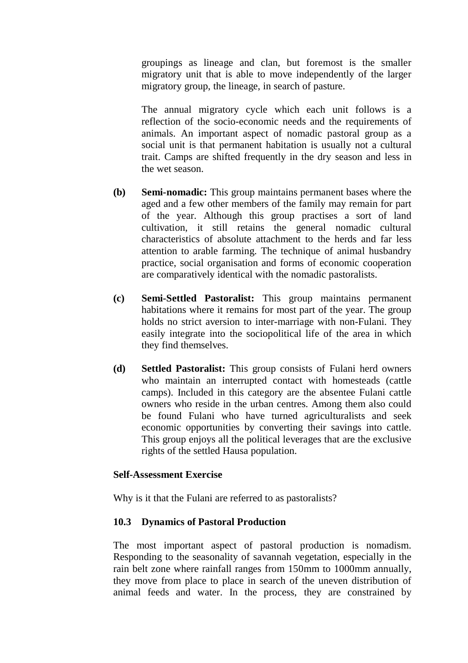groupings as lineage and clan, but foremost is the smaller migratory unit that is able to move independently of the larger migratory group, the lineage, in search of pasture.

The annual migratory cycle which each unit follows is a reflection of the socio-economic needs and the requirements of animals. An important aspect of nomadic pastoral group as a social unit is that permanent habitation is usually not a cultural trait. Camps are shifted frequently in the dry season and less in the wet season.

- **(b) Semi-nomadic:** This group maintains permanent bases where the aged and a few other members of the family may remain for part of the year. Although this group practises a sort of land cultivation, it still retains the general nomadic cultural characteristics of absolute attachment to the herds and far less attention to arable farming. The technique of animal husbandry practice, social organisation and forms of economic cooperation are comparatively identical with the nomadic pastoralists.
- **(c) Semi-Settled Pastoralist:** This group maintains permanent habitations where it remains for most part of the year. The group holds no strict aversion to inter-marriage with non-Fulani. They easily integrate into the sociopolitical life of the area in which they find themselves.
- **(d) Settled Pastoralist:** This group consists of Fulani herd owners who maintain an interrupted contact with homesteads (cattle camps). Included in this category are the absentee Fulani cattle owners who reside in the urban centres. Among them also could be found Fulani who have turned agriculturalists and seek economic opportunities by converting their savings into cattle. This group enjoys all the political leverages that are the exclusive rights of the settled Hausa population.

#### **Self-Assessment Exercise**

Why is it that the Fulani are referred to as pastoralists?

## **10.3 Dynamics of Pastoral Production**

The most important aspect of pastoral production is nomadism. Responding to the seasonality of savannah vegetation, especially in the rain belt zone where rainfall ranges from 150mm to 1000mm annually, they move from place to place in search of the uneven distribution of animal feeds and water. In the process, they are constrained by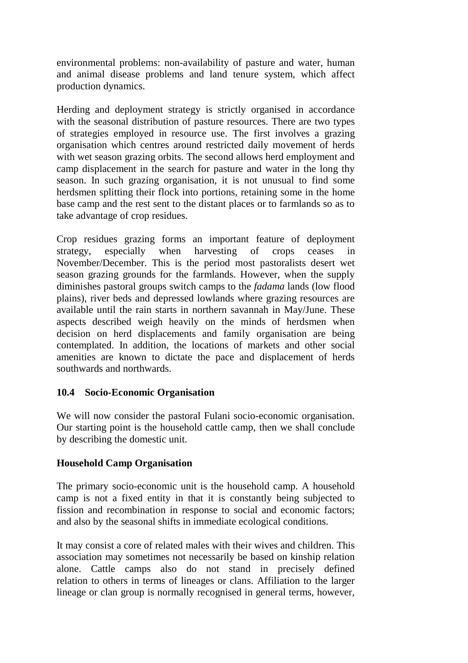environmental problems: non-availability of pasture and water, human and animal disease problems and land tenure system, which affect production dynamics.

Herding and deployment strategy is strictly organised in accordance with the seasonal distribution of pasture resources. There are two types of strategies employed in resource use. The first involves a grazing organisation which centres around restricted daily movement of herds with wet season grazing orbits. The second allows herd employment and camp displacement in the search for pasture and water in the long thy season. In such grazing organisation, it is not unusual to find some herdsmen splitting their flock into portions, retaining some in the home base camp and the rest sent to the distant places or to farmlands so as to take advantage of crop residues.

Crop residues grazing forms an important feature of deployment strategy, especially when harvesting of crops ceases in November/December. This is the period most pastoralists desert wet season grazing grounds for the farmlands. However, when the supply diminishes pastoral groups switch camps to the *fadama* lands (low flood plains), river beds and depressed lowlands where grazing resources are available until the rain starts in northern savannah in May/June. These aspects described weigh heavily on the minds of herdsmen when decision on herd displacements and family organisation are being contemplated. In addition, the locations of markets and other social amenities are known to dictate the pace and displacement of herds southwards and northwards.

## **10.4 Socio-Economic Organisation**

We will now consider the pastoral Fulani socio-economic organisation. Our starting point is the household cattle camp, then we shall conclude by describing the domestic unit.

# **Household Camp Organisation**

The primary socio-economic unit is the household camp. A household camp is not a fixed entity in that it is constantly being subjected to fission and recombination in response to social and economic factors; and also by the seasonal shifts in immediate ecological conditions.

It may consist a core of related males with their wives and children. This association may sometimes not necessarily be based on kinship relation alone. Cattle camps also do not stand in precisely defined relation to others in terms of lineages or clans. Affiliation to the larger lineage or clan group is normally recognised in general terms, however,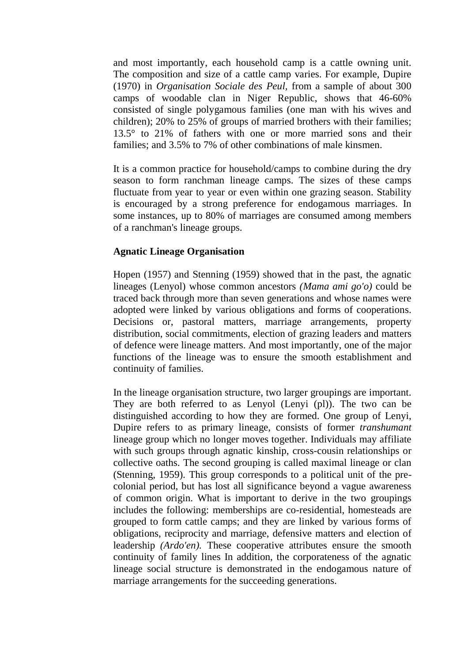and most importantly, each household camp is a cattle owning unit. The composition and size of a cattle camp varies. For example, Dupire (1970) in *Organisation Sociale des Peul,* from a sample of about 300 camps of woodable clan in Niger Republic, shows that 46-60% consisted of single polygamous families (one man with his wives and children); 20% to 25% of groups of married brothers with their families; 13.5° to 21% of fathers with one or more married sons and their families; and 3.5% to 7% of other combinations of male kinsmen.

It is a common practice for household/camps to combine during the dry season to form ranchman lineage camps. The sizes of these camps fluctuate from year to year or even within one grazing season. Stability is encouraged by a strong preference for endogamous marriages. In some instances, up to 80% of marriages are consumed among members of a ranchman's lineage groups.

#### **Agnatic Lineage Organisation**

Hopen (1957) and Stenning (1959) showed that in the past, the agnatic lineages (Lenyol) whose common ancestors *(Mama ami go'o)* could be traced back through more than seven generations and whose names were adopted were linked by various obligations and forms of cooperations. Decisions or, pastoral matters, marriage arrangements, property distribution, social commitments, election of grazing leaders and matters of defence were lineage matters. And most importantly, one of the major functions of the lineage was to ensure the smooth establishment and continuity of families.

In the lineage organisation structure, two larger groupings are important. They are both referred to as Lenyol (Lenyi (pl)). The two can be distinguished according to how they are formed. One group of Lenyi, Dupire refers to as primary lineage, consists of former *transhumant*  lineage group which no longer moves together. Individuals may affiliate with such groups through agnatic kinship, cross-cousin relationships or collective oaths. The second grouping is called maximal lineage or clan (Stenning, 1959). This group corresponds to a political unit of the precolonial period, but has lost all significance beyond a vague awareness of common origin. What is important to derive in the two groupings includes the following: memberships are co-residential, homesteads are grouped to form cattle camps; and they are linked by various forms of obligations, reciprocity and marriage, defensive matters and election of leadership *(Ardo'en).* These cooperative attributes ensure the smooth continuity of family lines In addition, the corporateness of the agnatic lineage social structure is demonstrated in the endogamous nature of marriage arrangements for the succeeding generations.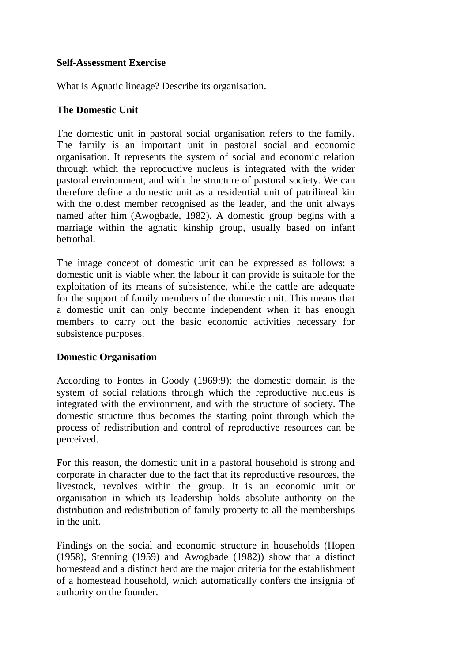#### **Self-Assessment Exercise**

What is Agnatic lineage? Describe its organisation.

## **The Domestic Unit**

The domestic unit in pastoral social organisation refers to the family. The family is an important unit in pastoral social and economic organisation. It represents the system of social and economic relation through which the reproductive nucleus is integrated with the wider pastoral environment, and with the structure of pastoral society. We can therefore define a domestic unit as a residential unit of patrilineal kin with the oldest member recognised as the leader, and the unit always named after him (Awogbade, 1982). A domestic group begins with a marriage within the agnatic kinship group, usually based on infant betrothal.

The image concept of domestic unit can be expressed as follows: a domestic unit is viable when the labour it can provide is suitable for the exploitation of its means of subsistence, while the cattle are adequate for the support of family members of the domestic unit. This means that a domestic unit can only become independent when it has enough members to carry out the basic economic activities necessary for subsistence purposes.

## **Domestic Organisation**

According to Fontes in Goody (1969:9): the domestic domain is the system of social relations through which the reproductive nucleus is integrated with the environment, and with the structure of society. The domestic structure thus becomes the starting point through which the process of redistribution and control of reproductive resources can be perceived.

For this reason, the domestic unit in a pastoral household is strong and corporate in character due to the fact that its reproductive resources, the livestock, revolves within the group. It is an economic unit or organisation in which its leadership holds absolute authority on the distribution and redistribution of family property to all the memberships in the unit.

Findings on the social and economic structure in households (Hopen (1958), Stenning (1959) and Awogbade (1982)) show that a distinct homestead and a distinct herd are the major criteria for the establishment of a homestead household, which automatically confers the insignia of authority on the founder.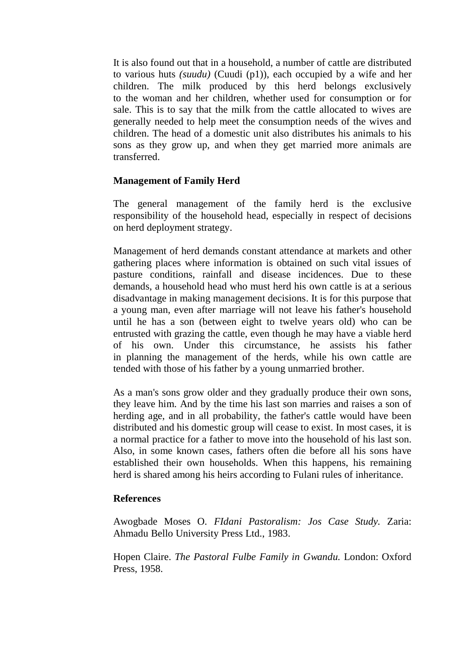It is also found out that in a household, a number of cattle are distributed to various huts *(suudu)* (Cuudi (p1)), each occupied by a wife and her children. The milk produced by this herd belongs exclusively to the woman and her children, whether used for consumption or for sale. This is to say that the milk from the cattle allocated to wives are generally needed to help meet the consumption needs of the wives and children. The head of a domestic unit also distributes his animals to his sons as they grow up, and when they get married more animals are transferred.

#### **Management of Family Herd**

The general management of the family herd is the exclusive responsibility of the household head, especially in respect of decisions on herd deployment strategy.

Management of herd demands constant attendance at markets and other gathering places where information is obtained on such vital issues of pasture conditions, rainfall and disease incidences. Due to these demands, a household head who must herd his own cattle is at a serious disadvantage in making management decisions. It is for this purpose that a young man, even after marriage will not leave his father's household until he has a son (between eight to twelve years old) who can be entrusted with grazing the cattle, even though he may have a viable herd of his own. Under this circumstance, he assists his father in planning the management of the herds, while his own cattle are tended with those of his father by a young unmarried brother.

As a man's sons grow older and they gradually produce their own sons, they leave him. And by the time his last son marries and raises a son of herding age, and in all probability, the father's cattle would have been distributed and his domestic group will cease to exist. In most cases, it is a normal practice for a father to move into the household of his last son. Also, in some known cases, fathers often die before all his sons have established their own households. When this happens, his remaining herd is shared among his heirs according to Fulani rules of inheritance.

#### **References**

Awogbade Moses O. *FIdani Pastoralism: Jos Case Study.* Zaria: Ahmadu Bello University Press Ltd., 1983.

Hopen Claire. *The Pastoral Fulbe Family in Gwandu.* London: Oxford Press, 1958.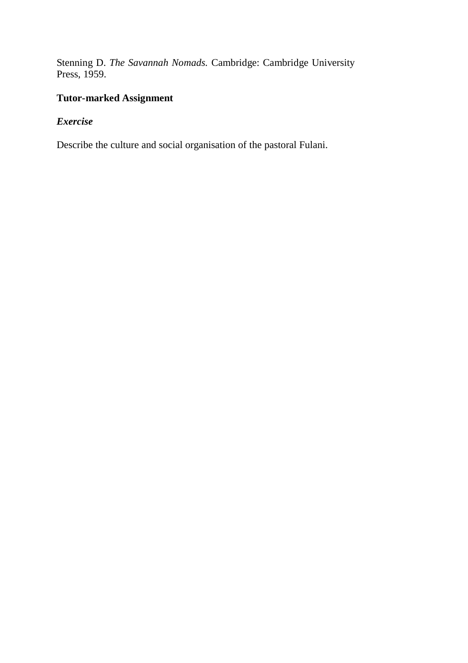Stenning D. *The Savannah Nomads.* Cambridge: Cambridge University Press, 1959.

# **Tutor-marked Assignment**

# *Exercise*

Describe the culture and social organisation of the pastoral Fulani.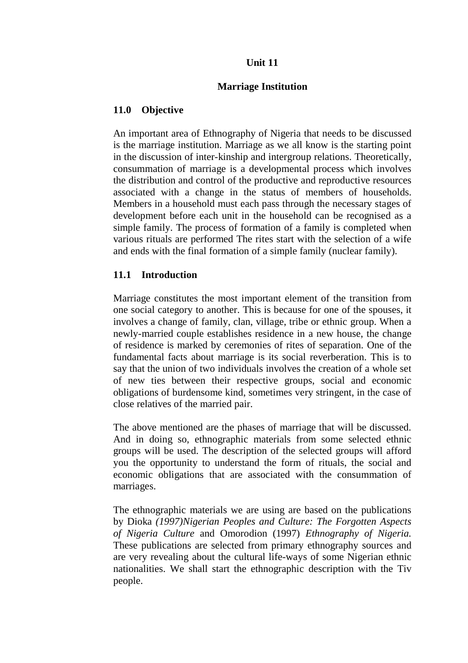## **Unit 11**

#### **Marriage Institution**

## **11.0 Objective**

An important area of Ethnography of Nigeria that needs to be discussed is the marriage institution. Marriage as we all know is the starting point in the discussion of inter-kinship and intergroup relations. Theoretically, consummation of marriage is a developmental process which involves the distribution and control of the productive and reproductive resources associated with a change in the status of members of households. Members in a household must each pass through the necessary stages of development before each unit in the household can be recognised as a simple family. The process of formation of a family is completed when various rituals are performed The rites start with the selection of a wife and ends with the final formation of a simple family (nuclear family).

#### **11.1 Introduction**

Marriage constitutes the most important element of the transition from one social category to another. This is because for one of the spouses, it involves a change of family, clan, village, tribe or ethnic group. When a newly-married couple establishes residence in a new house, the change of residence is marked by ceremonies of rites of separation. One of the fundamental facts about marriage is its social reverberation. This is to say that the union of two individuals involves the creation of a whole set of new ties between their respective groups, social and economic obligations of burdensome kind, sometimes very stringent, in the case of close relatives of the married pair.

The above mentioned are the phases of marriage that will be discussed. And in doing so, ethnographic materials from some selected ethnic groups will be used. The description of the selected groups will afford you the opportunity to understand the form of rituals, the social and economic obligations that are associated with the consummation of marriages.

The ethnographic materials we are using are based on the publications by Dioka *(1997)Nigerian Peoples and Culture: The Forgotten Aspects of Nigeria Culture* and Omorodion (1997) *Ethnography of Nigeria.*  These publications are selected from primary ethnography sources and are very revealing about the cultural life-ways of some Nigerian ethnic nationalities. We shall start the ethnographic description with the Tiv people.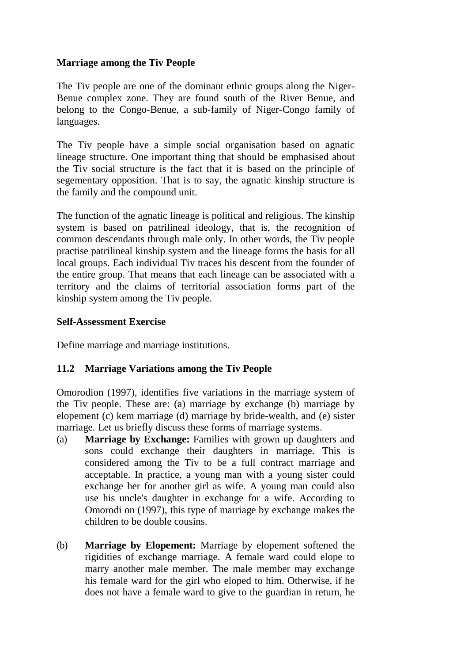## **Marriage among the Tiv People**

The Tiv people are one of the dominant ethnic groups along the Niger-Benue complex zone. They are found south of the River Benue, and belong to the Congo-Benue, a sub-family of Niger-Congo family of languages.

The Tiv people have a simple social organisation based on agnatic lineage structure. One important thing that should be emphasised about the Tiv social structure is the fact that it is based on the principle of segementary opposition. That is to say, the agnatic kinship structure is the family and the compound unit.

The function of the agnatic lineage is political and religious. The kinship system is based on patrilineal ideology, that is, the recognition of common descendants through male only. In other words, the Tiv people practise patrilineal kinship system and the lineage forms the basis for all local groups. Each individual Tiv traces his descent from the founder of the entire group. That means that each lineage can be associated with a territory and the claims of territorial association forms part of the kinship system among the Tiv people.

## **Self-Assessment Exercise**

Define marriage and marriage institutions.

# **11.2 Marriage Variations among the Tiv People**

Omorodion (1997), identifies five variations in the marriage system of the Tiv people. These are: (a) marriage by exchange (b) marriage by elopement (c) kem marriage (d) marriage by bride-wealth, and (e) sister marriage. Let us briefly discuss these forms of marriage systems.

- (a) **Marriage by Exchange:** Families with grown up daughters and sons could exchange their daughters in marriage. This is considered among the Tiv to be a full contract marriage and acceptable. In practice, a young man with a young sister could exchange her for another girl as wife. A young man could also use his uncle's daughter in exchange for a wife. According to Omorodi on (1997), this type of marriage by exchange makes the children to be double cousins.
- (b) **Marriage by Elopement:** Marriage by elopement softened the rigidities of exchange marriage. A female ward could elope to marry another male member. The male member may exchange his female ward for the girl who eloped to him. Otherwise, if he does not have a female ward to give to the guardian in return, he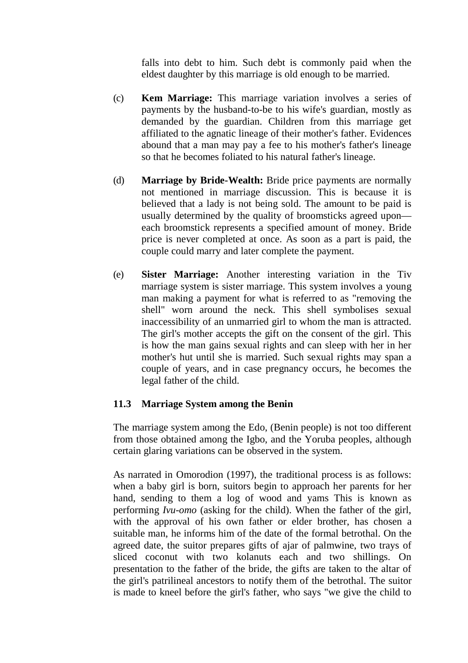falls into debt to him. Such debt is commonly paid when the eldest daughter by this marriage is old enough to be married.

- (c) **Kem Marriage:** This marriage variation involves a series of payments by the husband-to-be to his wife's guardian, mostly as demanded by the guardian. Children from this marriage get affiliated to the agnatic lineage of their mother's father. Evidences abound that a man may pay a fee to his mother's father's lineage so that he becomes foliated to his natural father's lineage.
- (d) **Marriage by Bride-Wealth:** Bride price payments are normally not mentioned in marriage discussion. This is because it is believed that a lady is not being sold. The amount to be paid is usually determined by the quality of broomsticks agreed upon each broomstick represents a specified amount of money. Bride price is never completed at once. As soon as a part is paid, the couple could marry and later complete the payment.
- (e) **Sister Marriage:** Another interesting variation in the Tiv marriage system is sister marriage. This system involves a young man making a payment for what is referred to as "removing the shell" worn around the neck. This shell symbolises sexual inaccessibility of an unmarried girl to whom the man is attracted. The girl's mother accepts the gift on the consent of the girl. This is how the man gains sexual rights and can sleep with her in her mother's hut until she is married. Such sexual rights may span a couple of years, and in case pregnancy occurs, he becomes the legal father of the child.

## **11.3 Marriage System among the Benin**

The marriage system among the Edo, (Benin people) is not too different from those obtained among the Igbo, and the Yoruba peoples, although certain glaring variations can be observed in the system.

As narrated in Omorodion (1997), the traditional process is as follows: when a baby girl is born, suitors begin to approach her parents for her hand, sending to them a log of wood and yams This is known as performing *Ivu-omo* (asking for the child). When the father of the girl, with the approval of his own father or elder brother, has chosen a suitable man, he informs him of the date of the formal betrothal. On the agreed date, the suitor prepares gifts of ajar of palmwine, two trays of sliced coconut with two kolanuts each and two shillings. On presentation to the father of the bride, the gifts are taken to the altar of the girl's patrilineal ancestors to notify them of the betrothal. The suitor is made to kneel before the girl's father, who says "we give the child to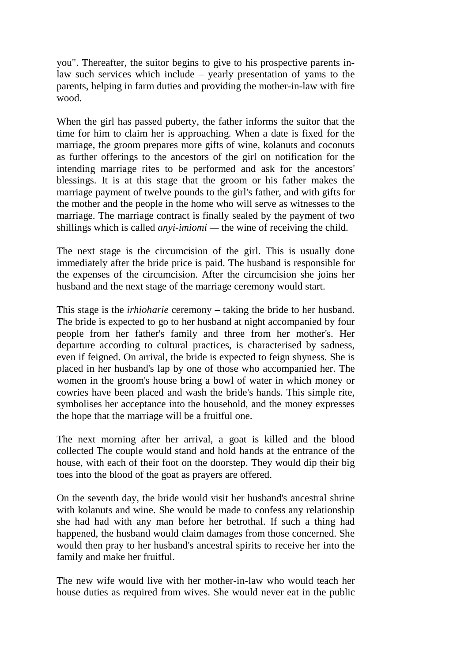you". Thereafter, the suitor begins to give to his prospective parents inlaw such services which include – yearly presentation of yams to the parents, helping in farm duties and providing the mother-in-law with fire wood.

When the girl has passed puberty, the father informs the suitor that the time for him to claim her is approaching. When a date is fixed for the marriage, the groom prepares more gifts of wine, kolanuts and coconuts as further offerings to the ancestors of the girl on notification for the intending marriage rites to be performed and ask for the ancestors' blessings. It is at this stage that the groom or his father makes the marriage payment of twelve pounds to the girl's father, and with gifts for the mother and the people in the home who will serve as witnesses to the marriage. The marriage contract is finally sealed by the payment of two shillings which is called *anyi-imiomi —* the wine of receiving the child.

The next stage is the circumcision of the girl. This is usually done immediately after the bride price is paid. The husband is responsible for the expenses of the circumcision. After the circumcision she joins her husband and the next stage of the marriage ceremony would start.

This stage is the *irhioharie* ceremony – taking the bride to her husband. The bride is expected to go to her husband at night accompanied by four people from her father's family and three from her mother's. Her departure according to cultural practices, is characterised by sadness, even if feigned. On arrival, the bride is expected to feign shyness. She is placed in her husband's lap by one of those who accompanied her. The women in the groom's house bring a bowl of water in which money or cowries have been placed and wash the bride's hands. This simple rite, symbolises her acceptance into the household, and the money expresses the hope that the marriage will be a fruitful one.

The next morning after her arrival, a goat is killed and the blood collected The couple would stand and hold hands at the entrance of the house, with each of their foot on the doorstep. They would dip their big toes into the blood of the goat as prayers are offered.

On the seventh day, the bride would visit her husband's ancestral shrine with kolanuts and wine. She would be made to confess any relationship she had had with any man before her betrothal. If such a thing had happened, the husband would claim damages from those concerned. She would then pray to her husband's ancestral spirits to receive her into the family and make her fruitful.

The new wife would live with her mother-in-law who would teach her house duties as required from wives. She would never eat in the public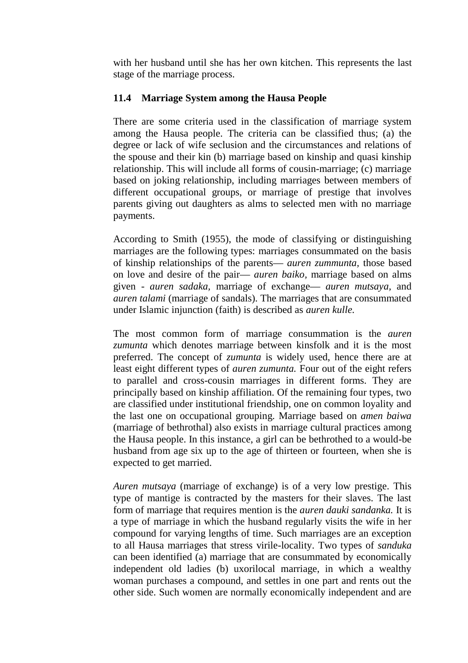with her husband until she has her own kitchen. This represents the last stage of the marriage process.

# **11.4 Marriage System among the Hausa People**

There are some criteria used in the classification of marriage system among the Hausa people. The criteria can be classified thus; (a) the degree or lack of wife seclusion and the circumstances and relations of the spouse and their kin (b) marriage based on kinship and quasi kinship relationship. This will include all forms of cousin-marriage; (c) marriage based on joking relationship, including marriages between members of different occupational groups, or marriage of prestige that involves parents giving out daughters as alms to selected men with no marriage payments.

According to Smith (1955), the mode of classifying or distinguishing marriages are the following types: marriages consummated on the basis of kinship relationships of the parents— *auren zummunta,* those based on love and desire of the pair— *auren baiko,* marriage based on alms given - *auren sadaka,* marriage of exchange— *auren mutsaya,* and *auren talami* (marriage of sandals). The marriages that are consummated under Islamic injunction (faith) is described as *auren kulle.*

The most common form of marriage consummation is the *auren zumunta* which denotes marriage between kinsfolk and it is the most preferred. The concept of *zumunta* is widely used, hence there are at least eight different types of *auren zumunta.* Four out of the eight refers to parallel and cross-cousin marriages in different forms. They are principally based on kinship affiliation. Of the remaining four types, two are classified under institutional friendship, one on common loyality and the last one on occupational grouping. Marriage based on *amen baiwa*  (marriage of bethrothal) also exists in marriage cultural practices among the Hausa people. In this instance, a girl can be bethrothed to a would-be husband from age six up to the age of thirteen or fourteen, when she is expected to get married.

*Auren mutsaya* (marriage of exchange) is of a very low prestige. This type of mantige is contracted by the masters for their slaves. The last form of marriage that requires mention is the *auren dauki sandanka.* It is a type of marriage in which the husband regularly visits the wife in her compound for varying lengths of time. Such marriages are an exception to all Hausa marriages that stress virile-locality. Two types of *sanduka*  can been identified (a) marriage that are consummated by economically independent old ladies (b) uxorilocal marriage, in which a wealthy woman purchases a compound, and settles in one part and rents out the other side. Such women are normally economically independent and are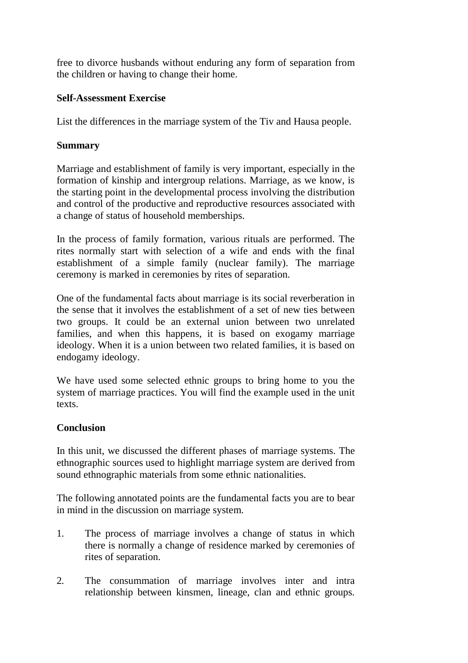free to divorce husbands without enduring any form of separation from the children or having to change their home.

# **Self-Assessment Exercise**

List the differences in the marriage system of the Tiv and Hausa people.

# **Summary**

Marriage and establishment of family is very important, especially in the formation of kinship and intergroup relations. Marriage, as we know, is the starting point in the developmental process involving the distribution and control of the productive and reproductive resources associated with a change of status of household memberships.

In the process of family formation, various rituals are performed. The rites normally start with selection of a wife and ends with the final establishment of a simple family (nuclear family). The marriage ceremony is marked in ceremonies by rites of separation.

One of the fundamental facts about marriage is its social reverberation in the sense that it involves the establishment of a set of new ties between two groups. It could be an external union between two unrelated families, and when this happens, it is based on exogamy marriage ideology. When it is a union between two related families, it is based on endogamy ideology.

We have used some selected ethnic groups to bring home to you the system of marriage practices. You will find the example used in the unit texts.

# **Conclusion**

In this unit, we discussed the different phases of marriage systems. The ethnographic sources used to highlight marriage system are derived from sound ethnographic materials from some ethnic nationalities.

The following annotated points are the fundamental facts you are to bear in mind in the discussion on marriage system.

- 1. The process of marriage involves a change of status in which there is normally a change of residence marked by ceremonies of rites of separation.
- 2. The consummation of marriage involves inter and intra relationship between kinsmen, lineage, clan and ethnic groups.